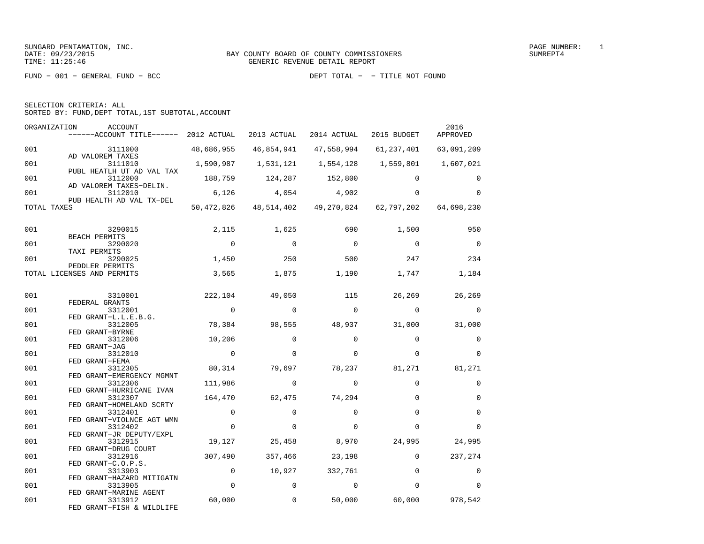| SELECTION CRITERIA: ALL |  |
|-------------------------|--|
|                         |  |

SORTED BY: FUND,DEPT TOTAL,1ST SUBTOTAL,ACCOUNT

| ORGANIZATION | ACCOUNT<br>$----ACCOUNT$ TITLE $----$ 2012 ACTUAL               |                | 2013 ACTUAL         | 2014 ACTUAL    | 2015 BUDGET                                 | 2016<br>APPROVED |
|--------------|-----------------------------------------------------------------|----------------|---------------------|----------------|---------------------------------------------|------------------|
| 001          | 3111000                                                         | 48,686,955     | 46,854,941          | 47,558,994     | 61,237,401                                  | 63,091,209       |
| 001          | AD VALOREM TAXES<br>3111010                                     | 1,590,987      | 1,531,121 1,554,128 |                | 1,559,801                                   | 1,607,021        |
| 001          | PUBL HEATLH UT AD VAL TAX<br>3112000<br>AD VALOREM TAXES-DELIN. | 188,759        | 124,287             | 152,800        | $\Omega$                                    | $\Omega$         |
| 001          | 3112010<br>PUB HEALTH AD VAL TX-DEL                             | 6,126          | 4,054               | 4,902          | $\Omega$                                    | $\Omega$         |
| TOTAL TAXES  |                                                                 |                |                     |                | 50,472,826 48,514,402 49,270,824 62,797,202 | 64,698,230       |
| 001          | 3290015                                                         | 2,115          | 1,625               | 690            | 1,500                                       | 950              |
| 001          | <b>BEACH PERMITS</b><br>3290020                                 | $\overline{0}$ | $\bigcirc$          | $\bigcirc$     | $\overline{0}$                              | $\overline{0}$   |
| 001          | TAXI PERMITS<br>3290025                                         | 1,450          | 250                 | 500            | 247                                         | 234              |
|              | PEDDLER PERMITS<br>TOTAL LICENSES AND PERMITS                   | 3,565          | 1,875               | 1,190          | 1,747                                       | 1,184            |
| 001          | 3310001                                                         | 222,104        | 49,050              | 115            | 26,269                                      | 26,269           |
| 001          | FEDERAL GRANTS<br>3312001                                       | $\overline{0}$ | $\Omega$            | $\overline{0}$ | $\Omega$                                    | 0                |
| 001          | FED GRANT-L.L.E.B.G.<br>3312005                                 | 78,384         | 98,555              | 48,937         | 31,000                                      | 31,000           |
| 001          | FED GRANT-BYRNE<br>3312006<br>FED GRANT-JAG                     | 10,206         | $\Omega$            | $\Omega$       | $\Omega$                                    | $\mathbf 0$      |
| 001          | 3312010<br>FED GRANT-FEMA                                       | $\mathbf 0$    | $\Omega$            | $\Omega$       | $\Omega$                                    | $\Omega$         |
| 001          | 3312305<br>FED GRANT-EMERGENCY MGMNT                            | 80,314         | 79,697              | 78,237         | 81,271                                      | 81,271           |
| 001          | 3312306<br>FED GRANT-HURRICANE IVAN                             | 111,986        | $\Omega$            | $\Omega$       | $\Omega$                                    | 0                |
| 001          | 3312307<br>FED GRANT-HOMELAND SCRTY                             | 164,470        | 62,475              | 74,294         | $\Omega$                                    | $\mathbf 0$      |
| 001          | 3312401<br>FED GRANT-VIOLNCE AGT WMN                            | $\mathbf 0$    | $\Omega$            | $\Omega$       | $\Omega$                                    | $\Omega$         |
| 001          | 3312402<br>FED GRANT-JR DEPUTY/EXPL                             | $\mathbf 0$    | $\Omega$            | $\Omega$       | $\Omega$                                    | $\Omega$         |
| 001          | 3312915<br>FED GRANT-DRUG COURT                                 | 19,127         | 25,458              | 8,970          | 24,995                                      | 24,995           |
| 001          | 3312916<br>FED GRANT-C.O.P.S.                                   | 307,490        | 357,466             | 23,198         | $\mathbf 0$                                 | 237,274          |
| 001          | 3313903<br>FED GRANT-HAZARD MITIGATN                            | $\mathbf 0$    | 10,927              | 332,761        | $\Omega$                                    | 0                |
| 001          | 3313905<br>FED GRANT-MARINE AGENT                               | $\mathbf 0$    | $\mathbf 0$         | $\Omega$       | $\Omega$                                    | $\Omega$         |
| 001          | 3313912<br>FED GRANT-FISH & WILDLIFE                            | 60,000         | $\mathbf 0$         | 50,000         | 60,000                                      | 978,542          |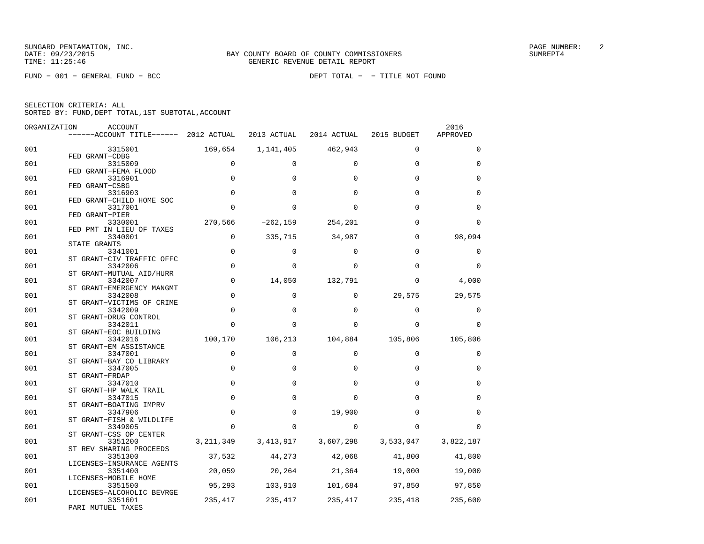| ------ACCOUNT TITLE------ 2012 ACTUAL<br>2013 ACTUAL<br>2014 ACTUAL<br>2015 BUDGET<br>001<br>169,654<br>462,943<br>3315001<br>1,141,405<br>$\Omega$<br>FED GRANT-CDBG<br>$\mathbf 0$<br>001<br>3315009<br>$\Omega$<br>$\Omega$<br>$\Omega$<br>FED GRANT-FEMA FLOOD<br>001<br>$\mathbf 0$<br>$\Omega$<br>$\Omega$<br>3316901<br>$\Omega$<br>FED GRANT-CSBG<br>$\Omega$<br>001<br>3316903<br>$\Omega$<br><sup>0</sup><br>$\Omega$<br>FED GRANT-CHILD HOME SOC<br>001<br>$\Omega$<br>3317001<br>$\Omega$<br>$\Omega$<br>0<br>FED GRANT-PIER<br>270,566<br>$-262, 159$<br>254,201<br>001<br>3330001<br>$\Omega$<br>FED PMT IN LIEU OF TAXES<br>$\mathbf 0$<br>335,715<br>34,987<br>001<br>$\Omega$<br>3340001<br>STATE GRANTS<br>$\mathbf 0$<br>001<br>$\Omega$<br>$\Omega$<br>$\Omega$<br>3341001<br>ST GRANT-CIV TRAFFIC OFFC<br>$\mathbf 0$<br>001<br>3342006<br>$\Omega$<br>$\Omega$<br>0<br>ST GRANT-MUTUAL AID/HURR |             |
|-----------------------------------------------------------------------------------------------------------------------------------------------------------------------------------------------------------------------------------------------------------------------------------------------------------------------------------------------------------------------------------------------------------------------------------------------------------------------------------------------------------------------------------------------------------------------------------------------------------------------------------------------------------------------------------------------------------------------------------------------------------------------------------------------------------------------------------------------------------------------------------------------------------------------|-------------|
|                                                                                                                                                                                                                                                                                                                                                                                                                                                                                                                                                                                                                                                                                                                                                                                                                                                                                                                       | APPROVED    |
|                                                                                                                                                                                                                                                                                                                                                                                                                                                                                                                                                                                                                                                                                                                                                                                                                                                                                                                       | $\Omega$    |
|                                                                                                                                                                                                                                                                                                                                                                                                                                                                                                                                                                                                                                                                                                                                                                                                                                                                                                                       | $\mathbf 0$ |
|                                                                                                                                                                                                                                                                                                                                                                                                                                                                                                                                                                                                                                                                                                                                                                                                                                                                                                                       | $\Omega$    |
|                                                                                                                                                                                                                                                                                                                                                                                                                                                                                                                                                                                                                                                                                                                                                                                                                                                                                                                       | $\Omega$    |
|                                                                                                                                                                                                                                                                                                                                                                                                                                                                                                                                                                                                                                                                                                                                                                                                                                                                                                                       | $\Omega$    |
|                                                                                                                                                                                                                                                                                                                                                                                                                                                                                                                                                                                                                                                                                                                                                                                                                                                                                                                       |             |
|                                                                                                                                                                                                                                                                                                                                                                                                                                                                                                                                                                                                                                                                                                                                                                                                                                                                                                                       | $\Omega$    |
|                                                                                                                                                                                                                                                                                                                                                                                                                                                                                                                                                                                                                                                                                                                                                                                                                                                                                                                       | 98,094      |
|                                                                                                                                                                                                                                                                                                                                                                                                                                                                                                                                                                                                                                                                                                                                                                                                                                                                                                                       | 0           |
|                                                                                                                                                                                                                                                                                                                                                                                                                                                                                                                                                                                                                                                                                                                                                                                                                                                                                                                       | $\Omega$    |
| 001<br>$\mathbf 0$<br>14,050<br>132,791<br>$\mathbf 0$<br>3342007                                                                                                                                                                                                                                                                                                                                                                                                                                                                                                                                                                                                                                                                                                                                                                                                                                                     | 4,000       |
| ST GRANT-EMERGENCY MANGMT<br>$\mathbf 0$<br>$\mathbf 0$<br>0<br>29,575<br>001<br>3342008                                                                                                                                                                                                                                                                                                                                                                                                                                                                                                                                                                                                                                                                                                                                                                                                                              | 29,575      |
| ST GRANT-VICTIMS OF CRIME<br>$\mathbf 0$<br>001<br>3342009<br>$\mathbf 0$<br>$\Omega$<br>$\mathbf 0$                                                                                                                                                                                                                                                                                                                                                                                                                                                                                                                                                                                                                                                                                                                                                                                                                  | 0           |
| ST GRANT-DRUG CONTROL                                                                                                                                                                                                                                                                                                                                                                                                                                                                                                                                                                                                                                                                                                                                                                                                                                                                                                 |             |
| 001<br>3342011<br>$\Omega$<br>$\Omega$<br>$\Omega$<br>0<br>ST GRANT-EOC BUILDING                                                                                                                                                                                                                                                                                                                                                                                                                                                                                                                                                                                                                                                                                                                                                                                                                                      | $\Omega$    |
| 100,170<br>106,213<br>105,806<br>001<br>3342016<br>104,884<br>ST GRANT-EM ASSISTANCE                                                                                                                                                                                                                                                                                                                                                                                                                                                                                                                                                                                                                                                                                                                                                                                                                                  | 105,806     |
| 001<br>3347001<br>$\mathbf 0$<br>$\mathbf 0$<br>$\Omega$<br>$\Omega$                                                                                                                                                                                                                                                                                                                                                                                                                                                                                                                                                                                                                                                                                                                                                                                                                                                  | $\mathbf 0$ |
| ST GRANT-BAY CO LIBRARY<br>001<br>$\mathbf 0$<br>3347005<br>0<br>0<br>$\Omega$                                                                                                                                                                                                                                                                                                                                                                                                                                                                                                                                                                                                                                                                                                                                                                                                                                        | $\mathbf 0$ |
| ST GRANT-FRDAP<br>$\Omega$<br>001<br>$\Omega$<br>3347010<br>0<br>$\Omega$                                                                                                                                                                                                                                                                                                                                                                                                                                                                                                                                                                                                                                                                                                                                                                                                                                             | $\Omega$    |
| ST GRANT-HP WALK TRAIL<br>$\mathbf 0$<br>001<br>3347015<br>$\Omega$<br>$\Omega$<br><sup>0</sup>                                                                                                                                                                                                                                                                                                                                                                                                                                                                                                                                                                                                                                                                                                                                                                                                                       | $\Omega$    |
| ST GRANT-BOATING IMPRV<br>$\mathsf{O}\xspace$<br>001<br>3347906<br>$\mathbf 0$<br>19,900<br>$\Omega$                                                                                                                                                                                                                                                                                                                                                                                                                                                                                                                                                                                                                                                                                                                                                                                                                  | $\mathbf 0$ |
| ST GRANT-FISH & WILDLIFE                                                                                                                                                                                                                                                                                                                                                                                                                                                                                                                                                                                                                                                                                                                                                                                                                                                                                              |             |
| 001<br>3349005<br>$\Omega$<br>0<br>$\Omega$<br>$\Omega$<br>ST GRANT-CSS OP CENTER                                                                                                                                                                                                                                                                                                                                                                                                                                                                                                                                                                                                                                                                                                                                                                                                                                     | $\Omega$    |
| 3, 211, 349 3, 413, 917 3, 607, 298 3, 533, 047<br>001<br>3351200<br>ST REV SHARING PROCEEDS                                                                                                                                                                                                                                                                                                                                                                                                                                                                                                                                                                                                                                                                                                                                                                                                                          | 3,822,187   |
| 37,532<br>44,273<br>42,068<br>41,800<br>001<br>3351300<br>LICENSES-INSURANCE AGENTS                                                                                                                                                                                                                                                                                                                                                                                                                                                                                                                                                                                                                                                                                                                                                                                                                                   | 41,800      |
| 20,059 20,264 21,364<br>19,000<br>001<br>3351400                                                                                                                                                                                                                                                                                                                                                                                                                                                                                                                                                                                                                                                                                                                                                                                                                                                                      | 19,000      |
| LICENSES-MOBILE HOME<br>001<br>95,293<br>103,910<br>101,684<br>97,850<br>3351500                                                                                                                                                                                                                                                                                                                                                                                                                                                                                                                                                                                                                                                                                                                                                                                                                                      | 97,850      |
| LICENSES-ALCOHOLIC BEVRGE<br>235,417<br>235,417<br>235,417 235,418<br>001<br>3351601<br>PARI MUTUEL TAXES                                                                                                                                                                                                                                                                                                                                                                                                                                                                                                                                                                                                                                                                                                                                                                                                             | 235,600     |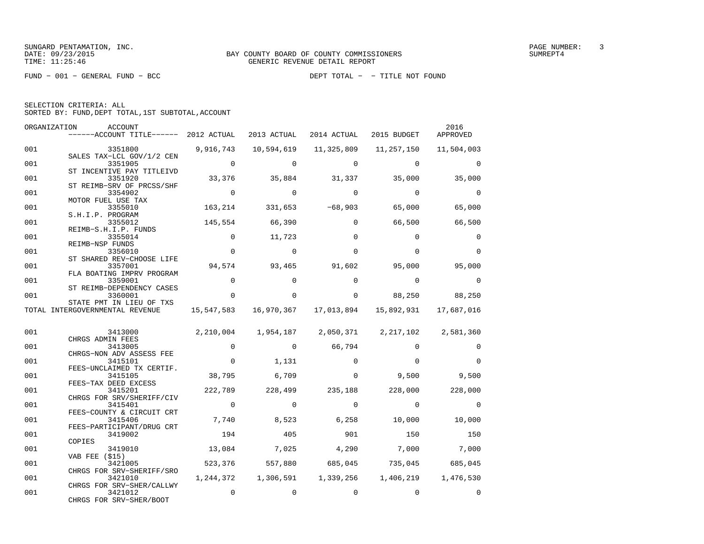| SELECTION CRITERIA: ALL |  |  |                                                    |  |
|-------------------------|--|--|----------------------------------------------------|--|
|                         |  |  | SORTED BY: FUND, DEPT TOTAL, 1ST SUBTOTAL, ACCOUNT |  |

| ORGANIZATION | <b>ACCOUNT</b><br>------ACCOUNT TITLE------ 2012 ACTUAL |                          | 2013 ACTUAL     | 2014 ACTUAL       | 2015 BUDGET                                                 | 2016<br>APPROVED |
|--------------|---------------------------------------------------------|--------------------------|-----------------|-------------------|-------------------------------------------------------------|------------------|
| 001          | 3351800                                                 | 9,916,743                | 10,594,619      | 11,325,809        | 11,257,150                                                  | 11,504,003       |
| 001          | SALES TAX-LCL GOV/1/2 CEN<br>3351905                    | $\overline{0}$           | $\Omega$        | $\Omega$          | $\Omega$                                                    | $\Omega$         |
| 001          | ST INCENTIVE PAY TITLEIVD<br>3351920                    |                          | 33,376 35,884   | 31,337            | 35,000                                                      | 35,000           |
| 001          | ST REIMB-SRV OF PRCSS/SHF<br>3354902                    | $\overline{\phantom{0}}$ | $\Omega$        | $\Omega$          | $\Omega$                                                    | $\Omega$         |
| 001          | MOTOR FUEL USE TAX<br>3355010                           | 163,214                  |                 | $331,653$ -68,903 | 65,000                                                      | 65,000           |
| 001          | S.H.I.P. PROGRAM<br>3355012                             | 145,554                  | 66,390          | $\Omega$          | 66,500                                                      | 66,500           |
| 001          | REIMB-S.H.I.P. FUNDS<br>3355014<br>REIMB-NSP FUNDS      | $\Omega$                 | 11,723          | $\Omega$          | $\Omega$                                                    | $\Omega$         |
| 001          | 3356010<br>ST SHARED REV-CHOOSE LIFE                    | $\Omega$                 | $\Omega$        | $\Omega$          | $\Omega$                                                    | $\Omega$         |
| 001          | 3357001<br>FLA BOATING IMPRV PROGRAM                    | 94,574                   | 93,465          | 91,602            | 95,000                                                      | 95,000           |
| 001          | 3359001<br>ST REIMB-DEPENDENCY CASES                    | $\mathbf 0$              | $\Omega$        | $\Omega$          | $\Omega$                                                    | $\mathbf 0$      |
| 001          | 3360001<br>STATE PMT IN LIEU OF TXS                     | $\Omega$                 | $\Omega$        | $\Omega$          | 88,250                                                      | 88,250           |
|              | TOTAL INTERGOVERNMENTAL REVENUE                         |                          |                 |                   | 15,547,583  16,970,367  17,013,894  15,892,931  17,687,016  |                  |
| 001          | 3413000                                                 |                          |                 |                   | 2, 210, 004 1, 954, 187 2, 050, 371 2, 217, 102 2, 581, 360 |                  |
| 001          | CHRGS ADMIN FEES<br>3413005                             | $\mathbf 0$              | $\overline{0}$  | 66,794            | $\Omega$                                                    | $\Omega$         |
| 001          | CHRGS-NON ADV ASSESS FEE<br>3415101                     | $\mathbf 0$              | 1,131           | $\Omega$          | $\Omega$                                                    | $\Omega$         |
| 001          | FEES-UNCLAIMED TX CERTIF.<br>3415105                    | 38,795                   | 6,709           | $\Omega$          | 9,500                                                       | 9,500            |
| 001          | FEES-TAX DEED EXCESS<br>3415201                         | 222,789                  | 228,499         | 235,188           | 228,000                                                     | 228,000          |
| 001          | CHRGS FOR SRV/SHERIFF/CIV<br>3415401                    | $\overline{0}$           | $\Omega$        | $\Omega$          | $\Omega$                                                    | $\Omega$         |
| 001          | FEES-COUNTY & CIRCUIT CRT<br>3415406                    | 7,740                    | 8,523           | 6,258             | 10,000                                                      | 10,000           |
| 001          | FEES-PARTICIPANT/DRUG CRT<br>3419002<br>COPIES          | 194                      | 405             | 901               | 150                                                         | 150              |
| 001          | 3419010<br><b>VAB FEE (\$15)</b>                        | 13,084                   | 7,025           | 4,290             | 7,000                                                       | 7,000            |
| 001          | 3421005<br>CHRGS FOR SRV-SHERIFF/SRO                    |                          | 523,376 557,880 | 685,045           | 735,045 685,045                                             |                  |
| 001          | 3421010<br>CHRGS FOR SRV-SHER/CALLWY                    |                          |                 |                   | 1, 244, 372   1, 306, 591   1, 339, 256   1, 406, 219       | 1,476,530        |
| 001          | 3421012<br>CHRGS FOR SRV-SHER/BOOT                      | 0                        | $\Omega$        | $\Omega$          | $\Omega$                                                    | $\Omega$         |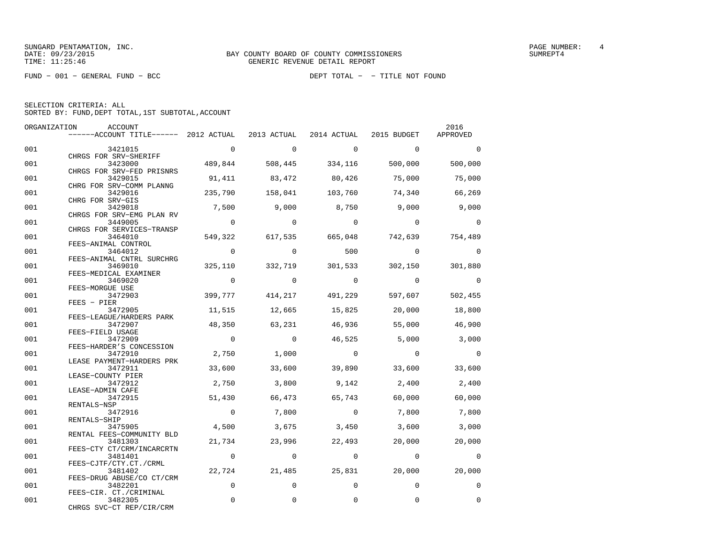| SELECTION CRITERIA: ALL |  |                                                    |  |
|-------------------------|--|----------------------------------------------------|--|
|                         |  | SORTED BY: FUND, DEPT TOTAL, 1ST SUBTOTAL, ACCOUNT |  |

| ORGANIZATION | <b>ACCOUNT</b>                                                            |                |                |                         |                | 2016            |
|--------------|---------------------------------------------------------------------------|----------------|----------------|-------------------------|----------------|-----------------|
|              | ------ACCOUNT TITLE------ 2012 ACTUAL 2013 ACTUAL 2014 ACTUAL 2015 BUDGET |                |                |                         |                | APPROVED        |
| 001          | 3421015                                                                   | $\mathbf{0}$   | $\circ$        | $\overline{0}$          | $\overline{0}$ | $\Omega$        |
|              | CHRGS FOR SRV-SHERIFF                                                     |                |                |                         |                |                 |
| 001          | 3423000                                                                   |                |                | 489,844 508,445 334,116 | 500,000        | 500,000         |
|              | CHRGS FOR SRV-FED PRISNRS                                                 |                |                |                         |                |                 |
| 001          | 3429015                                                                   |                | 91,411 83,472  | 80,426                  | 75,000         | 75,000          |
|              | CHRG FOR SRV-COMM PLANNG                                                  |                |                |                         |                |                 |
| 001          | 3429016<br>CHRG FOR SRV-GIS                                               | 235,790        |                | 158,041 103,760         | 74,340         | 66,269          |
| 001          | 3429018                                                                   | 7,500          | 9,000          | 8,750                   | 9,000          | 9,000           |
|              | CHRGS FOR SRV-EMG PLAN RV                                                 |                |                |                         |                |                 |
| 001          | 3449005                                                                   | $\overline{0}$ | $\overline{0}$ | $\bigcirc$              | $\bigcirc$     | $\Omega$        |
|              | CHRGS FOR SERVICES-TRANSP                                                 |                |                |                         |                |                 |
| 001          | 3464010                                                                   | 549,322        |                | 617,535 665,048         |                | 742,639 754,489 |
|              | FEES-ANIMAL CONTROL                                                       |                |                |                         |                |                 |
| 001          | 3464012<br>FEES-ANIMAL CNTRL SURCHRG                                      | $\mathbf{0}$   | $\overline{0}$ | 500                     | $\overline{0}$ | $\Omega$        |
| 001          | 3469010                                                                   | 325,110        | 332,719        | 301,533                 | 302,150        | 301,880         |
|              | FEES-MEDICAL EXAMINER                                                     |                |                |                         |                |                 |
| 001          | 3469020                                                                   | $\overline{0}$ | $\overline{0}$ | $\overline{0}$          | $\overline{0}$ | $\Omega$        |
|              | FEES-MORGUE USE                                                           |                |                |                         |                |                 |
| 001          | 3472903                                                                   | 399,777        | 414,217        | 491,229                 | 597,607        | 502,455         |
|              | FEES - PIER                                                               |                |                |                         |                |                 |
| 001          | 3472905                                                                   | 11,515         | 12,665         | 15,825                  | 20,000         | 18,800          |
| 001          | FEES-LEAGUE/HARDERS PARK<br>3472907                                       | 48,350         | 63,231         | 46,936                  | 55,000         | 46,900          |
|              | FEES-FIELD USAGE                                                          |                |                |                         |                |                 |
| 001          | 3472909                                                                   | $\overline{0}$ | $\overline{0}$ | 46,525                  | 5,000          | 3,000           |
|              | FEES-HARDER'S CONCESSION                                                  |                |                |                         |                |                 |
| 001          | 3472910                                                                   | 2,750          | 1,000          | $\overline{0}$          | $\overline{0}$ | $\Omega$        |
|              | LEASE PAYMENT-HARDERS PRK                                                 |                |                |                         |                |                 |
| 001          | 3472911                                                                   | 33,600         | 33,600         | 39,890                  | 33,600         | 33,600          |
|              | LEASE-COUNTY PIER                                                         |                |                |                         |                |                 |
| 001          | 3472912                                                                   | 2,750          | 3,800          | 9,142                   | 2,400          | 2,400           |
| 001          | LEASE-ADMIN CAFE<br>3472915                                               | 51,430         | 66,473         | 65,743                  | 60,000         | 60,000          |
|              | RENTALS-NSP                                                               |                |                |                         |                |                 |
| 001          | 3472916                                                                   | $\overline{0}$ | 7,800          | $\overline{0}$          | 7,800          | 7,800           |
|              | RENTALS-SHIP                                                              |                |                |                         |                |                 |
| 001          | 3475905                                                                   | 4,500          | 3,675          | 3,450                   | 3,600          | 3,000           |
|              | RENTAL FEES-COMMUNITY BLD                                                 |                |                |                         |                |                 |
| 001          | 3481303                                                                   | 21,734         | 23,996         | 22,493                  | 20,000         | 20,000          |
|              | FEES-CTY CT/CRM/INCARCRTN                                                 |                | $\overline{0}$ |                         |                |                 |
| 001          | 3481401<br>FEES-CJTF/CTY.CT./CRML                                         | $\overline{0}$ |                | $\overline{0}$          | $\overline{0}$ | $\Omega$        |
| 001          | 3481402                                                                   | 22,724         | 21,485         | 25,831                  | 20,000         | 20,000          |
|              | FEES-DRUG ABUSE/CO CT/CRM                                                 |                |                |                         |                |                 |
| 001          | 3482201                                                                   | $\mathbf 0$    | $\Omega$       | $\Omega$                | $\Omega$       | $\mathbf 0$     |
|              | FEES-CIR. CT./CRIMINAL                                                    |                |                |                         |                |                 |
| 001          | 3482305                                                                   | $\Omega$       | $\Omega$       | 0                       | 0              | $\mathbf 0$     |
|              | CHRGS SVC-CT REP/CIR/CRM                                                  |                |                |                         |                |                 |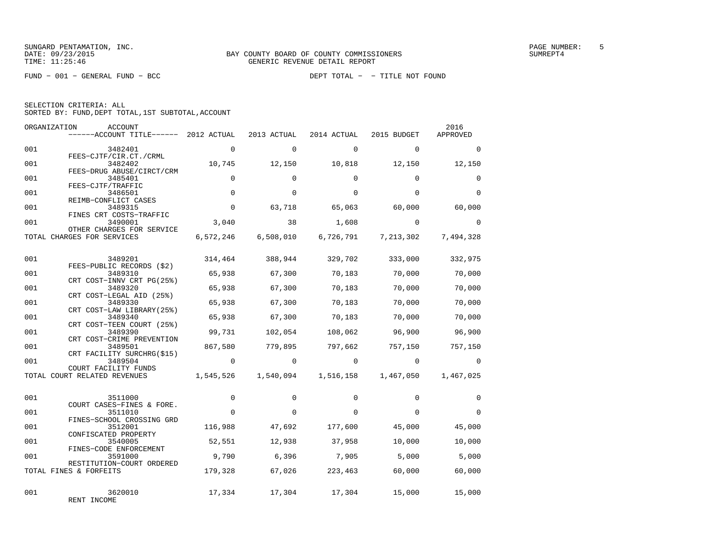| SELECTION CRITERIA: ALL |  |  |                                                    |  |
|-------------------------|--|--|----------------------------------------------------|--|
|                         |  |  | SORTED BY: FUND, DEPT TOTAL, 1ST SUBTOTAL, ACCOUNT |  |

|     | ORGANIZATION<br>ACCOUNT<br>$---ACCOUNT$ TITLE $--- 2012$ ACTUAL   |                | 2013 ACTUAL         | 2014 ACTUAL | 2015 BUDGET | 2016<br>APPROVED |
|-----|-------------------------------------------------------------------|----------------|---------------------|-------------|-------------|------------------|
| 001 | 3482401<br>FEES-CJTF/CIR.CT./CRML                                 | $\Omega$       | $\Omega$            | $\Omega$    | $\Omega$    | $\Omega$         |
| 001 | 3482402<br>FEES-DRUG ABUSE/CIRCT/CRM                              | 10,745         | 12,150              | 10,818      | 12,150      | 12,150           |
| 001 | 3485401<br>FEES-CJTF/TRAFFIC                                      | $\Omega$       | $\Omega$            | $\Omega$    | $\Omega$    | $\Omega$         |
| 001 | 3486501<br>REIMB-CONFLICT CASES                                   | $\mathbf 0$    | $\Omega$            | $\Omega$    | $\Omega$    | $\Omega$         |
| 001 | 3489315<br>FINES CRT COSTS-TRAFFIC                                | $\mathbf 0$    | 63,718              | 65,063      | 60,000      | 60,000           |
| 001 | 3490001<br>OTHER CHARGES FOR SERVICE                              | 3,040          | 38                  | 1,608       | $\Omega$    | $\Omega$         |
|     | TOTAL CHARGES FOR SERVICES                                        | 6,572,246      | 6,508,010           | 6,726,791   | 7,213,302   | 7,494,328        |
| 001 | 3489201                                                           | 314,464        | 388,944             | 329,702     | 333,000     | 332,975          |
| 001 | FEES-PUBLIC RECORDS (\$2)<br>3489310<br>CRT COST-INNV CRT PG(25%) | 65,938         | 67,300              | 70,183      | 70,000      | 70,000           |
| 001 | 3489320<br>CRT COST-LEGAL AID (25%)                               | 65,938         | 67,300              | 70,183      | 70,000      | 70,000           |
| 001 | 3489330<br>CRT COST-LAW LIBRARY (25%)                             | 65,938         | 67,300              | 70,183      | 70,000      | 70,000           |
| 001 | 3489340<br>CRT COST-TEEN COURT (25%)                              | 65,938         | 67,300              | 70,183      | 70,000      | 70,000           |
| 001 | 3489390<br>CRT COST-CRIME PREVENTION                              | 99,731         | 102,054             | 108,062     | 96,900      | 96,900           |
| 001 | 3489501<br>CRT FACILITY SURCHRG(\$15)                             | 867,580        | 779,895             | 797,662     | 757,150     | 757,150          |
| 001 | 3489504<br>COURT FACILITY FUNDS                                   | $\overline{0}$ | $\Omega$            | $\circ$     | $\Omega$    | $\Omega$         |
|     | TOTAL COURT RELATED REVENUES                                      |                | 1,545,526 1,540,094 | 1,516,158   | 1,467,050   | 1,467,025        |
| 001 | 3511000                                                           | $\mathbf 0$    | $\Omega$            | $\Omega$    | $\Omega$    | $\Omega$         |
| 001 | COURT CASES-FINES & FORE.<br>3511010                              | $\overline{0}$ | $\Omega$            | $\Omega$    | $\Omega$    | $\Omega$         |
| 001 | FINES-SCHOOL CROSSING GRD<br>3512001<br>CONFISCATED PROPERTY      | 116,988        | 47,692              | 177,600     | 45,000      | 45,000           |
| 001 | 3540005<br>FINES-CODE ENFORCEMENT                                 | 52,551         | 12,938              | 37,958      | 10,000      | 10,000           |
| 001 | 3591000<br>RESTITUTION-COURT ORDERED                              | 9,790          | 6,396               | 7,905       | 5,000       | 5,000            |
|     | TOTAL FINES & FORFEITS                                            | 179,328        | 67,026              | 223,463     | 60,000      | 60,000           |
| 001 | 3620010<br>RENT INCOME                                            | 17,334         | 17,304              | 17,304      | 15,000      | 15,000           |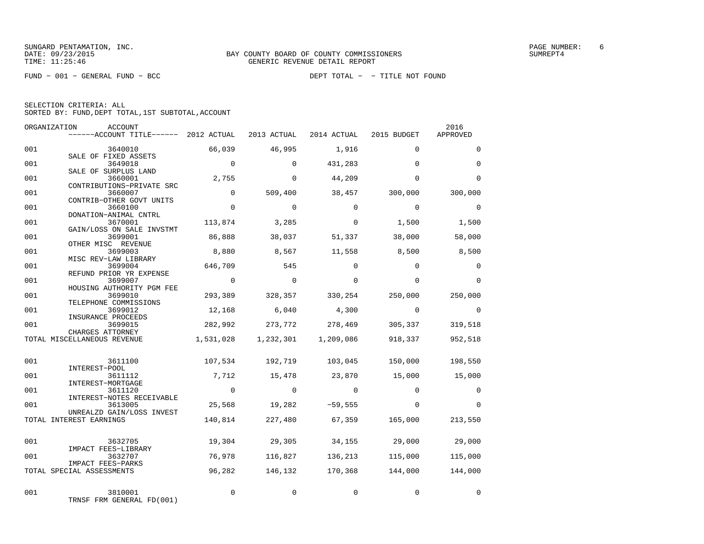| SELECTION CRITERIA: ALL |  |  |                                                    |  |
|-------------------------|--|--|----------------------------------------------------|--|
|                         |  |  | SORTED BY: FUND, DEPT TOTAL, 1ST SUBTOTAL, ACCOUNT |  |

| ORGANIZATION | ACCOUNT<br>------ACCOUNT TITLE------ 2012 ACTUAL 2013 ACTUAL 2014 ACTUAL 2015 BUDGET |                |                |                                         |                | 2016<br>APPROVED |
|--------------|--------------------------------------------------------------------------------------|----------------|----------------|-----------------------------------------|----------------|------------------|
| 001          | 3640010                                                                              | 66,039         | 46,995         | 1,916                                   | $\Omega$       | $\Omega$         |
| 001          | SALE OF FIXED ASSETS<br>3649018<br>SALE OF SURPLUS LAND                              | $\sim$ 0       | $\mathbf 0$    | 431,283                                 | $\Omega$       | $\Omega$         |
| 001          | 3660001<br>CONTRIBUTIONS-PRIVATE SRC                                                 | 2,755          | $\Omega$       | 44,209                                  | $\Omega$       | $\Omega$         |
| 001          | 3660007<br>CONTRIB-OTHER GOVT UNITS                                                  | $\mathbf 0$    | 509,400        | 38,457                                  | 300,000        | 300,000          |
| 001          | 3660100<br>DONATION-ANIMAL CNTRL                                                     | $\Omega$       | $\Omega$       | $\Omega$                                | $\Omega$       | $\Omega$         |
| 001          | 3670001<br>GAIN/LOSS ON SALE INVSTMT                                                 | 113,874        | 3,285          | $\Omega$                                | 1,500          | 1,500            |
| 001          | 3699001<br>OTHER MISC REVENUE                                                        | 86,888         | 38,037         | 51,337                                  | 38,000         | 58,000           |
| 001          | 3699003<br>MISC REV-LAW LIBRARY                                                      | 8,880          | 8,567          | 11,558                                  | 8,500          | 8,500            |
| 001          | 3699004<br>REFUND PRIOR YR EXPENSE                                                   | 646,709        | 545            | $\Omega$                                | $\Omega$       | $\mathbf 0$      |
| 001          | 3699007<br>HOUSING AUTHORITY PGM FEE                                                 | $\overline{0}$ | $\overline{0}$ | 0                                       | $\mathbf{0}$   | $\Omega$         |
| 001          | 3699010<br>TELEPHONE COMMISSIONS                                                     | 293,389        | 328,357        | 330,254                                 | 250,000        | 250,000          |
| 001          | 3699012<br>INSURANCE PROCEEDS                                                        | 12,168         | 6,040          | 4,300                                   | $\overline{0}$ | $\overline{0}$   |
| 001          | 3699015<br>CHARGES ATTORNEY                                                          | 282,992        |                | 273,772 278,469                         | 305,337        | 319,518          |
|              | TOTAL MISCELLANEOUS REVENUE                                                          |                |                | 1,531,028    1,232,301    1,209,086     | 918,337        | 952,518          |
| 001          | 3611100<br>INTEREST-POOL                                                             |                |                | 107,534 192,719 103,045 150,000 198,550 |                |                  |
| 001          | 3611112<br>INTEREST-MORTGAGE                                                         | 7,712          | 15,478         | 23,870                                  | 15,000         | 15,000           |
| 001          | 3611120<br>INTEREST-NOTES RECEIVABLE                                                 | $\sim$ 0       | $\overline{0}$ | $\overline{0}$                          | $\Omega$       | $\mathbf 0$      |
| 001          | 3613005<br>UNREALZD GAIN/LOSS INVEST                                                 |                |                | 25,568 19,282 -59,555                   | $\Omega$       | $\Omega$         |
|              | TOTAL INTEREST EARNINGS                                                              | 140,814        | 227,480        |                                         | 67,359 165,000 | 213,550          |
| 001          | 3632705<br>IMPACT FEES-LIBRARY                                                       |                |                | $19,304$ 29,305 34,155 29,000           |                | 29,000           |
| 001          | 3632707<br>IMPACT FEES-PARKS                                                         | 76,978         | 116,827        | 136,213                                 | 115,000        | 115,000          |
|              | TOTAL SPECIAL ASSESSMENTS                                                            | 96,282         | 146,132        | 170,368                                 | 144,000        | 144,000          |
| 001          | 3810001<br>TRNSF FRM GENERAL FD(001)                                                 | $\mathbf 0$    | 0              | $\Omega$                                | 0              | 0                |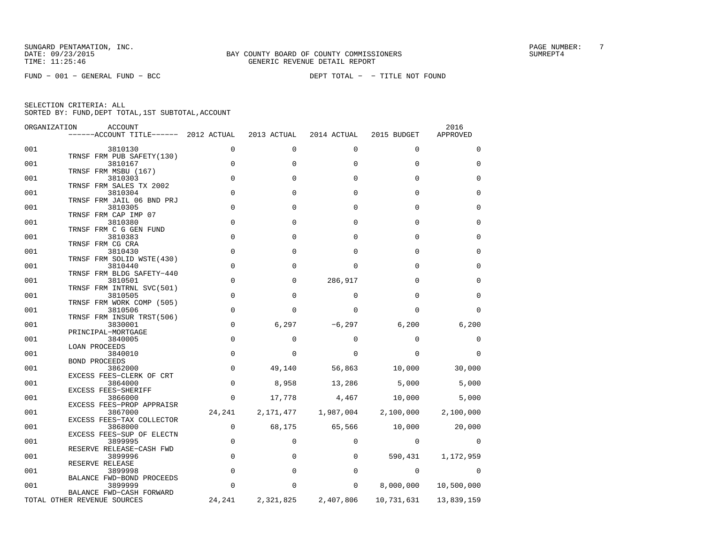FUND − 001 − GENERAL FUND − BCC DEPT TOTAL − − TITLE NOT FOUND

| ORGANIZATION | ACCOUNT<br>$----ACCOUNT$ TITLE $--- 2012$ ACTUAL                  |                | 2013 ACTUAL  | 2014 ACTUAL | 2015 BUDGET  | 2016<br>APPROVED |
|--------------|-------------------------------------------------------------------|----------------|--------------|-------------|--------------|------------------|
| 001          | 3810130                                                           | 0              | 0            | 0           | $\mathbf 0$  | 0                |
| 001          | TRNSF FRM PUB SAFETY (130)<br>3810167                             | $\mathbf 0$    | $\Omega$     | 0           | $\Omega$     | $\Omega$         |
| 001          | TRNSF FRM MSBU (167)<br>3810303                                   | $\overline{0}$ | $\mathbf 0$  | $\mathbf 0$ | $\Omega$     | $\mathbf 0$      |
| 001          | TRNSF FRM SALES TX 2002<br>3810304                                | $\mathbf 0$    | $\Omega$     | $\Omega$    | $\Omega$     | $\Omega$         |
| 001          | TRNSF FRM JAIL 06 BND PRJ<br>3810305                              | $\Omega$       | $\Omega$     | $\Omega$    | $\Omega$     | $\Omega$         |
| 001          | TRNSF FRM CAP IMP 07<br>3810380                                   | $\mathbf 0$    | $\Omega$     | $\Omega$    | $\Omega$     | $\Omega$         |
| 001          | TRNSF FRM C G GEN FUND<br>3810383                                 | $\Omega$       | <sup>0</sup> | $\Omega$    | $\cap$       | $\Omega$         |
| 001          | TRNSF FRM CG CRA<br>3810430                                       | $\mathbf 0$    | $\Omega$     | $\Omega$    | $\Omega$     | $\Omega$         |
| 001          | TRNSF FRM SOLID WSTE(430)<br>3810440                              | $\mathbf 0$    | <sup>0</sup> | 0           | $\Omega$     | $\Omega$         |
| 001          | TRNSF FRM BLDG SAFETY-440<br>3810501<br>TRNSF FRM INTRNL SVC(501) | $\mathbf 0$    | $\Omega$     | 286,917     | $\Omega$     | $\Omega$         |
| 001          | 3810505<br>TRNSF FRM WORK COMP (505)                              | $\mathbf 0$    | $\Omega$     | $\Omega$    | $\Omega$     | $\Omega$         |
| 001          | 3810506<br>TRNSF FRM INSUR TRST(506)                              | $\mathbf 0$    | <sup>0</sup> | $\Omega$    | <sup>0</sup> | $\Omega$         |
| 001          | 3830001<br>PRINCIPAL-MORTGAGE                                     | $\mathsf 0$    | 6,297        | $-6,297$    | 6,200        | 6,200            |
| 001          | 3840005<br><b>LOAN PROCEEDS</b>                                   | $\mathbf 0$    | 0            | $\Omega$    | $\Omega$     | $\Omega$         |
| 001          | 3840010<br><b>BOND PROCEEDS</b>                                   | $\mathbf 0$    | $\Omega$     | 0           | $\Omega$     | $\Omega$         |
| 001          | 3862000<br>EXCESS FEES-CLERK OF CRT                               | $\mathbf 0$    | 49,140       | 56,863      | 10,000       | 30,000           |
| 001          | 3864000<br>EXCESS FEES-SHERIFF                                    | $\mathsf 0$    | 8,958        | 13,286      | 5,000        | 5,000            |
| 001          | 3866000<br>EXCESS FEES-PROP APPRAISR                              | $\mathbf 0$    | 17,778       | 4,467       | 10,000       | 5,000            |
| 001          | 3867000<br>EXCESS FEES-TAX COLLECTOR                              | 24,241         | 2,171,477    | 1,987,004   | 2,100,000    | 2,100,000        |
| 001          | 3868000<br>EXCESS FEES-SUP OF ELECTN                              | 0              | 68,175       | 65,566      | 10,000       | 20,000           |
| 001          | 3899995<br>RESERVE RELEASE-CASH FWD                               | $\mathbf 0$    | 0            | $\Omega$    | 0            | $\Omega$         |
| 001          | 3899996<br>RESERVE RELEASE                                        | $\mathbf 0$    | 0            | 0           | 590,431      | 1,172,959        |
| 001          | 3899998<br>BALANCE FWD-BOND PROCEEDS                              | $\mathbf 0$    | 0            | 0           | 0            | $\Omega$         |
| 001          | 3899999<br>BALANCE FWD-CASH FORWARD                               | 0              | 0            | 0           | 8,000,000    | 10,500,000       |
|              | TOTAL OTHER REVENUE SOURCES                                       | 24,241         | 2,321,825    | 2,407,806   | 10,731,631   | 13,839,159       |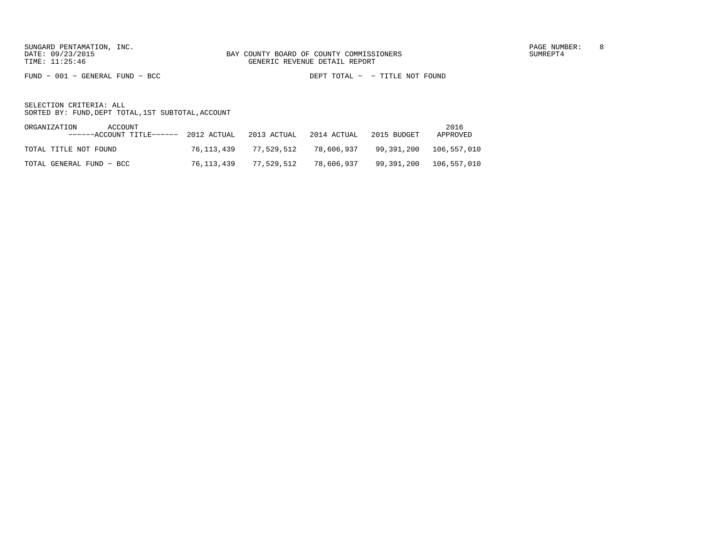FUND − 001 − GENERAL FUND − BCC DEPT TOTAL − − TITLE NOT FOUND

| ORGANIZATION             | ACCOUNT<br>$---ACCOUNT$ TITLE $---2012$ ACTUAL 2013 ACTUAL |            |            | 2014 ACTUAL | 2015 BUDGET | 2016<br>APPROVED       |
|--------------------------|------------------------------------------------------------|------------|------------|-------------|-------------|------------------------|
| TOTAL TITLE NOT FOUND    |                                                            | 76,113,439 | 77,529,512 | 78,606,937  |             |                        |
| TOTAL GENERAL FUND - BCC |                                                            | 76,113,439 | 77,529,512 | 78,606,937  |             | 99,391,200 106,557,010 |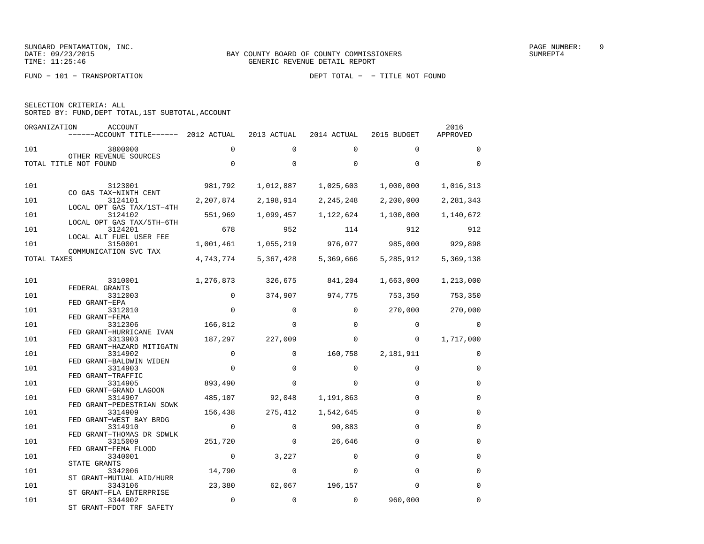|  | SELECTION CRITERIA: ALL |  |                                                    |  |
|--|-------------------------|--|----------------------------------------------------|--|
|  |                         |  | SORTED BY: FUND, DEPT TOTAL, 1ST SUBTOTAL, ACCOUNT |  |
|  |                         |  |                                                    |  |

| ORGANIZATION | ACCOUNT<br>$----ACCOUNT$ TITLE $--- 2012$ ACTUAL |                | 2013 ACTUAL | 2014 ACTUAL               | 2015 BUDGET  | 2016<br>APPROVED |
|--------------|--------------------------------------------------|----------------|-------------|---------------------------|--------------|------------------|
| 101          | 3800000                                          | $\Omega$       | $\Omega$    | $\Omega$                  | $\Omega$     | $\Omega$         |
|              | OTHER REVENUE SOURCES                            | $\Omega$       | $\Omega$    | $\Omega$                  | $\Omega$     | $\Omega$         |
|              | TOTAL TITLE NOT FOUND                            |                |             |                           |              |                  |
| 101          | 3123001<br>CO GAS TAX-NINTH CENT                 | 981,792        | 1,012,887   | 1,025,603                 | 1,000,000    | 1,016,313        |
| 101          | 3124101                                          | 2,207,874      | 2,198,914   | 2, 245, 248               | 2,200,000    | 2,281,343        |
| 101          | LOCAL OPT GAS TAX/1ST-4TH<br>3124102             | 551,969        | 1,099,457   | 1,122,624                 | 1,100,000    | 1,140,672        |
| 101          | LOCAL OPT GAS TAX/5TH-6TH<br>3124201             | 678            | 952         | 114                       | 912          | 912              |
| 101          | LOCAL ALT FUEL USER FEE<br>3150001               | 1,001,461      |             | 1,055,219 976,077 985,000 |              | 929,898          |
| TOTAL TAXES  | COMMUNICATION SVC TAX                            | 4,743,774      | 5,367,428   | 5,369,666                 | 5,285,912    | 5,369,138        |
|              |                                                  |                |             |                           |              |                  |
| 101          | 3310001<br>FEDERAL GRANTS                        | 1,276,873      | 326,675     | 841,204                   | 1,663,000    | 1,213,000        |
| 101          | 3312003<br>FED GRANT-EPA                         | $\overline{0}$ | 374,907     | 974,775                   | 753,350      | 753,350          |
| 101          | 3312010<br>FED GRANT-FEMA                        | $\Omega$       | $\Omega$    | $\Omega$                  | 270,000      | 270,000          |
| 101          | 3312306                                          | 166,812        | $\Omega$    | $\Omega$                  | $\Omega$     | $\Omega$         |
| 101          | FED GRANT-HURRICANE IVAN<br>3313903              | 187,297        | 227,009     | 0                         | $\mathbf{0}$ | 1,717,000        |
| 101          | FED GRANT-HAZARD MITIGATN<br>3314902             | $\mathbf 0$    | $\Omega$    | 160,758                   | 2,181,911    | $\Omega$         |
| 101          | FED GRANT-BALDWIN WIDEN<br>3314903               | $\Omega$       | $\Omega$    | $\Omega$                  | $\Omega$     | $\Omega$         |
| 101          | FED GRANT-TRAFFIC<br>3314905                     | 893,490        | 0           | $\Omega$                  | $\Omega$     | $\Omega$         |
| 101          | FED GRANT-GRAND LAGOON<br>3314907                | 485,107        | 92,048      | 1,191,863                 | $\Omega$     | $\Omega$         |
| 101          | FED GRANT-PEDESTRIAN SDWK<br>3314909             | 156,438        | 275,412     | 1,542,645                 | $\Omega$     | $\Omega$         |
| 101          | FED GRANT-WEST BAY BRDG<br>3314910               | $\mathbf 0$    | $\Omega$    | 90,883                    | $\Omega$     | $\Omega$         |
|              | FED GRANT-THOMAS DR SDWLK                        |                |             |                           | $\Omega$     | $\mathbf 0$      |
| 101          | 3315009<br>FED GRANT-FEMA FLOOD                  | 251,720        | $\mathbf 0$ | 26,646                    |              |                  |
| 101          | 3340001<br>STATE GRANTS                          | $\mathbf 0$    | 3,227       | $\Omega$                  | $\Omega$     | $\Omega$         |
| 101          | 3342006<br>ST GRANT-MUTUAL AID/HURR              | 14,790         | $\mathbf 0$ | $\Omega$                  | $\Omega$     | $\Omega$         |
| 101          | 3343106<br>ST GRANT-FLA ENTERPRISE               | 23,380         | 62,067      | 196,157                   | $\Omega$     | $\Omega$         |
| 101          | 3344902<br>ST GRANT-FDOT TRF SAFETY              | $\mathbf 0$    | $\mathbf 0$ | $\Omega$                  | 960,000      | $\Omega$         |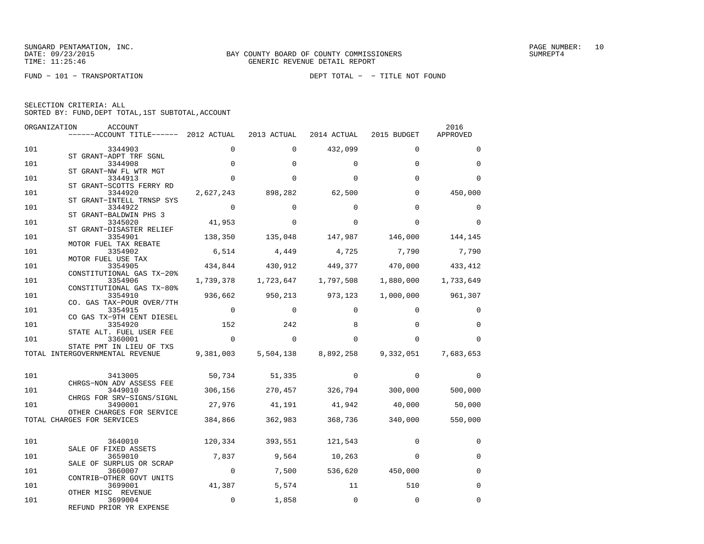|  | SELECTION CRITERIA: ALL |                                                    |
|--|-------------------------|----------------------------------------------------|
|  |                         | SORTED BY: FUND, DEPT TOTAL, 1ST SUBTOTAL, ACCOUNT |

| ORGANIZATION | ACCOUNT<br>------ACCOUNT TITLE------ 2012 ACTUAL                  |                | 2013 ACTUAL   | 2014 ACTUAL                     | 2015 BUDGET                                                 | 2016<br>APPROVED  |
|--------------|-------------------------------------------------------------------|----------------|---------------|---------------------------------|-------------------------------------------------------------|-------------------|
| 101          | 3344903                                                           | $\Omega$       | $\Omega$      | 432,099                         | $\Omega$                                                    | $\Omega$          |
| 101          | ST GRANT-ADPT TRF SGNL<br>3344908                                 | $\mathbf 0$    | $\Omega$      | $\Omega$                        | $\Omega$                                                    | $\Omega$          |
| 101          | ST GRANT-NW FL WTR MGT<br>3344913                                 | $\Omega$       | $\Omega$      | $\Omega$                        | $\Omega$                                                    | $\Omega$          |
| 101          | ST GRANT-SCOTTS FERRY RD<br>3344920                               | 2,627,243      | 898,282       | 62,500                          | $\Omega$                                                    | 450,000           |
| 101          | ST GRANT-INTELL TRNSP SYS<br>3344922                              | $\overline{0}$ | $\Omega$      | $\Omega$                        | $\Omega$                                                    | $\Omega$          |
| 101          | ST GRANT-BALDWIN PHS 3<br>3345020                                 | 41,953         | $\Omega$      | $\Omega$                        | $\Omega$                                                    | $\Omega$          |
| 101          | ST GRANT-DISASTER RELIEF<br>3354901                               | 138,350        | 135,048       | 147,987                         | 146,000                                                     | 144,145           |
| 101          | MOTOR FUEL TAX REBATE<br>3354902<br>MOTOR FUEL USE TAX            | 6,514          | 4,449         | 4,725                           | 7,790                                                       | 7,790             |
| 101          | 3354905<br>CONSTITUTIONAL GAS TX-20%                              |                |               |                                 | 434,844 430,912 449,377 470,000 433,412                     |                   |
| 101          | 3354906<br>CONSTITUTIONAL GAS TX-80%                              |                |               |                                 | $1,739,378$ $1,723,647$ $1,797,508$ $1,880,000$ $1,733,649$ |                   |
| 101          | 3354910<br>CO. GAS TAX-POUR OVER/7TH                              | 936,662        | 950,213       | 973,123                         |                                                             | 1,000,000 961,307 |
| 101          | 3354915<br>CO GAS TX-9TH CENT DIESEL                              | $\mathbf 0$    | $\Omega$      | $\Omega$                        | $\Omega$                                                    | $\Omega$          |
| 101          | 3354920<br>STATE ALT. FUEL USER FEE                               | 152            | 242           | 8                               | $\Omega$                                                    | $\Omega$          |
| 101          | 3360001<br>STATE PMT IN LIEU OF TXS                               | $\Omega$       | $\Omega$      | $\Omega$                        | $\Omega$                                                    | $\Omega$          |
|              | TOTAL INTERGOVERNMENTAL REVENUE                                   |                |               |                                 | 9,381,003 5,504,138 8,892,258 9,332,051                     | 7,683,653         |
| 101          | 3413005                                                           |                | 50,734 51,335 | $\Omega$                        | $\Omega$                                                    | $\Omega$          |
| 101          | CHRGS-NON ADV ASSESS FEE<br>3449010                               |                |               |                                 | 306,156 270,457 326,794 300,000 500,000                     |                   |
| 101          | CHRGS FOR SRV-SIGNS/SIGNL<br>3490001<br>OTHER CHARGES FOR SERVICE |                |               |                                 | 27,976 41,191 41,942 40,000                                 | 50,000            |
|              | TOTAL CHARGES FOR SERVICES                                        |                |               | 384,866 362,983 368,736 340,000 |                                                             | 550,000           |
| 101          | 3640010                                                           |                |               | 120,334 393,551 121,543         | $\Omega$                                                    | 0                 |
| 101          | SALE OF FIXED ASSETS<br>3659010                                   |                |               | 7,837 9,564 10,263              | $\Omega$                                                    | $\Omega$          |
| 101          | SALE OF SURPLUS OR SCRAP<br>3660007                               | $\overline{0}$ |               | 7,500 536,620 450,000           |                                                             | $\Omega$          |
| 101          | CONTRIB-OTHER GOVT UNITS<br>3699001                               | 41,387         | 5,574         | 11                              | 510                                                         | $\Omega$          |
| 101          | OTHER MISC REVENUE<br>3699004<br>REFUND PRIOR YR EXPENSE          | $\mathbf 0$    | 1,858         | $\Omega$                        | $\Omega$                                                    | $\Omega$          |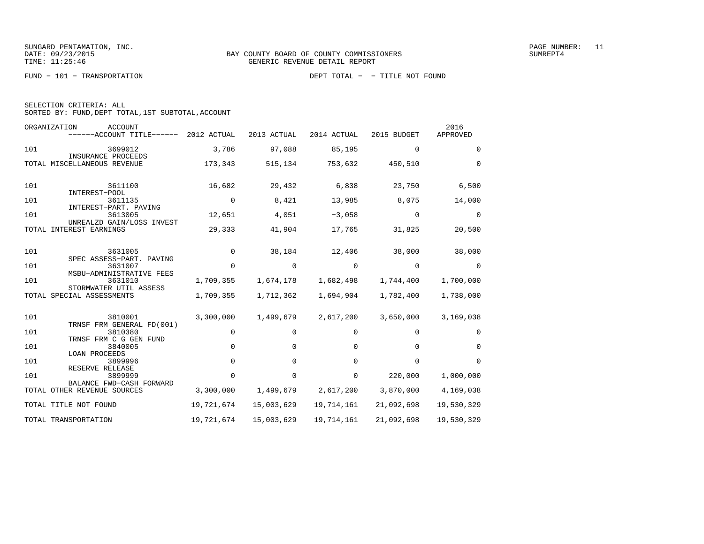| SELECTION CRITERIA: ALL |  |  |                                                    |  |
|-------------------------|--|--|----------------------------------------------------|--|
|                         |  |  | SORTED BY: FUND, DEPT TOTAL, 1ST SUBTOTAL, ACCOUNT |  |

| ORGANIZATION | <b>ACCOUNT</b><br>------ACCOUNT TITLE------         | 2012 ACTUAL | 2013 ACTUAL | 2014 ACTUAL | 2015 BUDGET | 2016<br>APPROVED |
|--------------|-----------------------------------------------------|-------------|-------------|-------------|-------------|------------------|
| 101          | 3699012                                             | 3,786       | 97,088      | 85,195      | $\mathbf 0$ | $\Omega$         |
|              | INSURANCE PROCEEDS<br>TOTAL MISCELLANEOUS REVENUE   | 173,343     | 515,134     | 753,632     | 450,510     | $\Omega$         |
| 101          | 3611100<br>INTEREST-POOL                            | 16,682      | 29,432      | 6,838       | 23,750      | 6,500            |
| 101          | 3611135<br>INTEREST-PART. PAVING                    | $\mathbf 0$ | 8,421       | 13,985      | 8,075       | 14,000           |
| 101          | 3613005<br>UNREALZD GAIN/LOSS INVEST                | 12,651      | 4,051       | $-3,058$    | $\Omega$    | $\Omega$         |
| TOTAL        | INTEREST EARNINGS                                   | 29,333      | 41,904      | 17,765      | 31,825      | 20,500           |
| 101          | 3631005<br>SPEC ASSESS-PART. PAVING                 | $\Omega$    | 38,184      | 12,406      | 38,000      | 38,000           |
| 101          | 3631007                                             | $\Omega$    | 0           | $\Omega$    | $\Omega$    | $\Omega$         |
| 101          | MSBU-ADMINISTRATIVE FEES<br>3631010                 | 1,709,355   | 1,674,178   | 1,682,498   | 1,744,400   | 1,700,000        |
|              | STORMWATER UTIL ASSESS<br>TOTAL SPECIAL ASSESSMENTS | 1,709,355   | 1,712,362   | 1,694,904   | 1,782,400   | 1,738,000        |
| 101          | 3810001<br>TRNSF FRM GENERAL FD(001)                | 3,300,000   | 1,499,679   | 2,617,200   | 3,650,000   | 3,169,038        |
| 101          | 3810380<br>TRNSF FRM C G GEN FUND                   | 0           | $\Omega$    | 0           | $\Omega$    | 0                |
| 101          | 3840005                                             | $\Omega$    | $\Omega$    | $\Omega$    | $\Omega$    | $\Omega$         |
| 101          | LOAN PROCEEDS<br>3899996                            | 0           | 0           | $\Omega$    | $\Omega$    | $\Omega$         |
| 101          | RESERVE RELEASE<br>3899999                          | $\Omega$    | 0           | $\Omega$    | 220,000     | 1,000,000        |
| TOTAL        | BALANCE FWD-CASH FORWARD<br>OTHER REVENUE SOURCES   | 3,300,000   | 1,499,679   | 2,617,200   | 3,870,000   | 4,169,038        |
|              | TOTAL TITLE NOT FOUND                               | 19,721,674  | 15,003,629  | 19,714,161  | 21,092,698  | 19,530,329       |
|              | TOTAL TRANSPORTATION                                | 19,721,674  | 15,003,629  | 19,714,161  | 21,092,698  | 19,530,329       |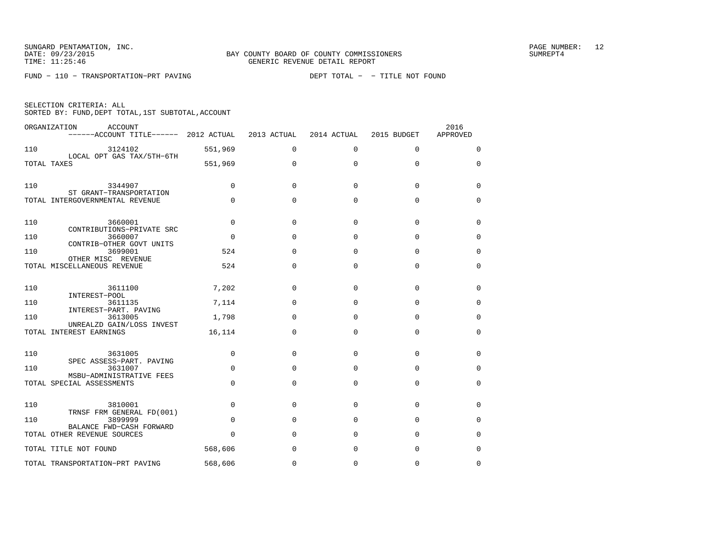FUND − 110 − TRANSPORTATION−PRT PAVING DEPT TOTAL − − TITLE NOT FOUND

| SELECTION CRITERIA: ALL |  |  |                                                    |  |
|-------------------------|--|--|----------------------------------------------------|--|
|                         |  |  | SORTED BY: FUND, DEPT TOTAL, 1ST SUBTOTAL, ACCOUNT |  |

|     | ORGANIZATION<br><b>ACCOUNT</b><br>------ACCOUNT TITLE------ 2012 ACTUAL |          | 2013 ACTUAL  | 2014 ACTUAL | 2015 BUDGET | 2016<br>APPROVED |
|-----|-------------------------------------------------------------------------|----------|--------------|-------------|-------------|------------------|
| 110 | 3124102                                                                 | 551,969  | $\Omega$     | $\mathbf 0$ | $\mathbf 0$ | 0                |
|     | LOCAL OPT GAS TAX/5TH-6TH<br>TOTAL TAXES                                | 551,969  | $\Omega$     | $\Omega$    | $\Omega$    | $\Omega$         |
| 110 | 3344907<br>ST GRANT-TRANSPORTATION                                      | $\Omega$ | <sup>0</sup> | $\Omega$    | $\Omega$    | 0                |
|     | TOTAL INTERGOVERNMENTAL REVENUE                                         | $\Omega$ | $\Omega$     | $\Omega$    | $\Omega$    | 0                |
| 110 | 3660001<br>CONTRIBUTIONS-PRIVATE SRC                                    | $\Omega$ | $\Omega$     | $\Omega$    | $\Omega$    | 0                |
| 110 | 3660007<br>CONTRIB-OTHER GOVT UNITS                                     | $\Omega$ | $\Omega$     | $\Omega$    | $\Omega$    | $\Omega$         |
| 110 | 3699001                                                                 | 524      | $\Omega$     | $\Omega$    | $\Omega$    | 0                |
|     | OTHER MISC REVENUE<br>TOTAL MISCELLANEOUS REVENUE                       | 524      | $\mathbf 0$  | $\mathbf 0$ | $\mathbf 0$ | 0                |
| 110 | 3611100<br>INTEREST-POOL                                                | 7,202    | $\Omega$     | $\Omega$    | $\mathbf 0$ | 0                |
| 110 | 3611135<br>INTEREST-PART. PAVING                                        | 7,114    | $\Omega$     | $\Omega$    | $\Omega$    | 0                |
| 110 | 3613005                                                                 | 1,798    | $\Omega$     | $\Omega$    | $\mathbf 0$ | 0                |
|     | UNREALZD GAIN/LOSS INVEST<br>TOTAL INTEREST EARNINGS                    | 16,114   | $\Omega$     | $\Omega$    | $\Omega$    | $\Omega$         |
| 110 | 3631005<br>SPEC ASSESS-PART. PAVING                                     | $\Omega$ | $\Omega$     | $\Omega$    | $\Omega$    | $\Omega$         |
| 110 | 3631007                                                                 | $\Omega$ | $\Omega$     | $\Omega$    | $\Omega$    | 0                |
|     | MSBU-ADMINISTRATIVE FEES<br>TOTAL SPECIAL ASSESSMENTS                   | $\Omega$ | $\Omega$     | $\Omega$    | $\Omega$    | $\Omega$         |
| 110 | 3810001<br>TRNSF FRM GENERAL FD(001)                                    | $\Omega$ | $\Omega$     | $\Omega$    | $\Omega$    | $\Omega$         |
| 110 | 3899999                                                                 | $\Omega$ | $\Omega$     | $\Omega$    | $\Omega$    | 0                |
|     | BALANCE FWD-CASH FORWARD<br>TOTAL OTHER REVENUE SOURCES                 | $\Omega$ | $\Omega$     | $\Omega$    | $\mathbf 0$ | 0                |
|     | TOTAL TITLE NOT FOUND                                                   | 568,606  | $\Omega$     | 0           | $\Omega$    | $\Omega$         |
|     | TOTAL TRANSPORTATION-PRT PAVING                                         | 568,606  | $\Omega$     | $\Omega$    | $\Omega$    | $\Omega$         |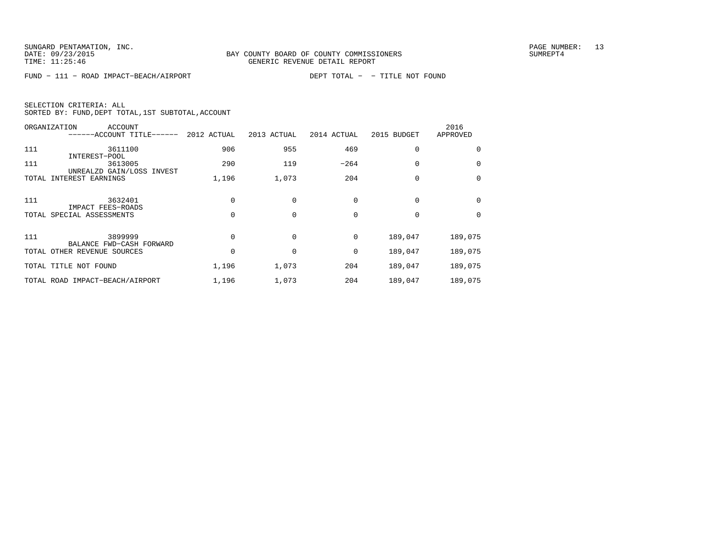FUND − 111 − ROAD IMPACT−BEACH/AIRPORT DEPT TOTAL − − TITLE NOT FOUND

| SELECTION CRITERIA: ALL |  |  |                                                    |  |
|-------------------------|--|--|----------------------------------------------------|--|
|                         |  |  | SORTED BY: FUND, DEPT TOTAL, 1ST SUBTOTAL, ACCOUNT |  |

| ORGANIZATION | <b>ACCOUNT</b><br>------ACCOUNT TITLE------             | 2012 ACTUAL | 2013 ACTUAL | 2014 ACTUAL | 2015 BUDGET | 2016<br>APPROVED |
|--------------|---------------------------------------------------------|-------------|-------------|-------------|-------------|------------------|
| 111          | 3611100                                                 | 906         | 955         | 469         | 0           | 0                |
| 111          | INTEREST-POOL<br>3613005                                | 290         | 119         | $-264$      | $\Omega$    | $\Omega$         |
| TOTAL        | UNREALZD GAIN/LOSS INVEST<br>INTEREST EARNINGS          | 1,196       | 1,073       | 204         | 0           | $\Omega$         |
| 111          | 3632401                                                 |             |             | 0           | 0           | $\Omega$         |
|              | IMPACT FEES-ROADS<br>TOTAL SPECIAL ASSESSMENTS          |             | $\Omega$    | $\Omega$    | $\Omega$    | $\Omega$         |
| 111          | 3899999                                                 |             | $\Omega$    | 0           | 189,047     | 189,075          |
|              | BALANCE FWD-CASH FORWARD<br>TOTAL OTHER REVENUE SOURCES |             |             | 0           | 189,047     | 189,075          |
|              | TOTAL TITLE NOT FOUND                                   | 1,196       | 1,073       | 204         | 189,047     | 189,075          |
|              | TOTAL ROAD IMPACT-BEACH/AIRPORT                         | 1,196       | 1,073       | 204         | 189,047     | 189,075          |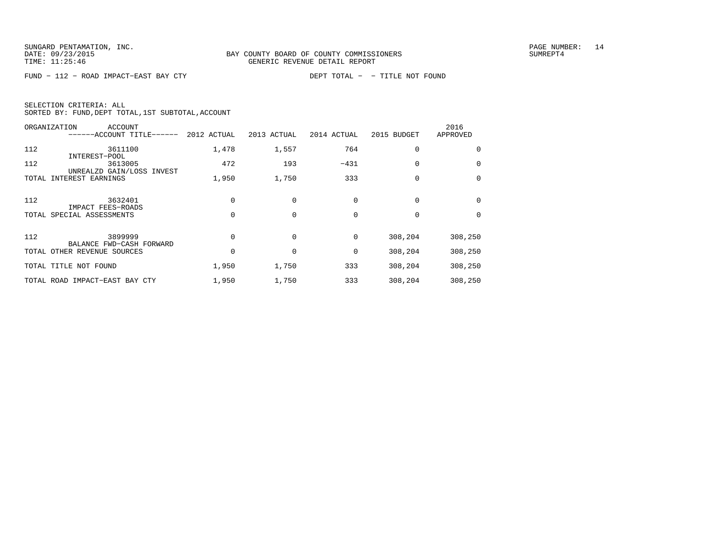FUND − 112 − ROAD IMPACT−EAST BAY CTY DEPT TOTAL − − TITLE NOT FOUND

| SELECTION CRITERIA: ALL |  |                                                    |  |
|-------------------------|--|----------------------------------------------------|--|
|                         |  | SORTED BY: FUND, DEPT TOTAL, 1ST SUBTOTAL, ACCOUNT |  |

|       | <b>ACCOUNT</b><br>ORGANIZATION<br>------ACCOUNT TITLE------ | 2012 ACTUAL | 2013 ACTUAL | 2014 ACTUAL | 2015 BUDGET | 2016<br>APPROVED |
|-------|-------------------------------------------------------------|-------------|-------------|-------------|-------------|------------------|
| 112   | 3611100<br>INTEREST-POOL                                    | 1,478       | 1,557       | 764         | 0           | $\Omega$         |
| 112   | 3613005<br>UNREALZD GAIN/LOSS INVEST                        | 472         | 193         | $-431$      | 0           | $\Omega$         |
| TOTAL | INTEREST EARNINGS                                           | 1,950       | 1,750       | 333         | 0           | $\Omega$         |
| 112   | 3632401<br>IMPACT FEES-ROADS                                |             |             |             | 0           | $\Omega$         |
|       | TOTAL SPECIAL ASSESSMENTS                                   |             |             | $\Omega$    | $\Omega$    | $\Omega$         |
| 112   | 3899999<br>BALANCE FWD-CASH FORWARD                         |             |             | 0           | 308,204     | 308,250          |
|       | TOTAL OTHER REVENUE SOURCES                                 |             |             | 0           | 308,204     | 308,250          |
|       | TOTAL TITLE NOT FOUND                                       | 1,950       | 1,750       | 333         | 308,204     | 308,250          |
|       | TOTAL ROAD IMPACT-EAST BAY CTY                              | 1,950       | 1,750       | 333         | 308,204     | 308,250          |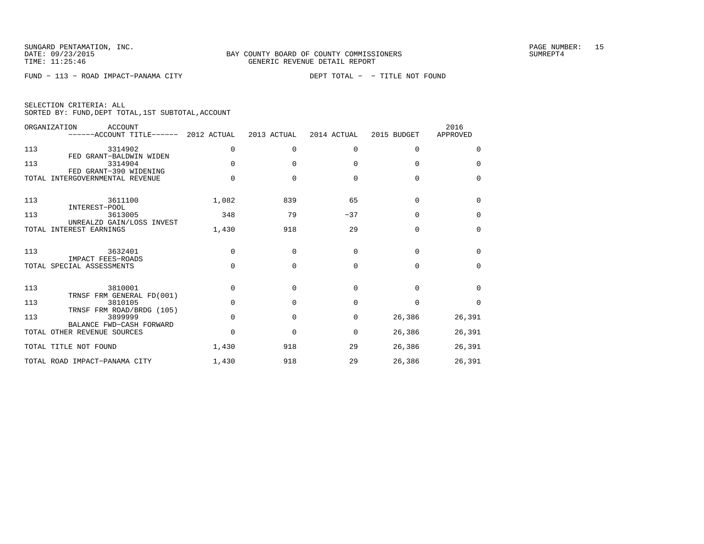FUND − 113 − ROAD IMPACT−PANAMA CITY DEPT TOTAL − − TITLE NOT FOUND

|  | SELECTION CRITERIA: ALL |                                                    |  |
|--|-------------------------|----------------------------------------------------|--|
|  |                         | SORTED BY: FUND, DEPT TOTAL, 1ST SUBTOTAL, ACCOUNT |  |

|              | ORGANIZATION<br>ACCOUNT<br>------ACCOUNT TITLE------ 2012 ACTUAL |              | 2013 ACTUAL | 2014 ACTUAL  | 2015 BUDGET | 2016<br>APPROVED |
|--------------|------------------------------------------------------------------|--------------|-------------|--------------|-------------|------------------|
| 113          | 3314902<br>FED GRANT-BALDWIN WIDEN                               | $\Omega$     | 0           | $\Omega$     | $\Omega$    | 0                |
| 113          | 3314904<br>FED GRANT-390 WIDENING                                | $\Omega$     | $\Omega$    | $\Omega$     | $\Omega$    | $\Omega$         |
| <b>TOTAL</b> | INTERGOVERNMENTAL REVENUE                                        |              | $\Omega$    | $\Omega$     | $\Omega$    | $\Omega$         |
| 113          | 3611100<br>INTEREST-POOL                                         | 1,082        | 839         | 65           | $\Omega$    | $\Omega$         |
| 113          | 3613005<br>UNREALZD GAIN/LOSS INVEST                             | 348          | 79          | $-37$        | $\Omega$    | $\Omega$         |
| TOTAL        | INTEREST EARNINGS                                                | 1,430        | 918         | 29           | $\Omega$    | 0                |
| 113          | 3632401                                                          | $\Omega$     | $\Omega$    | $\Omega$     | $\Omega$    | $\Omega$         |
|              | IMPACT FEES-ROADS<br>TOTAL SPECIAL ASSESSMENTS                   | $\Omega$     | $\Omega$    | $\Omega$     | $\Omega$    | $\Omega$         |
| 113          | 3810001<br>TRNSF FRM GENERAL FD(001)                             | $\Omega$     | 0           | <sup>0</sup> | $\Omega$    | $\Omega$         |
| 113          | 3810105                                                          | $\Omega$     | $\Omega$    | $\Omega$     | $\Omega$    | $\Omega$         |
| 113          | TRNSF FRM ROAD/BRDG (105)<br>3899999<br>BALANCE FWD-CASH FORWARD | $\Omega$     | $\Omega$    | 0            | 26,386      | 26,391           |
|              | TOTAL OTHER REVENUE SOURCES                                      | <sup>0</sup> | $\Omega$    | $\Omega$     | 26,386      | 26,391           |
|              | TOTAL TITLE NOT FOUND                                            | 1,430        | 918         | 29           | 26,386      | 26,391           |
|              | TOTAL ROAD IMPACT-PANAMA CITY                                    | 1,430        | 918         | 29           | 26,386      | 26,391           |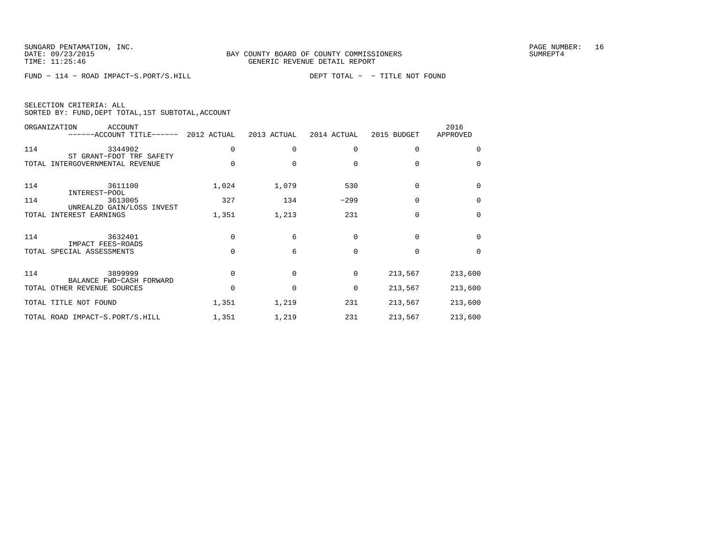FUND − 114 − ROAD IMPACT−S.PORT/S.HILL DEPT TOTAL − − TITLE NOT FOUND

| SELECTION CRITERIA: ALL |                                                    |
|-------------------------|----------------------------------------------------|
|                         | SORTED BY: FUND, DEPT TOTAL, 1ST SUBTOTAL, ACCOUNT |

|       | ORGANIZATION<br>ACCOUNT<br>------ACCOUNT TITLE------ 2012 ACTUAL |          | 2013 ACTUAL | 2014 ACTUAL | 2015 BUDGET | 2016<br>APPROVED |
|-------|------------------------------------------------------------------|----------|-------------|-------------|-------------|------------------|
| 114   | 3344902<br>ST GRANT-FDOT TRF SAFETY                              | $\Omega$ | $\Omega$    | $\Omega$    | $\Omega$    | $\Omega$         |
| TOTAL | INTERGOVERNMENTAL REVENUE                                        | $\Omega$ | $\Omega$    | $\Omega$    | $\Omega$    | 0                |
| 114   | 3611100<br>INTEREST-POOL                                         | 1,024    | 1,079       | 530         | $\Omega$    | $\Omega$         |
| 114   | 3613005<br>UNREALZD GAIN/LOSS INVEST                             | 327      | 134         | $-299$      | 0           | 0                |
| TOTAL | INTEREST EARNINGS                                                | 1,351    | 1,213       | 231         | $\Omega$    | $\Omega$         |
| 114   | 3632401                                                          | $\Omega$ | 6           | $\Omega$    | $\Omega$    | $\Omega$         |
|       | IMPACT FEES-ROADS<br>TOTAL SPECIAL ASSESSMENTS                   | $\Omega$ | 6           | $\Omega$    | $\Omega$    | $\Omega$         |
| 114   | 3899999                                                          | $\Omega$ | $\Omega$    | $\Omega$    | 213,567     | 213,600          |
|       | BALANCE FWD-CASH FORWARD<br>TOTAL OTHER REVENUE SOURCES          | $\Omega$ | $\Omega$    | $\mathbf 0$ | 213,567     | 213,600          |
|       | TOTAL TITLE NOT FOUND                                            | 1,351    | 1,219       | 231         | 213,567     | 213,600          |
|       | TOTAL ROAD IMPACT-S.PORT/S.HILL                                  | 1,351    | 1,219       | 231         | 213,567     | 213,600          |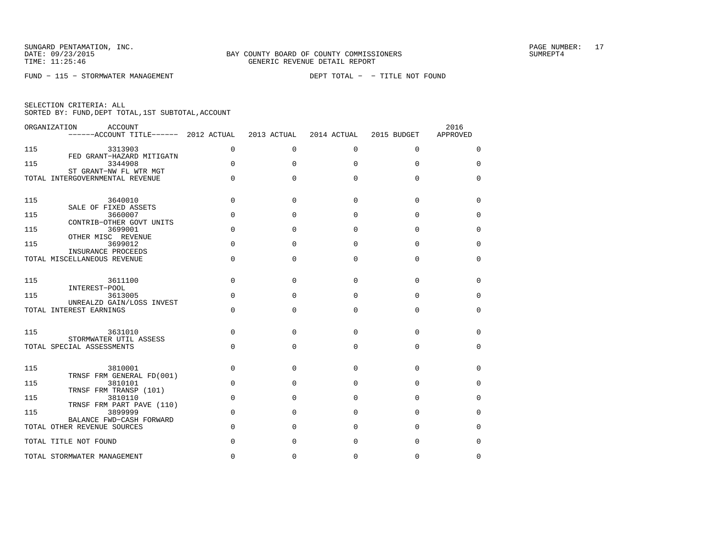FUND − 115 − STORMWATER MANAGEMENT DEPT TOTAL − − TITLE NOT FOUND

|  | SELECTION CRITERIA: ALL |                                                    |
|--|-------------------------|----------------------------------------------------|
|  |                         | SORTED BY: FUND, DEPT TOTAL, 1ST SUBTOTAL, ACCOUNT |

|     | ORGANIZATION<br>ACCOUNT<br>$----ACCOUNT$ TITLE $--- 2012$ ACTUAL |             | 2013 ACTUAL  | 2014 ACTUAL  | 2015 BUDGET  | 2016<br>APPROVED |
|-----|------------------------------------------------------------------|-------------|--------------|--------------|--------------|------------------|
| 115 | 3313903                                                          | $\Omega$    | $\Omega$     | $\Omega$     | $\Omega$     | $\Omega$         |
| 115 | FED GRANT-HAZARD MITIGATN<br>3344908                             | $\Omega$    | $\Omega$     | $\Omega$     | $\Omega$     | $\Omega$         |
|     | ST GRANT-NW FL WTR MGT<br>TOTAL INTERGOVERNMENTAL REVENUE        | $\mathbf 0$ | $\Omega$     | 0            | $\Omega$     | $\mathbf 0$      |
| 115 | 3640010<br>SALE OF FIXED ASSETS                                  | $\Omega$    | $\Omega$     | $\Omega$     | $\Omega$     | 0                |
| 115 | 3660007<br>CONTRIB-OTHER GOVT UNITS                              | $\Omega$    | 0            | $\Omega$     | $\Omega$     | $\Omega$         |
| 115 | 3699001                                                          | $\mathbf 0$ | 0            | $\Omega$     | $\Omega$     | $\Omega$         |
| 115 | OTHER MISC REVENUE<br>3699012                                    | $\Omega$    | <sup>0</sup> | $\Omega$     | $\Omega$     | $\Omega$         |
|     | INSURANCE PROCEEDS<br>TOTAL MISCELLANEOUS REVENUE                | $\Omega$    | 0            | 0            | $\Omega$     | $\mathbf 0$      |
| 115 | 3611100<br>INTEREST-POOL                                         | $\Omega$    | $\Omega$     | $\Omega$     | $\Omega$     | 0                |
| 115 | 3613005                                                          | $\Omega$    | $\Omega$     | $\Omega$     | $\Omega$     | $\Omega$         |
|     | UNREALZD GAIN/LOSS INVEST<br>TOTAL INTEREST EARNINGS             | $\Omega$    | 0            | $\Omega$     | $\Omega$     | 0                |
| 115 | 3631010<br>STORMWATER UTIL ASSESS                                | $\Omega$    | $\Omega$     | $\Omega$     | $\Omega$     | $\Omega$         |
|     | TOTAL SPECIAL ASSESSMENTS                                        | $\Omega$    | 0            | $\Omega$     | $\Omega$     | $\Omega$         |
| 115 | 3810001<br>TRNSF FRM GENERAL FD(001)                             | $\Omega$    | $\Omega$     | $\Omega$     | $\Omega$     | $\Omega$         |
| 115 | 3810101                                                          | $\Omega$    | 0            | $\Omega$     | $\Omega$     | 0                |
| 115 | TRNSF FRM TRANSP (101)<br>3810110                                | $\Omega$    | 0            | $\Omega$     | $\Omega$     | $\Omega$         |
| 115 | TRNSF FRM PART PAVE (110)<br>3899999                             | $\Omega$    | <sup>0</sup> | $\Omega$     | $\Omega$     | $\Omega$         |
|     | BALANCE FWD-CASH FORWARD<br>TOTAL OTHER REVENUE SOURCES          | $\Omega$    | <sup>0</sup> | $\Omega$     | $\Omega$     | $\Omega$         |
|     | TOTAL TITLE NOT FOUND                                            | $\Omega$    | 0            | $\Omega$     | $\Omega$     | $\mathbf 0$      |
|     | TOTAL STORMWATER MANAGEMENT                                      | $\cap$      | <sup>0</sup> | <sup>0</sup> | <sup>0</sup> | $\Omega$         |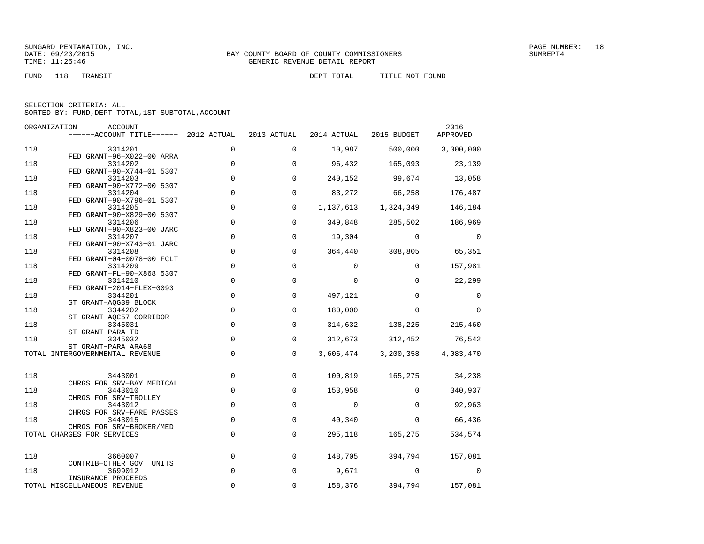FUND − 118 − TRANSIT DEPT TOTAL − − TITLE NOT FOUND

| SELECTION CRITERIA: ALL |  |  |                                                    |  |
|-------------------------|--|--|----------------------------------------------------|--|
|                         |  |  | SORTED BY: FUND, DEPT TOTAL, 1ST SUBTOTAL, ACCOUNT |  |

|            | ORGANIZATION<br>ACCOUNT<br>------ACCOUNT TITLE------ 2012 ACTUAL  |                            | 2013 ACTUAL  | 2014 ACTUAL                | 2015 BUDGET                   | 2016<br>APPROVED    |
|------------|-------------------------------------------------------------------|----------------------------|--------------|----------------------------|-------------------------------|---------------------|
| 118        | 3314201                                                           | $\mathbf 0$                | 0            | 10,987                     | 500,000                       | 3,000,000           |
| 118        | FED GRANT-96-X022-00 ARRA<br>3314202<br>FED GRANT-90-X744-01 5307 | $\mathbf 0$                | 0            | 96,432                     | 165,093                       | 23,139              |
| 118        | 3314203<br>FED GRANT-90-X772-00 5307                              | $\mathbf 0$                | 0            | 240,152                    | 99,674                        | 13,058              |
| 118        | 3314204<br>FED GRANT-90-X796-01 5307                              | $\mathbf 0$                | 0            | 83,272                     | 66,258                        | 176,487             |
| 118        | 3314205<br>FED GRANT-90-X829-00 5307                              | 0                          | 0            | 1,137,613                  | 1,324,349                     | 146,184             |
| 118        | 3314206<br>FED GRANT-90-X823-00 JARC                              | $\mathbf 0$                | 0            | 349,848                    | 285,502                       | 186,969             |
| 118        | 3314207<br>FED GRANT-90-X743-01 JARC                              | $\mathbf 0$                | 0            | 19,304                     | $\overline{0}$                | 0                   |
| 118        | 3314208<br>FED GRANT-04-0078-00 FCLT                              | $\mathbf 0$                | 0            | 364,440                    | 308,805                       | 65,351              |
| 118<br>118 | 3314209<br>FED GRANT-FL-90-X868 5307                              | $\mathbf 0$<br>$\mathbf 0$ | 0<br>0       | $\mathbf 0$<br>$\mathbf 0$ | $\overline{0}$<br>$\mathbf 0$ | 157,981             |
| 118        | 3314210<br>FED GRANT-2014-FLEX-0093<br>3344201                    | $\mathbf 0$                | 0            | 497,121                    | $\mathbf 0$                   | 22,299<br>0         |
| 118        | ST GRANT-AOG39 BLOCK<br>3344202                                   | $\Omega$                   | $\Omega$     | 180,000                    | $\Omega$                      | $\Omega$            |
| 118        | ST GRANT-AOC57 CORRIDOR<br>3345031                                | $\Omega$                   | $\Omega$     | 314,632                    | 138,225                       | 215,460             |
| 118        | ST GRANT-PARA TD<br>3345032                                       | $\Omega$                   | 0            | 312,673                    | 312,452                       | 76,542              |
|            | ST GRANT-PARA ARA68<br>TOTAL INTERGOVERNMENTAL REVENUE            | $\mathbf 0$                | $\Omega$     | 3,606,474                  |                               | 3,200,358 4,083,470 |
| 118        | 3443001                                                           | $\mathbf 0$                | 0            | 100,819                    | 165,275                       | 34,238              |
| 118        | CHRGS FOR SRV-BAY MEDICAL<br>3443010                              | $\mathbf 0$                | 0            | 153,958                    | $\Omega$                      | 340,937             |
| 118        | CHRGS FOR SRV-TROLLEY<br>3443012                                  | $\mathbf 0$                | 0            | 0                          | $\Omega$                      | 92,963              |
| 118        | CHRGS FOR SRV-FARE PASSES<br>3443015<br>CHRGS FOR SRV-BROKER/MED  | $\mathbf 0$                | 0            | 40,340                     | $\mathbf{0}$                  | 66,436              |
|            | TOTAL CHARGES FOR SERVICES                                        | $\mathsf{O}\xspace$        | 0            | 295,118                    | 165,275                       | 534,574             |
| 118        | 3660007                                                           | $\mathbf 0$                | $\mathbf{0}$ | 148,705                    | 394,794                       | 157,081             |
| 118        | CONTRIB-OTHER GOVT UNITS<br>3699012                               | $\mathbf 0$                | $\mathsf{O}$ | 9,671                      | $\Omega$                      | 0                   |
|            | INSURANCE PROCEEDS<br>TOTAL MISCELLANEOUS REVENUE                 | $\Omega$                   | $\Omega$     | 158,376                    | 394,794                       | 157,081             |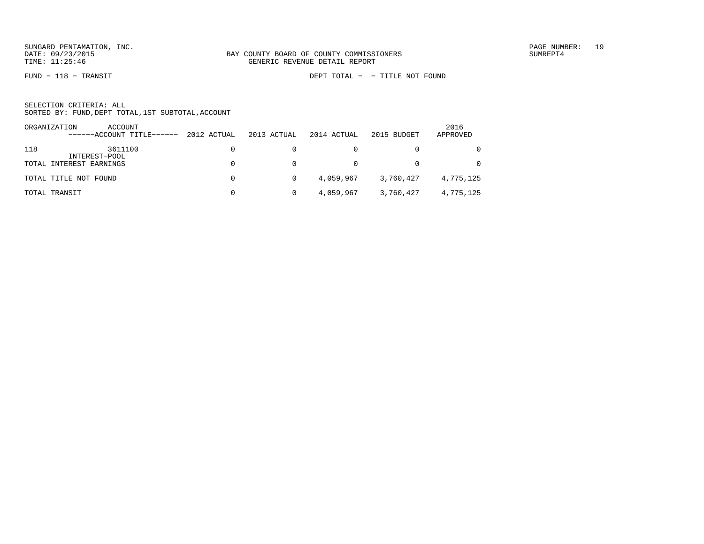FUND − 118 − TRANSIT DEPT TOTAL − − TITLE NOT FOUND

|     | ORGANIZATION<br>ACCOUNT<br>------ACCOUNT TITLE------ | 2012 ACTUAL | 2013 ACTUAL | 2014 ACTUAL | 2015 BUDGET | 2016<br>APPROVED |
|-----|------------------------------------------------------|-------------|-------------|-------------|-------------|------------------|
| 118 | 3611100<br>INTEREST-POOL                             |             |             |             |             | $\Omega$         |
|     | TOTAL INTEREST EARNINGS                              |             |             |             |             | $\Omega$         |
|     | TOTAL TITLE NOT FOUND                                | $\Omega$    |             | 4,059,967   | 3,760,427   | 4,775,125        |
|     | TOTAL TRANSIT                                        |             |             | 4,059,967   | 3,760,427   | 4,775,125        |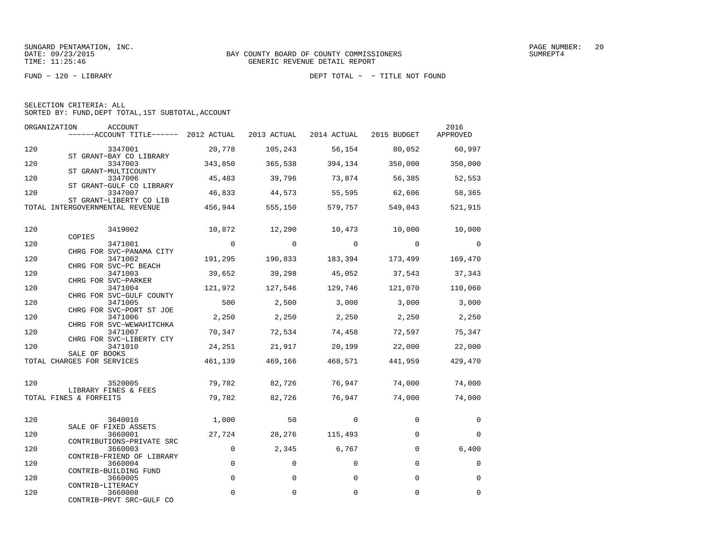FUND − 120 − LIBRARY DEPT TOTAL − − TITLE NOT FOUND

| SELECTION CRITERIA: ALL |  |  |                                                    |  |
|-------------------------|--|--|----------------------------------------------------|--|
|                         |  |  | SORTED BY: FUND, DEPT TOTAL, 1ST SUBTOTAL, ACCOUNT |  |

| ORGANIZATION | ACCOUNT<br>$----ACCOUNT$ TITLE $---2012$ ACTUAL                 |                | 2013 ACTUAL | 2014 ACTUAL   | 2015 BUDGET    | 2016<br>APPROVED         |
|--------------|-----------------------------------------------------------------|----------------|-------------|---------------|----------------|--------------------------|
| 120          | 3347001                                                         | 20,778         | 105,243     | 56,154        | 80,052         | 60,997                   |
| 120          | ST GRANT-BAY CO LIBRARY<br>3347003<br>ST GRANT-MULTICOUNTY      | 343,850        | 365,538     | 394,134       | 350,000        | 350,000                  |
| 120          | 3347006<br>ST GRANT-GULF CO LIBRARY                             | 45,483         | 39,796      | 73,874        | 56,385         | 52,553                   |
| 120          | 3347007<br>ST GRANT-LIBERTY CO LIB                              | 46,833         | 44,573      | 55,595        | 62,606         | 58,365                   |
|              | TOTAL INTERGOVERNMENTAL REVENUE                                 | 456,944        | 555,150     | 579,757       | 549,043        | 521,915                  |
| 120          | 3419002                                                         | 10,872         | 12,290      | 10,473 10,000 |                | 10,000                   |
| 120          | COPIES<br>3471001                                               | $\overline{0}$ | $\circ$     | $\sim$ 0      | $\overline{0}$ | $\overline{\phantom{0}}$ |
| 120          | CHRG FOR SVC-PANAMA CITY<br>3471002                             | 191,295        | 190,833     | 183,394       | 173,499        | 169,470                  |
| 120          | CHRG FOR SVC-PC BEACH<br>3471003                                | 39,652         | 39,298      | 45,052        | 37,543         | 37,343                   |
| 120          | CHRG FOR SVC-PARKER<br>3471004                                  | 121,972        | 127,546     | 129,746       | 121,070        | 110,060                  |
| 120          | CHRG FOR SVC-GULF COUNTY<br>3471005<br>CHRG FOR SVC-PORT ST JOE | 500            | 2,500       | 3,000         | 3,000          | 3,000                    |
| 120          | 3471006<br>CHRG FOR SVC-WEWAHITCHKA                             | 2,250          | 2,250       | 2,250         | 2,250          | 2,250                    |
| 120          | 3471007<br>CHRG FOR SVC-LIBERTY CTY                             | 70,347         | 72,534      | 74,458        | 72,597         | 75,347                   |
| 120          | 3471010<br>SALE OF BOOKS                                        | 24,251         | 21,917      | 20,199        | 22,000         | 22,000                   |
|              | TOTAL CHARGES FOR SERVICES                                      | 461,139        | 469,166     | 468,571       | 441,959        | 429,470                  |
| 120          | 3520005                                                         | 79,782         | 82,726      | 76,947        | 74,000         | 74,000                   |
|              | LIBRARY FINES & FEES<br>TOTAL FINES & FORFEITS                  | 79,782         | 82,726      | 76,947        | 74,000         | 74,000                   |
| 120          | 3640010                                                         | 1,000          | 50          | $\Omega$      | $\Omega$       | 0                        |
| 120          | SALE OF FIXED ASSETS<br>3660001                                 | 27,724         | 28,276      | 115,493       | $\mathbf 0$    | $\mathbf 0$              |
| 120          | CONTRIBUTIONS-PRIVATE SRC<br>3660003                            | $\mathbf 0$    | 2,345       | 6,767         | $\Omega$       | 6,400                    |
| 120          | CONTRIB-FRIEND OF LIBRARY<br>3660004                            | 0              | $\mathbf 0$ | 0             | 0              | $\mathbf 0$              |
| 120          | CONTRIB-BUILDING FUND<br>3660005                                | $\Omega$       | $\Omega$    | $\Omega$      | $\Omega$       | $\Omega$                 |
| 120          | CONTRIB-LITERACY<br>3660008<br>CONTRIB-PRVT SRC-GULF CO         | $\mathbf 0$    | 0           | 0             | 0              | $\mathbf 0$              |
|              |                                                                 |                |             |               |                |                          |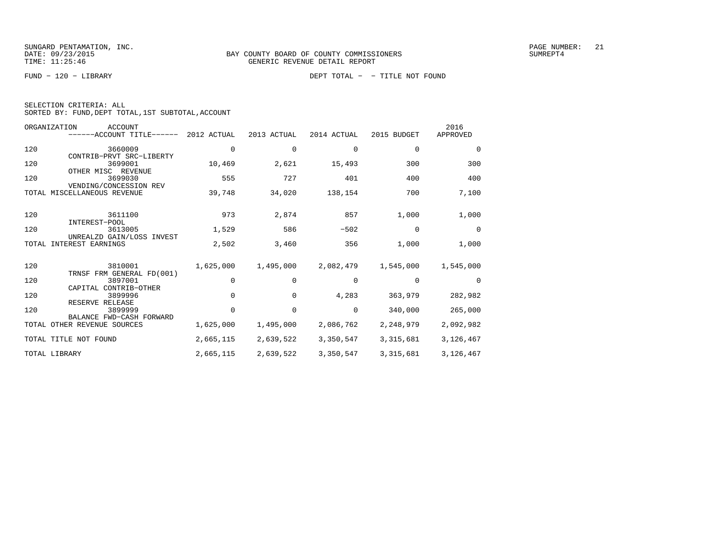FUND − 120 − LIBRARY DEPT TOTAL − − TITLE NOT FOUND

| SELECTION CRITERIA: ALL |                                                    |  |
|-------------------------|----------------------------------------------------|--|
|                         | SORTED BY: FUND, DEPT TOTAL, 1ST SUBTOTAL, ACCOUNT |  |

|       | ORGANIZATION<br><b>ACCOUNT</b><br>------ACCOUNT TITLE------ | 2012 ACTUAL | 2013 ACTUAL  | 2014 ACTUAL | 2015 BUDGET | 2016<br>APPROVED |
|-------|-------------------------------------------------------------|-------------|--------------|-------------|-------------|------------------|
| 120   | 3660009<br>CONTRIB-PRVT SRC-LIBERTY                         | $\mathbf 0$ | 0            | 0           | $\mathbf 0$ | 0                |
| 120   | 3699001<br>OTHER MISC REVENUE                               | 10,469      | 2,621        | 15,493      | 300         | 300              |
| 120   | 3699030<br>VENDING/CONCESSION REV                           | 555         | 727          | 401         | 400         | 400              |
| TOTAL | MISCELLANEOUS REVENUE                                       | 39,748      | 34,020       | 138,154     | 700         | 7,100            |
| 120   | 3611100<br>INTEREST-POOL                                    | 973         | 2,874        | 857         | 1,000       | 1,000            |
| 120   | 3613005<br>UNREALZD GAIN/LOSS INVEST                        | 1,529       | 586          | $-502$      | $\mathbf 0$ | $\Omega$         |
| TOTAL | <b>INTEREST EARNINGS</b>                                    | 2,502       | 3,460        | 356         | 1,000       | 1,000            |
| 120   | 3810001<br>TRNSF FRM GENERAL FD(001)                        | 1,625,000   | 1,495,000    | 2,082,479   | 1,545,000   | 1,545,000        |
| 120   | 3897001<br>CAPITAL CONTRIB-OTHER                            | $\mathbf 0$ | 0            | 0           | $\mathbf 0$ | $\Omega$         |
| 120   | 3899996<br>RESERVE RELEASE                                  | $\Omega$    | <sup>0</sup> | 4,283       | 363,979     | 282,982          |
| 120   | 3899999<br>BALANCE FWD-CASH FORWARD                         | $\Omega$    | $\Omega$     | $\Omega$    | 340,000     | 265,000          |
|       | TOTAL OTHER REVENUE SOURCES                                 | 1,625,000   | 1,495,000    | 2,086,762   | 2,248,979   | 2,092,982        |
|       | TOTAL TITLE NOT FOUND                                       | 2,665,115   | 2,639,522    | 3,350,547   | 3, 315, 681 | 3,126,467        |
|       | TOTAL LIBRARY                                               | 2,665,115   | 2,639,522    | 3,350,547   | 3,315,681   | 3,126,467        |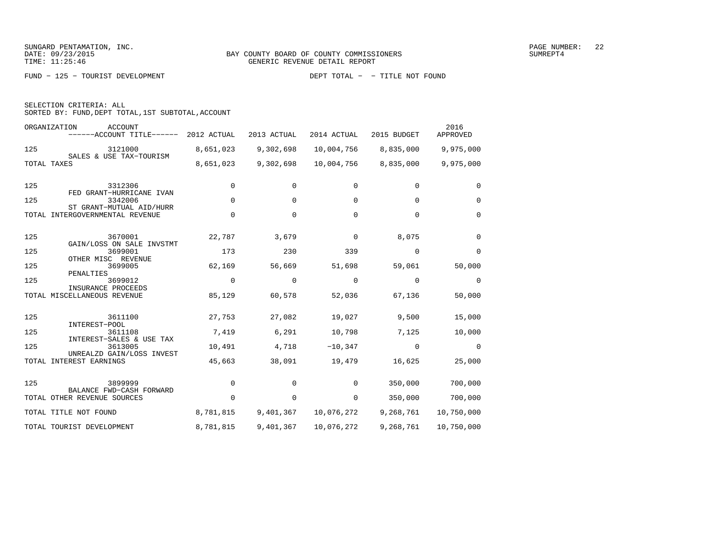FUND − 125 − TOURIST DEVELOPMENT DEPT TOTAL − − TITLE NOT FOUND

| SELECTION CRITERIA: ALL |  |                                                    |  |
|-------------------------|--|----------------------------------------------------|--|
|                         |  | SORTED BY: FUND, DEPT TOTAL, 1ST SUBTOTAL, ACCOUNT |  |

|     | ORGANIZATION<br><b>ACCOUNT</b><br>------ACCOUNT TITLE------ | 2012 ACTUAL | 2013 ACTUAL | 2014 ACTUAL | 2015 BUDGET | 2016<br>APPROVED |
|-----|-------------------------------------------------------------|-------------|-------------|-------------|-------------|------------------|
| 125 | 3121000                                                     | 8,651,023   | 9,302,698   | 10,004,756  | 8,835,000   | 9,975,000        |
|     | SALES & USE TAX-TOURISM<br>TOTAL TAXES                      | 8,651,023   | 9,302,698   | 10,004,756  | 8,835,000   | 9,975,000        |
| 125 | 3312306<br>FED GRANT-HURRICANE IVAN                         | 0           | 0           | 0           | $\mathbf 0$ | $\Omega$         |
| 125 | 3342006                                                     | $\mathbf 0$ | 0           | 0           | 0           | $\mathbf 0$      |
|     | ST GRANT-MUTUAL AID/HURR<br>TOTAL INTERGOVERNMENTAL REVENUE | $\Omega$    | $\Omega$    | $\Omega$    | $\Omega$    | $\Omega$         |
| 125 | 3670001<br>GAIN/LOSS ON SALE INVSTMT                        | 22,787      | 3,679       | 0           | 8,075       | $\Omega$         |
| 125 | 3699001<br>OTHER MISC REVENUE                               | 173         | 230         | 339         | $\Omega$    | $\Omega$         |
| 125 | 3699005<br>PENALTIES                                        | 62,169      | 56,669      | 51,698      | 59,061      | 50,000           |
| 125 | 3699012<br>INSURANCE PROCEEDS                               | $\Omega$    | 0           | 0           | 0           | 0                |
|     | TOTAL MISCELLANEOUS REVENUE                                 | 85,129      | 60,578      | 52,036      | 67,136      | 50,000           |
| 125 | 3611100<br>INTEREST-POOL                                    | 27,753      | 27,082      | 19,027      | 9,500       | 15,000           |
| 125 | 3611108<br>INTEREST-SALES & USE TAX                         | 7,419       | 6,291       | 10,798      | 7,125       | 10,000           |
| 125 | 3613005                                                     | 10,491      | 4,718       | $-10,347$   | 0           | 0                |
|     | UNREALZD GAIN/LOSS INVEST<br>TOTAL INTEREST EARNINGS        | 45,663      | 38,091      | 19,479      | 16,625      | 25,000           |
| 125 | 3899999<br>BALANCE FWD-CASH FORWARD                         | $\Omega$    | $\Omega$    | $\Omega$    | 350,000     | 700,000          |
|     | TOTAL OTHER REVENUE SOURCES                                 | $\Omega$    | 0           | 0           | 350,000     | 700,000          |
|     | TOTAL TITLE NOT FOUND                                       | 8,781,815   | 9,401,367   | 10,076,272  | 9,268,761   | 10,750,000       |
|     | TOTAL TOURIST DEVELOPMENT                                   | 8,781,815   | 9,401,367   | 10,076,272  | 9,268,761   | 10,750,000       |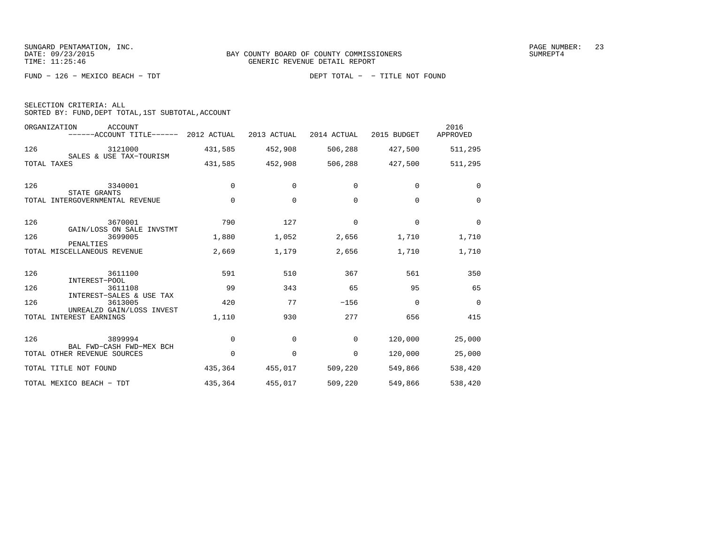FUND − 126 − MEXICO BEACH − TDT DEPT TOTAL − − TITLE NOT FOUND

| SELECTION CRITERIA: ALL |  |  |                                                 |  |
|-------------------------|--|--|-------------------------------------------------|--|
|                         |  |  | SORTED BY: FUND.DEPT TOTAL.1ST SUBTOTAL.ACCOUNT |  |

|       | ORGANIZATION<br><b>ACCOUNT</b><br>------ACCOUNT TITLE------ 2012 ACTUAL |             | 2013 ACTUAL | 2014 ACTUAL | 2015 BUDGET | 2016<br>APPROVED |
|-------|-------------------------------------------------------------------------|-------------|-------------|-------------|-------------|------------------|
| 126   | 3121000<br>SALES & USE TAX-TOURISM                                      | 431,585     | 452,908     | 506,288     | 427,500     | 511,295          |
|       | TOTAL TAXES                                                             | 431,585     | 452,908     | 506,288     | 427,500     | 511,295          |
| 126   | 3340001<br>STATE GRANTS                                                 | $\Omega$    | $\Omega$    | $\Omega$    | $\Omega$    | $\Omega$         |
|       | TOTAL INTERGOVERNMENTAL REVENUE                                         | $\mathbf 0$ | $\mathbf 0$ | $\Omega$    | $\Omega$    | $\Omega$         |
| 126   | 3670001                                                                 | 790         | 127         | $\mathbf 0$ | $\mathbf 0$ | $\mathbf 0$      |
| 126   | GAIN/LOSS ON SALE INVSTMT<br>3699005                                    | 1,880       | 1,052       | 2,656       | 1,710       | 1,710            |
|       | PENALTIES<br>TOTAL MISCELLANEOUS REVENUE                                | 2,669       | 1,179       | 2,656       | 1,710       | 1,710            |
| 126   | 3611100<br>INTEREST-POOL                                                | 591         | 510         | 367         | 561         | 350              |
| 126   | 3611108<br>INTEREST-SALES & USE TAX                                     | 99          | 343         | 65          | 95          | 65               |
| 126   | 3613005                                                                 | 420         | 77          | $-156$      | $\Omega$    | $\Omega$         |
| TOTAL | UNREALZD GAIN/LOSS INVEST<br>INTEREST EARNINGS                          | 1,110       | 930         | 277         | 656         | 415              |
| 126   | 3899994                                                                 | $\mathbf 0$ | $\mathbf 0$ | $\mathbf 0$ | 120,000     | 25,000           |
|       | BAL FWD-CASH FWD-MEX BCH<br>TOTAL OTHER REVENUE SOURCES                 | $\Omega$    | $\Omega$    | $\mathbf 0$ | 120,000     | 25,000           |
|       | TOTAL TITLE NOT FOUND                                                   | 435,364     | 455,017     | 509,220     | 549,866     | 538,420          |
|       | TOTAL MEXICO BEACH - TDT                                                | 435,364     | 455,017     | 509,220     | 549,866     | 538,420          |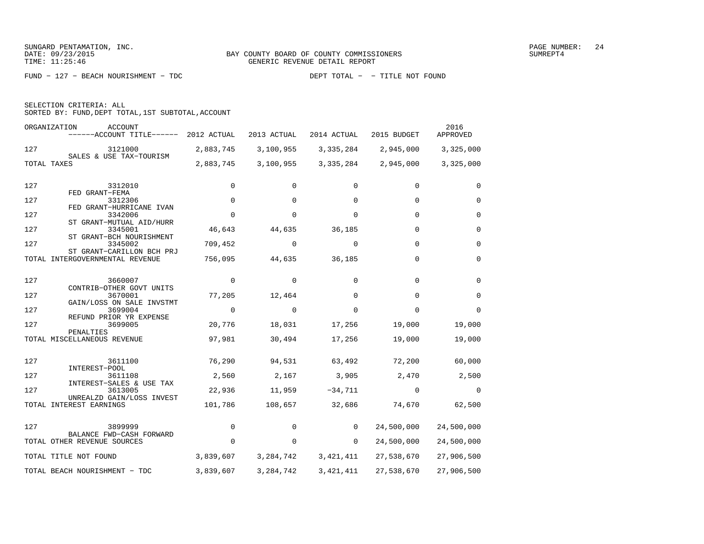FUND − 127 − BEACH NOURISHMENT − TDC DEPT TOTAL − − TITLE NOT FOUND

| SELECTION CRITERIA: ALL |  |                                                    |  |
|-------------------------|--|----------------------------------------------------|--|
|                         |  | SORTED BY: FUND, DEPT TOTAL, 1ST SUBTOTAL, ACCOUNT |  |

|     | ORGANIZATION<br><b>ACCOUNT</b><br>------ACCOUNT TITLE------  | 2012 ACTUAL | 2013 ACTUAL | 2014 ACTUAL | 2015 BUDGET | 2016<br>APPROVED |
|-----|--------------------------------------------------------------|-------------|-------------|-------------|-------------|------------------|
| 127 | 3121000<br>SALES & USE TAX-TOURISM                           | 2,883,745   | 3,100,955   | 3,335,284   | 2,945,000   | 3,325,000        |
|     | TOTAL TAXES                                                  | 2,883,745   | 3,100,955   | 3,335,284   | 2,945,000   | 3,325,000        |
| 127 | 3312010                                                      | 0           | $\Omega$    | $\Omega$    | $\Omega$    | $\Omega$         |
| 127 | FED GRANT-FEMA<br>3312306                                    | $\mathbf 0$ | $\mathbf 0$ | $\mathbf 0$ | $\Omega$    | $\mathbf 0$      |
| 127 | FED GRANT-HURRICANE IVAN<br>3342006                          | $\Omega$    | $\Omega$    | $\Omega$    | $\Omega$    | $\mathbf 0$      |
| 127 | ST GRANT-MUTUAL AID/HURR<br>3345001                          | 46,643      | 44,635      | 36,185      | 0           | $\mathbf 0$      |
| 127 | ST GRANT-BCH NOURISHMENT<br>3345002                          | 709,452     | $\mathbf 0$ | $\Omega$    | $\mathbf 0$ | $\mathbf 0$      |
|     | ST GRANT-CARILLON BCH PRJ<br>TOTAL INTERGOVERNMENTAL REVENUE | 756,095     | 44,635      | 36,185      | $\Omega$    | $\Omega$         |
| 127 | 3660007                                                      | $\Omega$    | $\Omega$    | $\Omega$    | $\Omega$    | $\Omega$         |
| 127 | CONTRIB-OTHER GOVT UNITS<br>3670001                          | 77,205      | 12,464      | $\Omega$    | $\Omega$    | $\Omega$         |
| 127 | GAIN/LOSS ON SALE INVSTMT<br>3699004                         | $\mathbf 0$ | $\Omega$    | $\Omega$    | $\Omega$    | $\Omega$         |
| 127 | REFUND PRIOR YR EXPENSE<br>3699005                           | 20,776      | 18,031      | 17,256      | 19,000      | 19,000           |
|     | PENALTIES<br>TOTAL MISCELLANEOUS REVENUE                     | 97,981      | 30,494      | 17,256      | 19,000      | 19,000           |
| 127 | 3611100                                                      | 76,290      | 94,531      | 63,492      | 72,200      | 60,000           |
|     | INTEREST-POOL                                                |             |             |             |             |                  |
| 127 | 3611108<br>INTEREST-SALES & USE TAX                          | 2,560       | 2,167       | 3,905       | 2,470       | 2,500            |
| 127 | 3613005<br>UNREALZD GAIN/LOSS INVEST                         | 22,936      | 11,959      | $-34,711$   | $\mathbf 0$ | $\Omega$         |
|     | TOTAL INTEREST EARNINGS                                      | 101,786     | 108,657     | 32,686      | 74,670      | 62,500           |
| 127 | 3899999                                                      | 0           | $\Omega$    | $\Omega$    | 24,500,000  | 24,500,000       |
|     | BALANCE FWD-CASH FORWARD<br>TOTAL OTHER REVENUE SOURCES      | $\Omega$    | 0           | $\Omega$    | 24,500,000  | 24,500,000       |
|     | TOTAL TITLE NOT FOUND                                        | 3,839,607   | 3, 284, 742 | 3, 421, 411 | 27,538,670  | 27,906,500       |
|     | TOTAL BEACH NOURISHMENT - TDC                                | 3,839,607   | 3, 284, 742 | 3,421,411   | 27,538,670  | 27,906,500       |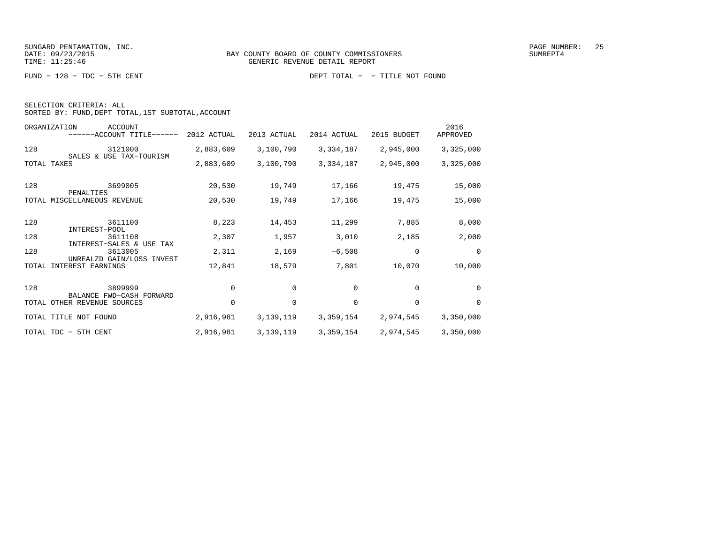FUND − 128 − TDC − 5TH CENT DEPT TOTAL − − TITLE NOT FOUND

| SELECTION CRITERIA: ALL |  |                                                    |
|-------------------------|--|----------------------------------------------------|
|                         |  | SORTED BY: FUND, DEPT TOTAL, 1ST SUBTOTAL, ACCOUNT |

|       | ORGANIZATION<br><b>ACCOUNT</b><br>------ACCOUNT TITLE------      | 2012 ACTUAL | 2013 ACTUAL | 2014 ACTUAL | 2015 BUDGET | 2016<br>APPROVED |
|-------|------------------------------------------------------------------|-------------|-------------|-------------|-------------|------------------|
| 128   | 3121000                                                          | 2,883,609   | 3,100,790   | 3,334,187   | 2,945,000   | 3,325,000        |
|       | SALES & USE TAX-TOURISM<br>TOTAL TAXES                           | 2,883,609   | 3,100,790   | 3,334,187   | 2,945,000   | 3,325,000        |
| 128   | 3699005<br>PENALTIES                                             | 20,530      | 19,749      | 17,166      | 19,475      | 15,000           |
|       | TOTAL MISCELLANEOUS REVENUE                                      | 20,530      | 19,749      | 17,166      | 19,475      | 15,000           |
| 128   | 3611100<br>INTEREST-POOL                                         | 8,223       | 14,453      | 11,299      | 7,885       | 8,000            |
| 128   | 3611108                                                          | 2,307       | 1,957       | 3,010       | 2,185       | 2,000            |
| 128   | INTEREST-SALES & USE TAX<br>3613005<br>UNREALZD GAIN/LOSS INVEST | 2,311       | 2,169       | $-6,508$    | 0           | 0                |
| TOTAL | INTEREST EARNINGS                                                | 12,841      | 18,579      | 7,801       | 10,070      | 10,000           |
| 128   | 3899999<br>BALANCE FWD-CASH FORWARD                              | 0           | 0           | 0           | 0           | 0                |
|       | TOTAL OTHER REVENUE SOURCES                                      | $\mathbf 0$ | $\mathbf 0$ | 0           | 0           | $\Omega$         |
|       | TOTAL TITLE NOT FOUND                                            | 2,916,981   | 3,139,119   | 3,359,154   | 2,974,545   | 3,350,000        |
|       | TOTAL TDC - 5TH CENT                                             | 2,916,981   | 3,139,119   | 3,359,154   | 2,974,545   | 3,350,000        |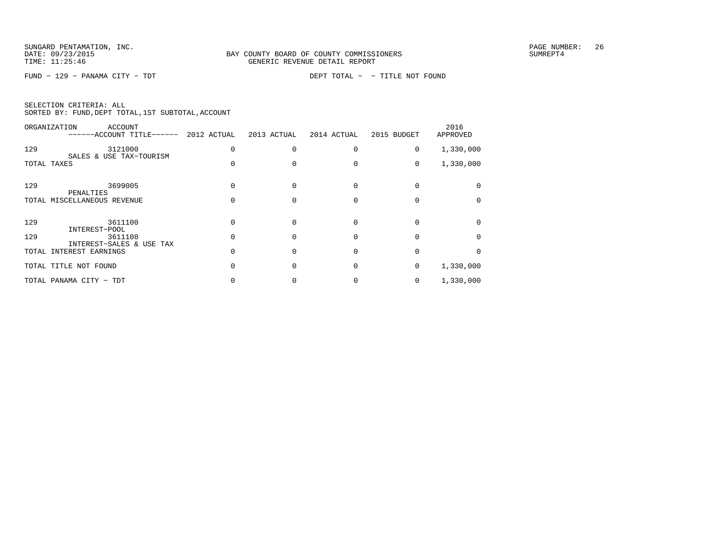FUND − 129 − PANAMA CITY − TDT DEPT TOTAL − − TITLE NOT FOUND

| SELECTION CRITERIA: ALL |  |  |                                                    |  |
|-------------------------|--|--|----------------------------------------------------|--|
|                         |  |  | SORTED BY: FUND, DEPT TOTAL, 1ST SUBTOTAL, ACCOUNT |  |

|       | ORGANIZATION<br>ACCOUNT<br>------ACCOUNT TITLE------ | 2012 ACTUAL | 2013 ACTUAL | 2014 ACTUAL | 2015 BUDGET | 2016<br>APPROVED |
|-------|------------------------------------------------------|-------------|-------------|-------------|-------------|------------------|
| 129   | 3121000                                              |             |             |             | 0           | 1,330,000        |
|       | SALES & USE TAX-TOURISM<br>TOTAL TAXES               |             |             |             | 0           | 1,330,000        |
| 129   | 3699005<br>PENALTIES                                 |             |             |             |             |                  |
|       | TOTAL MISCELLANEOUS REVENUE                          |             |             |             |             |                  |
| 129   | 3611100<br>INTEREST-POOL                             |             |             |             |             |                  |
| 129   | 3611108                                              |             |             |             |             |                  |
| TOTAL | INTEREST-SALES & USE TAX<br>INTEREST EARNINGS        |             |             |             |             |                  |
|       | TOTAL TITLE NOT FOUND                                |             |             |             | 0           | 1,330,000        |
|       | TOTAL PANAMA CITY - TDT                              |             |             |             | 0           | 1,330,000        |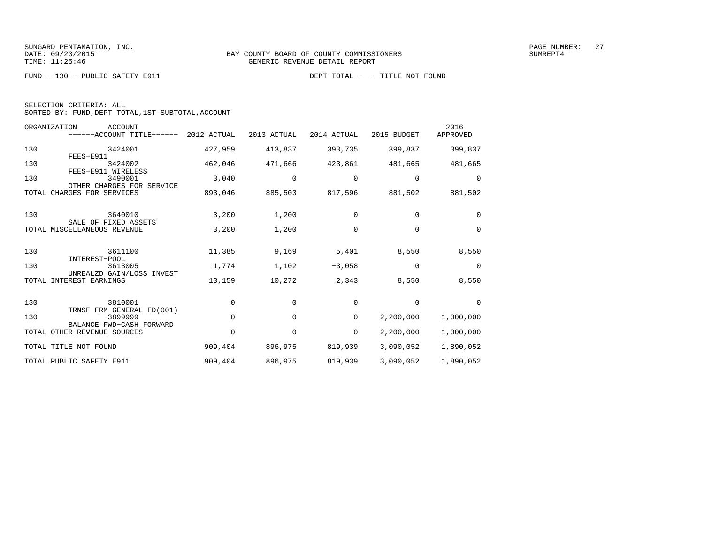FUND − 130 − PUBLIC SAFETY E911 DEPT TOTAL − − TITLE NOT FOUND

| SELECTION CRITERIA: ALL |  |  |                                                    |  |
|-------------------------|--|--|----------------------------------------------------|--|
|                         |  |  | SORTED BY: FUND, DEPT TOTAL, 1ST SUBTOTAL, ACCOUNT |  |

|       | ORGANIZATION<br><b>ACCOUNT</b><br>$----ACCOUNT$ TITLE $----$ 2012 ACTUAL |             | 2013 ACTUAL | 2014 ACTUAL | 2015 BUDGET | 2016<br>APPROVED |
|-------|--------------------------------------------------------------------------|-------------|-------------|-------------|-------------|------------------|
| 130   | 3424001<br>FEES-E911                                                     | 427,959     | 413,837     | 393,735     | 399,837     | 399,837          |
| 130   | 3424002<br>FEES-E911 WIRELESS                                            | 462,046     | 471,666     | 423,861     | 481,665     | 481,665          |
| 130   | 3490001<br>OTHER CHARGES FOR SERVICE                                     | 3,040       | 0           | 0           | 0           | $\Omega$         |
|       | TOTAL CHARGES FOR SERVICES                                               | 893,046     | 885,503     | 817,596     | 881,502     | 881,502          |
| 130   | 3640010                                                                  | 3,200       | 1,200       | $\Omega$    | $\Omega$    | $\Omega$         |
|       | SALE OF FIXED ASSETS<br>TOTAL MISCELLANEOUS REVENUE                      | 3,200       | 1,200       | $\Omega$    | $\Omega$    | $\Omega$         |
| 130   | 3611100<br>INTEREST-POOL                                                 | 11,385      | 9,169       | 5,401       | 8,550       | 8,550            |
| 130   | 3613005<br>UNREALZD GAIN/LOSS INVEST                                     | 1,774       | 1,102       | $-3,058$    | $\mathbf 0$ | $\mathbf 0$      |
| TOTAL | INTEREST EARNINGS                                                        | 13,159      | 10,272      | 2,343       | 8,550       | 8,550            |
| 130   | 3810001                                                                  | $\Omega$    | $\Omega$    | 0           | 0           | $\Omega$         |
| 130   | TRNSF FRM GENERAL FD(001)<br>3899999<br>BALANCE FWD-CASH FORWARD         | $\mathbf 0$ | 0           | 0           | 2,200,000   | 1,000,000        |
|       | TOTAL OTHER REVENUE SOURCES                                              | $\mathbf 0$ | 0           | 0           | 2,200,000   | 1,000,000        |
|       | TOTAL TITLE NOT FOUND                                                    | 909,404     | 896,975     | 819,939     | 3,090,052   | 1,890,052        |
|       | TOTAL PUBLIC SAFETY E911                                                 | 909,404     | 896,975     | 819,939     | 3,090,052   | 1,890,052        |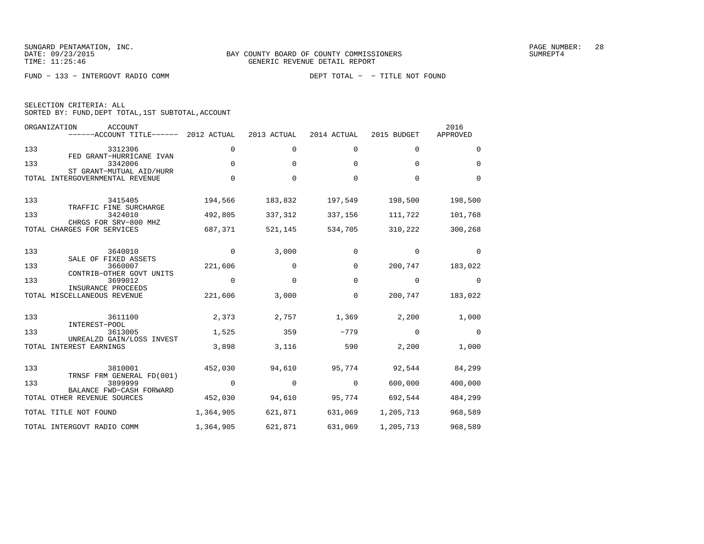FUND − 133 − INTERGOVT RADIO COMM DEPT TOTAL − − TITLE NOT FOUND

| SELECTION CRITERIA: ALL |  |                                                    |  |
|-------------------------|--|----------------------------------------------------|--|
|                         |  | SORTED BY: FUND, DEPT TOTAL, 1ST SUBTOTAL, ACCOUNT |  |

|     | ORGANIZATION<br>ACCOUNT<br>------ACCOUNT TITLE------            | 2012 ACTUAL | 2013 ACTUAL | 2014 ACTUAL | 2015 BUDGET | 2016<br>APPROVED |
|-----|-----------------------------------------------------------------|-------------|-------------|-------------|-------------|------------------|
| 133 | 3312306                                                         | 0           | $\mathbf 0$ | 0           | 0           | $\mathbf 0$      |
| 133 | FED GRANT-HURRICANE IVAN<br>3342006<br>ST GRANT-MUTUAL AID/HURR | $\mathbf 0$ | $\Omega$    | $\Omega$    | $\Omega$    | $\Omega$         |
|     | TOTAL INTERGOVERNMENTAL REVENUE                                 | $\mathbf 0$ | $\Omega$    | $\Omega$    | $\Omega$    | $\Omega$         |
| 133 | 3415405<br>TRAFFIC FINE SURCHARGE                               | 194,566     | 183,832     | 197,549     | 198,500     | 198,500          |
| 133 | 3424010<br>CHRGS FOR SRV-800 MHZ                                | 492,805     | 337,312     | 337,156     | 111,722     | 101,768          |
|     | TOTAL CHARGES FOR SERVICES                                      | 687,371     | 521,145     | 534,705     | 310,222     | 300,268          |
| 133 | 3640010                                                         | $\mathbf 0$ | 3,000       | 0           | $\mathbf 0$ | $\mathbf 0$      |
| 133 | SALE OF FIXED ASSETS<br>3660007<br>CONTRIB-OTHER GOVT UNITS     | 221,606     | $\Omega$    | $\Omega$    | 200,747     | 183,022          |
| 133 | 3699012<br>INSURANCE PROCEEDS                                   | $\mathbf 0$ | $\mathbf 0$ | 0           | $\mathbf 0$ | $\mathbf 0$      |
|     | TOTAL MISCELLANEOUS REVENUE                                     | 221,606     | 3,000       | 0           | 200,747     | 183,022          |
| 133 | 3611100<br>INTEREST-POOL                                        | 2,373       | 2,757       | 1,369       | 2,200       | 1,000            |
| 133 | 3613005                                                         | 1,525       | 359         | $-779$      | $\Omega$    | $\mathbf 0$      |
|     | UNREALZD GAIN/LOSS INVEST<br>TOTAL INTEREST EARNINGS            | 3,898       | 3,116       | 590         | 2,200       | 1,000            |
| 133 | 3810001                                                         | 452,030     | 94,610      | 95,774      | 92,544      | 84,299           |
| 133 | TRNSF FRM GENERAL FD(001)<br>3899999                            | $\Omega$    | $\Omega$    | $\Omega$    | 600,000     | 400,000          |
|     | BALANCE FWD-CASH FORWARD<br>TOTAL OTHER REVENUE SOURCES         | 452,030     | 94,610      | 95,774      | 692,544     | 484,299          |
|     | TOTAL TITLE NOT FOUND                                           | 1,364,905   | 621,871     | 631,069     | 1,205,713   | 968,589          |
|     | TOTAL INTERGOVT RADIO COMM                                      | 1,364,905   | 621,871     | 631,069     | 1,205,713   | 968,589          |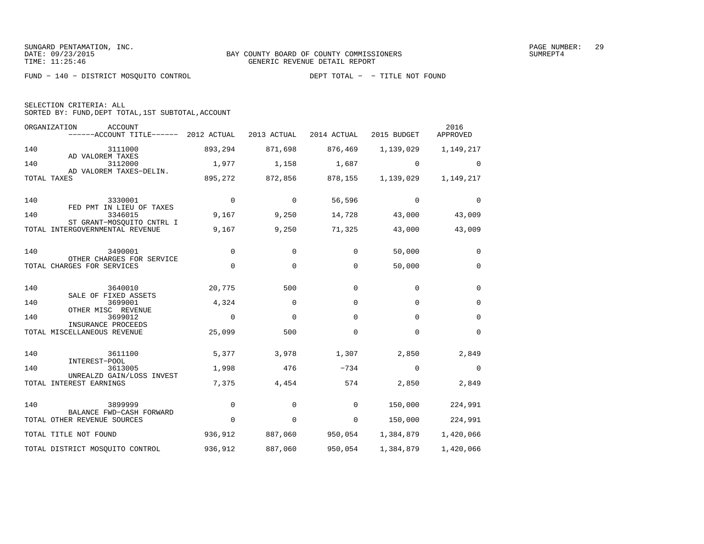FUND − 140 − DISTRICT MOSQUITO CONTROL DEPT TOTAL − − TITLE NOT FOUND

| SELECTION CRITERIA: ALL |  |                                                    |  |
|-------------------------|--|----------------------------------------------------|--|
|                         |  | SORTED BY: FUND, DEPT TOTAL, 1ST SUBTOTAL, ACCOUNT |  |

|     | ORGANIZATION<br><b>ACCOUNT</b><br>------ACCOUNT TITLE------  | 2012 ACTUAL | 2013 ACTUAL | 2014 ACTUAL | 2015 BUDGET | 2016<br>APPROVED |
|-----|--------------------------------------------------------------|-------------|-------------|-------------|-------------|------------------|
| 140 | 3111000                                                      | 893,294     | 871,698     | 876,469     | 1,139,029   | 1,149,217        |
| 140 | AD VALOREM TAXES<br>3112000                                  | 1,977       | 1,158       | 1,687       | $\mathbf 0$ | $\Omega$         |
|     | AD VALOREM TAXES-DELIN.<br>TOTAL TAXES                       | 895,272     | 872,856     | 878,155     | 1,139,029   | 1,149,217        |
| 140 | 3330001<br>FED PMT IN LIEU OF TAXES                          | $\Omega$    | $\Omega$    | 56,596      | $\Omega$    | $\Omega$         |
| 140 | 3346015                                                      | 9,167       | 9,250       | 14,728      | 43,000      | 43,009           |
|     | ST GRANT-MOSOUITO CNTRL I<br>TOTAL INTERGOVERNMENTAL REVENUE | 9,167       | 9,250       | 71,325      | 43,000      | 43,009           |
| 140 | 3490001<br>OTHER CHARGES FOR SERVICE                         | $\mathbf 0$ | $\Omega$    | 0           | 50,000      | 0                |
|     | TOTAL CHARGES FOR SERVICES                                   | $\mathbf 0$ | 0           | 0           | 50,000      | $\mathbf 0$      |
| 140 | 3640010<br>SALE OF FIXED ASSETS                              | 20,775      | 500         | $\Omega$    | $\mathbf 0$ | $\Omega$         |
| 140 | 3699001                                                      | 4,324       | $\Omega$    | $\mathbf 0$ | $\Omega$    | $\mathbf 0$      |
| 140 | OTHER MISC REVENUE<br>3699012                                | $\mathbf 0$ | $\mathbf 0$ | $\Omega$    | $\mathbf 0$ | $\mathbf 0$      |
|     | INSURANCE PROCEEDS<br>TOTAL MISCELLANEOUS REVENUE            | 25,099      | 500         | $\mathbf 0$ | $\mathbf 0$ | $\Omega$         |
| 140 | 3611100<br>INTEREST-POOL                                     | 5,377       | 3,978       | 1,307       | 2,850       | 2,849            |
| 140 | 3613005                                                      | 1,998       | 476         | $-734$      | $\Omega$    | $\Omega$         |
|     | UNREALZD GAIN/LOSS INVEST<br>TOTAL INTEREST EARNINGS         | 7,375       | 4,454       | 574         | 2,850       | 2,849            |
| 140 | 3899999                                                      | $\mathbf 0$ | 0           | 0           | 150,000     | 224,991          |
|     | BALANCE FWD-CASH FORWARD<br>TOTAL OTHER REVENUE SOURCES      | $\mathbf 0$ | $\mathbf 0$ | 0           | 150,000     | 224,991          |
|     | TOTAL TITLE NOT FOUND                                        | 936,912     | 887,060     | 950,054     | 1,384,879   | 1,420,066        |
|     | TOTAL DISTRICT MOSQUITO CONTROL                              | 936,912     | 887,060     | 950,054     | 1,384,879   | 1,420,066        |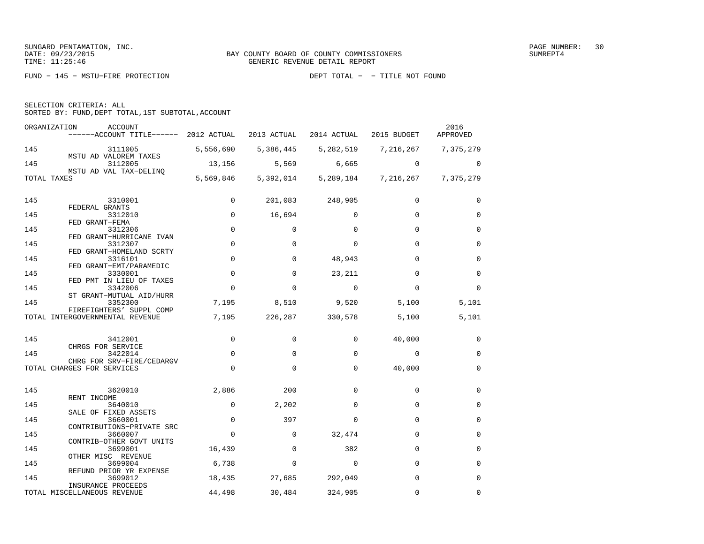FUND − 145 − MSTU−FIRE PROTECTION DEPT TOTAL − − TITLE NOT FOUND

| SELECTION CRITERIA: ALL |  |                                                    |  |
|-------------------------|--|----------------------------------------------------|--|
|                         |  | SORTED BY: FUND, DEPT TOTAL, 1ST SUBTOTAL, ACCOUNT |  |

| ORGANIZATION | ACCOUNT<br>------ACCOUNT TITLE------ 2012 ACTUAL            |             | 2013 ACTUAL | 2014 ACTUAL     | 2015 BUDGET             | 2016<br>APPROVED |
|--------------|-------------------------------------------------------------|-------------|-------------|-----------------|-------------------------|------------------|
| 145          | 3111005                                                     | 5,556,690   | 5,386,445   |                 | 5, 282, 519 7, 216, 267 | 7,375,279        |
| 145          | MSTU AD VALOREM TAXES<br>3112005                            | 13,156      | 5,569       | 6,665           | $\Omega$                | $\Omega$         |
| TOTAL TAXES  | MSTU AD VAL TAX-DELINO                                      | 5,569,846   | 5,392,014   | 5,289,184       | 7,216,267               | 7,375,279        |
| 145          | 3310001                                                     | $\mathbf 0$ |             | 201,083 248,905 | $\Omega$                | $\Omega$         |
|              | FEDERAL GRANTS                                              |             |             |                 |                         |                  |
| 145          | 3312010<br>FED GRANT-FEMA                                   | $\mathbf 0$ | 16,694      | $\Omega$        | $\Omega$                | $\Omega$         |
| 145          | 3312306                                                     | $\mathbf 0$ | 0           | $\Omega$        | $\Omega$                | $\Omega$         |
| 145          | FED GRANT-HURRICANE IVAN<br>3312307                         | $\mathbf 0$ | $\Omega$    | $\Omega$        | $\Omega$                | $\Omega$         |
|              | FED GRANT-HOMELAND SCRTY                                    |             |             |                 |                         |                  |
| 145          | 3316101<br>FED GRANT-EMT/PARAMEDIC                          | $\mathbf 0$ | $\Omega$    | 48,943          | $\Omega$                | $\mathbf 0$      |
| 145          | 3330001                                                     | $\mathbf 0$ | $\Omega$    | 23,211          | $\Omega$                | $\Omega$         |
| 145          | FED PMT IN LIEU OF TAXES<br>3342006                         | $\mathbf 0$ | $\mathbf 0$ | $\mathbf 0$     | $\Omega$                | $\Omega$         |
|              | ST GRANT-MUTUAL AID/HURR                                    |             |             |                 |                         |                  |
| 145          | 3352300                                                     | 7,195       | 8,510       | 9,520           | 5,100                   | 5,101            |
|              | FIREFIGHTERS' SUPPL COMP<br>TOTAL INTERGOVERNMENTAL REVENUE | 7,195       | 226,287     | 330,578         | 5,100                   | 5,101            |
|              |                                                             |             |             |                 |                         |                  |
| 145          | 3412001<br>CHRGS FOR SERVICE                                | $\mathbf 0$ | $\Omega$    | $\Omega$        | 40,000                  | 0                |
| 145          | 3422014                                                     | $\Omega$    | $\Omega$    | $\Omega$        | $\mathbf 0$             | $\Omega$         |
|              | CHRG FOR SRV-FIRE/CEDARGV<br>TOTAL CHARGES FOR SERVICES     | $\mathbf 0$ | 0           | 0               | 40,000                  | $\mathbf 0$      |
|              |                                                             |             |             |                 |                         |                  |
| 145          | 3620010<br>RENT INCOME                                      | 2,886       | 200         | $\Omega$        | $\Omega$                | $\Omega$         |
| 145          | 3640010                                                     | $\mathbf 0$ | 2,202       | $\Omega$        | $\Omega$                | $\Omega$         |
| 145          | SALE OF FIXED ASSETS<br>3660001                             | $\mathbf 0$ | 397         | $\Omega$        | $\mathbf 0$             | $\mathbf 0$      |
|              | CONTRIBUTIONS-PRIVATE SRC                                   |             |             |                 |                         |                  |
| 145          | 3660007                                                     | 0           | 0           | 32,474          | 0                       | 0                |
| 145          | CONTRIB-OTHER GOVT UNITS<br>3699001                         | 16,439      | 0           | 382             | 0                       | 0                |
|              | OTHER MISC REVENUE                                          |             |             |                 |                         |                  |
| 145          | 3699004<br>REFUND PRIOR YR EXPENSE                          | 6,738       | $\mathbf 0$ | $\mathbf 0$     | $\mathbf 0$             | 0                |
| 145          | 3699012                                                     | 18,435      | 27,685      | 292,049         | $\Omega$                | $\Omega$         |
|              | INSURANCE PROCEEDS<br>TOTAL MISCELLANEOUS REVENUE           | 44,498      | 30,484      | 324,905         | $\Omega$                | $\Omega$         |
|              |                                                             |             |             |                 |                         |                  |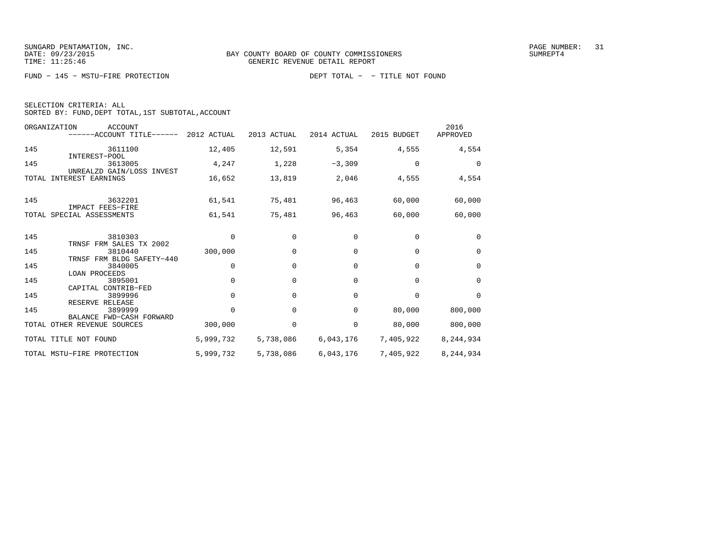FUND − 145 − MSTU−FIRE PROTECTION DEPT TOTAL − − TITLE NOT FOUND

| SELECTION CRITERIA: ALL |  |                                                    |  |
|-------------------------|--|----------------------------------------------------|--|
|                         |  | SORTED BY: FUND, DEPT TOTAL, 1ST SUBTOTAL, ACCOUNT |  |

| ORGANIZATION                | <b>ACCOUNT</b><br>$----ACCOUNT$ TITLE $----$ 2012 ACTUAL |             | 2013 ACTUAL | 2014 ACTUAL | 2015 BUDGET | 2016<br>APPROVED |
|-----------------------------|----------------------------------------------------------|-------------|-------------|-------------|-------------|------------------|
| 145                         | 3611100                                                  | 12,405      | 12,591      | 5,354       | 4,555       | 4,554            |
| 145                         | INTEREST-POOL<br>3613005<br>UNREALZD GAIN/LOSS INVEST    | 4,247       | 1,228       | $-3,309$    | $\Omega$    | $\Omega$         |
| TOTAL INTEREST EARNINGS     |                                                          | 16,652      | 13,819      | 2,046       | 4,555       | 4,554            |
| 145                         | 3632201                                                  | 61,541      | 75,481      | 96,463      | 60,000      | 60,000           |
| TOTAL SPECIAL ASSESSMENTS   | IMPACT FEES-FIRE                                         | 61,541      | 75,481      | 96,463      | 60,000      | 60,000           |
|                             |                                                          |             |             |             |             |                  |
| 145                         | 3810303<br>TRNSF FRM SALES TX 2002                       | $\mathbf 0$ | 0           | $\Omega$    | $\Omega$    | $\Omega$         |
| 145                         | 3810440<br>TRNSF FRM BLDG SAFETY-440                     | 300,000     | $\Omega$    | $\Omega$    | $\Omega$    | $\Omega$         |
| 145                         | 3840005<br><b>LOAN PROCEEDS</b>                          | $\Omega$    | $\Omega$    | $\Omega$    | $\Omega$    | $\Omega$         |
| 145                         | 3895001                                                  | $\mathbf 0$ | $\mathbf 0$ | $\Omega$    | $\Omega$    | $\Omega$         |
| 145                         | CAPITAL CONTRIB-FED<br>3899996                           | $\Omega$    | $\Omega$    | $\Omega$    | $\Omega$    | $\Omega$         |
| 145                         | RESERVE RELEASE<br>3899999                               | $\Omega$    | 0           | $\Omega$    | 80,000      | 800,000          |
| TOTAL OTHER REVENUE SOURCES | BALANCE FWD-CASH FORWARD                                 | 300,000     | 0           | $\mathbf 0$ | 80,000      | 800,000          |
| TOTAL TITLE NOT FOUND       |                                                          | 5,999,732   | 5,738,086   | 6,043,176   | 7,405,922   | 8,244,934        |
| TOTAL MSTU-FIRE PROTECTION  |                                                          | 5,999,732   | 5,738,086   | 6,043,176   | 7,405,922   | 8,244,934        |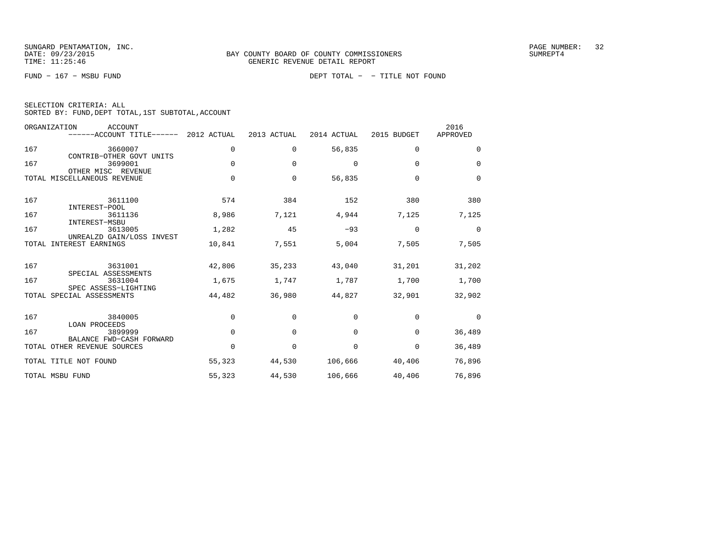| SELECTION CRITERIA: ALL |                                                    |  |
|-------------------------|----------------------------------------------------|--|
|                         | SORTED BY: FUND, DEPT TOTAL, 1ST SUBTOTAL, ACCOUNT |  |

|       | ORGANIZATION<br>ACCOUNT<br>------ACCOUNT TITLE------        | 2012 ACTUAL | 2013 ACTUAL | 2014 ACTUAL | 2015 BUDGET | 2016<br>APPROVED |
|-------|-------------------------------------------------------------|-------------|-------------|-------------|-------------|------------------|
| 167   | 3660007<br>CONTRIB-OTHER GOVT UNITS                         | 0           | 0           | 56,835      | $\mathbf 0$ | $\mathbf 0$      |
| 167   | 3699001<br>OTHER MISC REVENUE                               | $\Omega$    | $\Omega$    | 0           | $\Omega$    | $\Omega$         |
|       | TOTAL MISCELLANEOUS REVENUE                                 | $\mathbf 0$ | $\mathbf 0$ | 56,835      | $\Omega$    | $\mathbf 0$      |
| 167   | 3611100<br>INTEREST-POOL                                    | 574         | 384         | 152         | 380         | 380              |
| 167   | 3611136<br>INTEREST-MSBU                                    | 8,986       | 7,121       | 4,944       | 7,125       | 7,125            |
| 167   | 3613005<br>UNREALZD GAIN/LOSS INVEST                        | 1,282       | 45          | $-93$       | $\mathbf 0$ | $\mathbf 0$      |
| TOTAL | INTEREST EARNINGS                                           | 10,841      | 7,551       | 5,004       | 7,505       | 7,505            |
| 167   | 3631001<br>SPECIAL ASSESSMENTS                              | 42,806      | 35,233      | 43,040      | 31,201      | 31,202           |
| 167   | 3631004<br>SPEC ASSESS-LIGHTING                             | 1,675       | 1,747       | 1,787       | 1,700       | 1,700            |
|       | TOTAL SPECIAL ASSESSMENTS                                   | 44,482      | 36,980      | 44,827      | 32,901      | 32,902           |
| 167   | 3840005                                                     | $\mathbf 0$ | $\mathbf 0$ | 0           | $\mathbf 0$ | $\mathbf 0$      |
| 167   | <b>LOAN PROCEEDS</b><br>3899999<br>BALANCE FWD-CASH FORWARD | $\Omega$    | $\Omega$    | $\Omega$    | $\Omega$    | 36,489           |
|       | TOTAL OTHER REVENUE SOURCES                                 | 0           | 0           | 0           | $\Omega$    | 36,489           |
|       | TOTAL TITLE NOT FOUND                                       | 55,323      | 44,530      | 106,666     | 40,406      | 76,896           |
|       | TOTAL MSBU FUND                                             | 55,323      | 44,530      | 106,666     | 40,406      | 76,896           |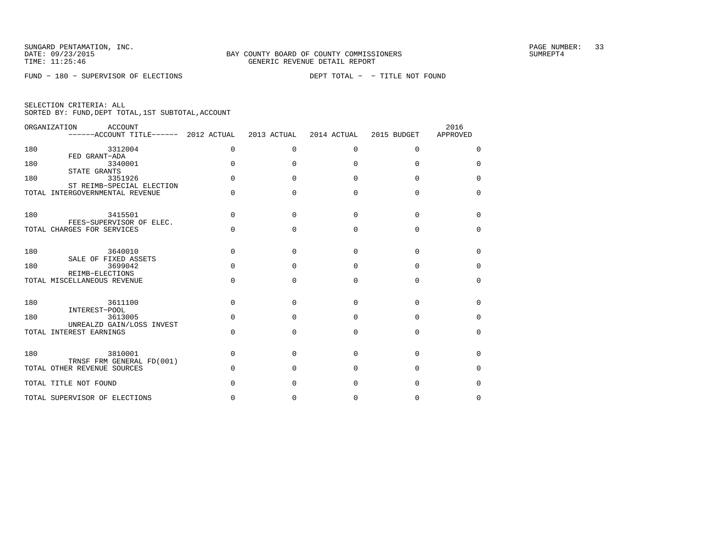FUND − 180 − SUPERVISOR OF ELECTIONS DEPT TOTAL − − TITLE NOT FOUND

|  | SELECTION CRITERIA: ALL |                                                    |  |
|--|-------------------------|----------------------------------------------------|--|
|  |                         | SORTED BY: FUND, DEPT TOTAL, 1ST SUBTOTAL, ACCOUNT |  |

|     | ORGANIZATION<br><b>ACCOUNT</b><br>------ACCOUNT TITLE------ | 2012 ACTUAL | 2013 ACTUAL  | 2014 ACTUAL  | 2015 BUDGET  | 2016<br>APPROVED |
|-----|-------------------------------------------------------------|-------------|--------------|--------------|--------------|------------------|
| 180 | 3312004<br>FED GRANT-ADA                                    | $\mathbf 0$ | $\Omega$     | $\Omega$     | $\Omega$     | $\Omega$         |
| 180 | 3340001<br>STATE GRANTS                                     | $\Omega$    | 0            | <sup>0</sup> | <sup>0</sup> | $\Omega$         |
| 180 | 3351926<br>ST REIMB-SPECIAL ELECTION                        | $\Omega$    | <sup>0</sup> | <sup>0</sup> | $\Omega$     | $\Omega$         |
|     | TOTAL INTERGOVERNMENTAL REVENUE                             | $\Omega$    | $\Omega$     | <sup>0</sup> | $\cap$       | $\Omega$         |
| 180 | 3415501<br>FEES-SUPERVISOR OF ELEC.                         | $\Omega$    | <sup>n</sup> | $\cap$       | $\cap$       | $\Omega$         |
|     | TOTAL CHARGES FOR SERVICES                                  | $\Omega$    | <sup>n</sup> | $\Omega$     | $\Omega$     | $\Omega$         |
| 180 | 3640010<br>SALE OF FIXED ASSETS                             | $\Omega$    | <sup>0</sup> | <sup>0</sup> | U            | $\Omega$         |
| 180 | 3699042<br>REIMB-ELECTIONS                                  | $\Omega$    | <sup>0</sup> | <sup>0</sup> | $\Omega$     | $\Omega$         |
|     | TOTAL MISCELLANEOUS REVENUE                                 | $\Omega$    | $\Omega$     | $\Omega$     | $\Omega$     | $\Omega$         |
| 180 | 3611100<br>INTEREST-POOL                                    | $\Omega$    | 0            | $\Omega$     | $\cap$       | $\Omega$         |
| 180 | 3613005<br>UNREALZD GAIN/LOSS INVEST                        | $\Omega$    | $\Omega$     | $\Omega$     | $\cap$       | $\Omega$         |
|     | TOTAL INTEREST EARNINGS                                     | $\Omega$    | $\Omega$     | $\Omega$     | $\Omega$     | $\Omega$         |
| 180 | 3810001<br>TRNSF FRM GENERAL FD(001)                        | $\Omega$    | $\Omega$     | $\Omega$     | $\Omega$     | $\Omega$         |
|     | TOTAL OTHER REVENUE SOURCES                                 | $\Omega$    | 0            | $\Omega$     | $\cap$       | $\Omega$         |
|     | TOTAL TITLE NOT FOUND                                       | $\Omega$    | U            | $\Omega$     | $\cap$       | $\Omega$         |
|     | TOTAL SUPERVISOR OF ELECTIONS                               | O.          | <sup>0</sup> | U            | <sup>0</sup> | O                |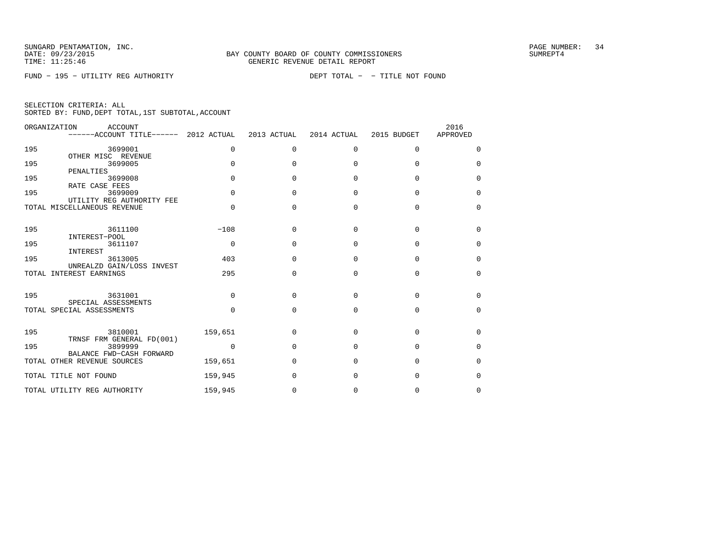FUND − 195 − UTILITY REG AUTHORITY DEPT TOTAL − − TITLE NOT FOUND

| ORGANIZATION | <b>ACCOUNT</b><br>------ACCOUNT TITLE------ 2012 ACTUAL  |             | 2013 ACTUAL  | 2014 ACTUAL  | 2015 BUDGET | 2016<br>APPROVED |
|--------------|----------------------------------------------------------|-------------|--------------|--------------|-------------|------------------|
| 195          | 3699001                                                  | 0           | $\Omega$     | $\mathbf 0$  | 0           | 0                |
| 195          | OTHER MISC REVENUE<br>3699005                            | $\Omega$    | $\Omega$     | $\Omega$     | $\Omega$    | $\Omega$         |
| 195          | PENALTIES<br>3699008                                     | $\Omega$    | $\Omega$     | $\Omega$     | $\Omega$    | $\Omega$         |
| 195          | RATE CASE FEES<br>3699009                                | $\Omega$    | <sup>0</sup> | $\Omega$     | $\Omega$    | $\Omega$         |
|              | UTILITY REG AUTHORITY FEE<br>TOTAL MISCELLANEOUS REVENUE | $\Omega$    | $\Omega$     | $\Omega$     | $\Omega$    | $\mathbf 0$      |
| 195          | 3611100                                                  | $-108$      | <sup>0</sup> | $\Omega$     | $\Omega$    | $\Omega$         |
| 195          | INTEREST-POOL<br>3611107                                 | $\mathbf 0$ | <sup>0</sup> | $\Omega$     | $\Omega$    | $\Omega$         |
| 195          | INTEREST<br>3613005                                      | 403         | $\cap$       | $\Omega$     | $\cap$      | $\Omega$         |
| TOTAL        | UNREALZD GAIN/LOSS INVEST<br>INTEREST EARNINGS           | 295         | <sup>0</sup> | $\Omega$     | $\Omega$    | $\Omega$         |
| 195          | 3631001                                                  | $\Omega$    | U            | <sup>n</sup> | $\Omega$    | $\Omega$         |
|              | SPECIAL ASSESSMENTS                                      |             |              |              |             |                  |
|              | TOTAL SPECIAL ASSESSMENTS                                | $\Omega$    | $\Omega$     | $\Omega$     | $\Omega$    | $\Omega$         |
| 195          | 3810001<br>TRNSF FRM GENERAL FD(001)                     | 159,651     | <sup>0</sup> | <sup>n</sup> | U           | $\Omega$         |
| 195          | 3899999<br>BALANCE FWD-CASH FORWARD                      | $\mathbf 0$ | $\Omega$     | $\Omega$     | $\Omega$    | $\Omega$         |
|              | TOTAL OTHER REVENUE SOURCES                              | 159,651     | $\Omega$     | $\Omega$     | $\Omega$    | $\Omega$         |
|              | TOTAL TITLE NOT FOUND                                    | 159,945     | <sup>0</sup> | n            | U           | $\Omega$         |
|              | TOTAL UTILITY REG AUTHORITY                              | 159,945     | 0            | <sup>0</sup> | U           | 0                |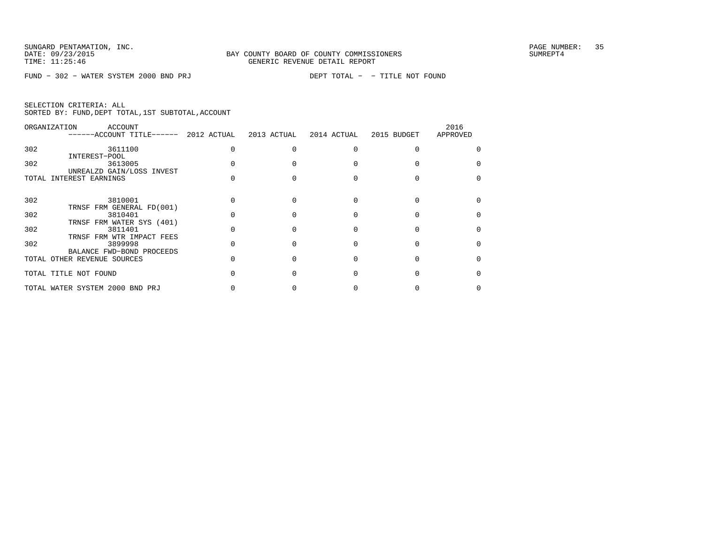FUND − 302 − WATER SYSTEM 2000 BND PRJ DEPT TOTAL − − TITLE NOT FOUND

|  | SELECTION CRITERIA: ALL |  |                                                    |  |
|--|-------------------------|--|----------------------------------------------------|--|
|  |                         |  | SORTED BY: FUND, DEPT TOTAL, 1ST SUBTOTAL, ACCOUNT |  |

|     | ORGANIZATION<br>ACCOUNT<br>------ACCOUNT TITLE------ 2012 ACTUAL | 2013 ACTUAL | 2014 ACTUAL | 2015 BUDGET | 2016<br>APPROVED |
|-----|------------------------------------------------------------------|-------------|-------------|-------------|------------------|
| 302 | 3611100                                                          |             |             |             |                  |
| 302 | INTEREST-POOL<br>3613005                                         |             |             |             |                  |
|     | UNREALZD GAIN/LOSS INVEST<br>TOTAL INTEREST EARNINGS             |             |             |             |                  |
| 302 | 3810001                                                          |             |             |             |                  |
|     | TRNSF FRM GENERAL FD(001)                                        |             |             |             |                  |
| 302 | 3810401<br>TRNSF FRM WATER SYS (401)                             |             |             |             |                  |
| 302 | 3811401<br>TRNSF FRM WTR IMPACT FEES                             |             |             |             |                  |
| 302 | 3899998                                                          |             |             |             |                  |
|     | BALANCE FWD-BOND PROCEEDS<br>TOTAL OTHER REVENUE SOURCES         |             |             |             |                  |
|     | TOTAL TITLE NOT FOUND                                            |             |             |             |                  |
|     | TOTAL WATER SYSTEM 2000 BND PRJ                                  |             |             |             |                  |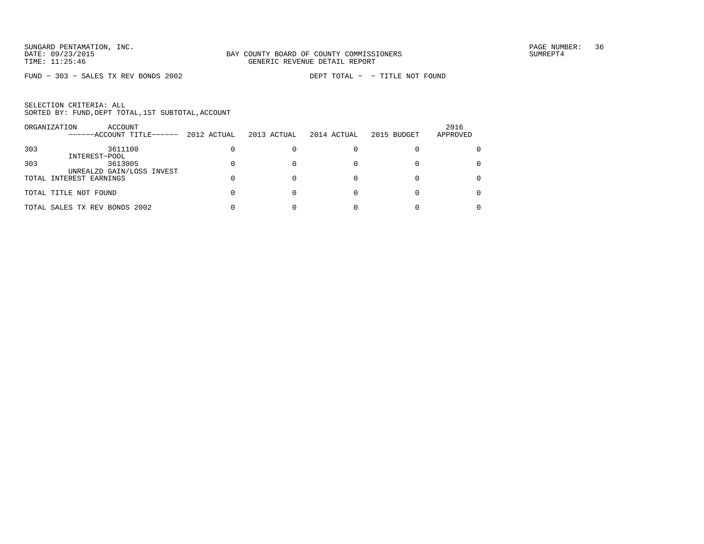FUND − 303 − SALES TX REV BONDS 2002 DEPT TOTAL − − TITLE NOT FOUND

|     | ORGANIZATION<br>ACCOUNT<br>------ACCOUNT TITLE------ | 2012 ACTUAL | 2013 ACTUAL | 2014 ACTUAL | 2015 BUDGET | 2016<br>APPROVED |
|-----|------------------------------------------------------|-------------|-------------|-------------|-------------|------------------|
| 303 | 3611100                                              |             |             |             |             |                  |
|     | INTEREST-POOL                                        |             |             |             |             |                  |
| 303 | 3613005                                              |             |             |             |             |                  |
|     | UNREALZD GAIN/LOSS INVEST                            |             |             |             |             |                  |
|     | TOTAL INTEREST EARNINGS                              |             |             |             |             |                  |
|     |                                                      |             |             |             |             |                  |
|     | TOTAL TITLE NOT FOUND                                |             |             |             |             |                  |
|     |                                                      |             |             |             |             |                  |
|     | TOTAL SALES TX REV BONDS 2002                        |             |             |             |             |                  |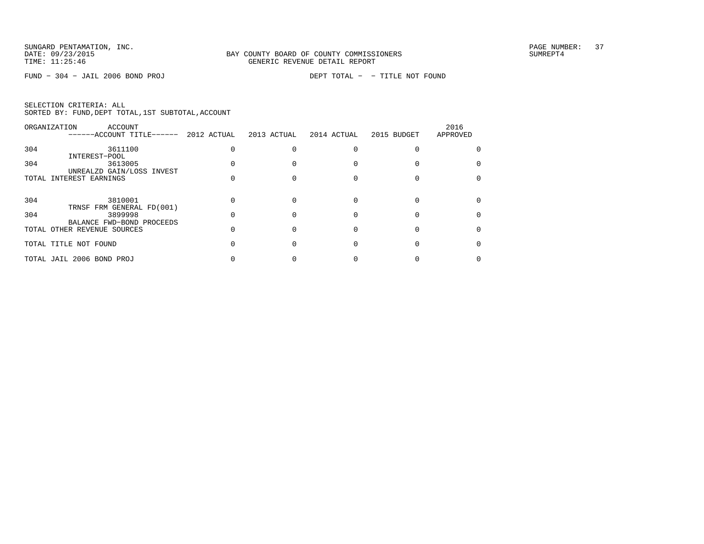FUND − 304 − JAIL 2006 BOND PROJ DEPT TOTAL − − TITLE NOT FOUND

|  | SELECTION CRITERIA: ALL |  |                                                    |  |
|--|-------------------------|--|----------------------------------------------------|--|
|  |                         |  | SORTED BY: FUND, DEPT TOTAL, 1ST SUBTOTAL, ACCOUNT |  |

|     | ORGANIZATION<br>ACCOUNT<br>------ACCOUNT TITLE------     | 2012 ACTUAL | 2013 ACTUAL | 2014 ACTUAL | 2015 BUDGET | 2016<br>APPROVED |
|-----|----------------------------------------------------------|-------------|-------------|-------------|-------------|------------------|
| 304 | 3611100                                                  |             |             |             |             |                  |
| 304 | INTEREST-POOL<br>3613005                                 |             |             |             |             |                  |
|     | UNREALZD GAIN/LOSS INVEST<br>TOTAL INTEREST EARNINGS     |             |             |             |             |                  |
|     |                                                          |             |             |             |             |                  |
| 304 | 3810001<br>TRNSF FRM GENERAL FD(001)                     |             |             |             |             |                  |
| 304 | 3899998                                                  |             |             |             |             |                  |
|     | BALANCE FWD-BOND PROCEEDS<br>TOTAL OTHER REVENUE SOURCES |             |             |             |             |                  |
|     | TOTAL TITLE NOT FOUND                                    |             |             |             |             |                  |
|     | TOTAL JAIL 2006 BOND PROJ                                |             |             |             |             |                  |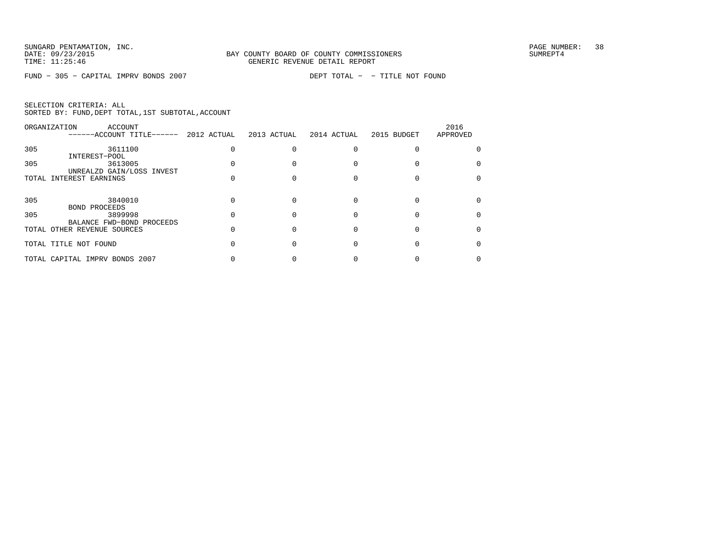FUND − 305 − CAPITAL IMPRV BONDS 2007 DEPT TOTAL − − TITLE NOT FOUND

| SELECTION CRITERIA: ALL |  |  |                                                    |  |
|-------------------------|--|--|----------------------------------------------------|--|
|                         |  |  | SORTED BY: FUND, DEPT TOTAL, 1ST SUBTOTAL, ACCOUNT |  |

|     | ORGANIZATION<br>ACCOUNT<br>------ACCOUNT TITLE------         | 2012 ACTUAL | 2013 ACTUAL | 2014 ACTUAL | 2015 BUDGET | 2016<br>APPROVED |
|-----|--------------------------------------------------------------|-------------|-------------|-------------|-------------|------------------|
| 305 | 3611100<br>INTEREST-POOL                                     |             |             |             |             |                  |
| 305 | 3613005<br>UNREALZD GAIN/LOSS INVEST                         |             |             |             |             |                  |
|     | TOTAL INTEREST EARNINGS                                      |             |             |             |             |                  |
| 305 | 3840010                                                      |             |             |             |             |                  |
| 305 | <b>BOND PROCEEDS</b><br>3899998<br>BALANCE FWD-BOND PROCEEDS |             |             |             |             |                  |
|     | TOTAL OTHER REVENUE SOURCES                                  |             |             |             |             |                  |
|     | TOTAL TITLE NOT FOUND                                        |             |             |             |             |                  |
|     | TOTAL CAPITAL IMPRV BONDS 2007                               |             |             |             |             |                  |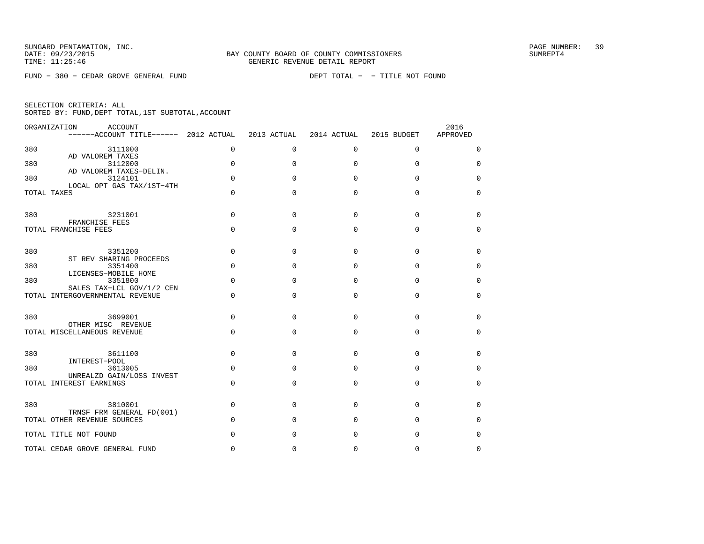FUND − 380 − CEDAR GROVE GENERAL FUND DEPT TOTAL − − TITLE NOT FOUND

|  | SELECTION CRITERIA: ALL |  |                                                    |  |
|--|-------------------------|--|----------------------------------------------------|--|
|  |                         |  | SORTED BY: FUND, DEPT TOTAL, 1ST SUBTOTAL, ACCOUNT |  |

|     | ORGANIZATION<br>ACCOUNT<br>$----ACCOUNT$ TITLE $----$ 2012 ACTUAL |             | 2013 ACTUAL | 2014 ACTUAL  | 2015 BUDGET | 2016<br>APPROVED |
|-----|-------------------------------------------------------------------|-------------|-------------|--------------|-------------|------------------|
| 380 | 3111000                                                           | 0           | $\Omega$    | $\Omega$     | $\mathbf 0$ | 0                |
| 380 | AD VALOREM TAXES<br>3112000                                       | $\Omega$    | $\Omega$    | $\Omega$     | $\Omega$    | $\Omega$         |
| 380 | AD VALOREM TAXES-DELIN.<br>3124101                                | $\mathbf 0$ | 0           | <sup>0</sup> | $\Omega$    | 0                |
|     | LOCAL OPT GAS TAX/1ST-4TH<br>TOTAL TAXES                          | $\Omega$    | O           | $\Omega$     | $\Omega$    | $\Omega$         |
| 380 | 3231001<br>FRANCHISE FEES                                         | $\Omega$    | $\Omega$    | $\Omega$     | $\Omega$    | 0                |
|     | TOTAL FRANCHISE FEES                                              | 0           | $\Omega$    | $\Omega$     | $\Omega$    | $\mathbf 0$      |
| 380 | 3351200<br>ST REV SHARING PROCEEDS                                | 0           | $\Omega$    | $\Omega$     | $\Omega$    | 0                |
| 380 | 3351400<br>LICENSES-MOBILE HOME                                   | $\Omega$    | $\Omega$    | $\Omega$     | $\Omega$    | $\mathbf 0$      |
| 380 | 3351800<br>SALES TAX-LCL GOV/1/2 CEN                              | $\Omega$    | O           | $\Omega$     | $\Omega$    | 0                |
|     | TOTAL INTERGOVERNMENTAL REVENUE                                   | $\Omega$    | $\Omega$    | $\Omega$     | $\Omega$    | $\Omega$         |
| 380 | 3699001<br>OTHER MISC REVENUE                                     | $\Omega$    | O           | $\Omega$     | $\Omega$    | $\Omega$         |
|     | TOTAL MISCELLANEOUS REVENUE                                       | $\Omega$    | $\Omega$    | $\Omega$     | $\Omega$    | 0                |
| 380 | 3611100<br>INTEREST-POOL                                          | 0           | 0           | $\Omega$     | $\Omega$    | 0                |
| 380 | 3613005<br>UNREALZD GAIN/LOSS INVEST                              | $\Omega$    | O           | $\Omega$     | $\Omega$    | $\mathbf 0$      |
|     | TOTAL INTEREST EARNINGS                                           | $\Omega$    | $\Omega$    | $\Omega$     | $\Omega$    | $\mathbf 0$      |
| 380 | 3810001<br>TRNSF FRM GENERAL FD(001)                              | 0           | $\Omega$    | $\Omega$     | $\Omega$    | 0                |
|     | TOTAL OTHER REVENUE SOURCES                                       | $\Omega$    | $\Omega$    | $\Omega$     | $\Omega$    | $\mathbf 0$      |
|     | TOTAL TITLE NOT FOUND                                             | $\Omega$    | O           | $\Omega$     | $\Omega$    | 0                |
|     | TOTAL CEDAR GROVE GENERAL FUND                                    | $\Omega$    | 0           | 0            | 0           | $\Omega$         |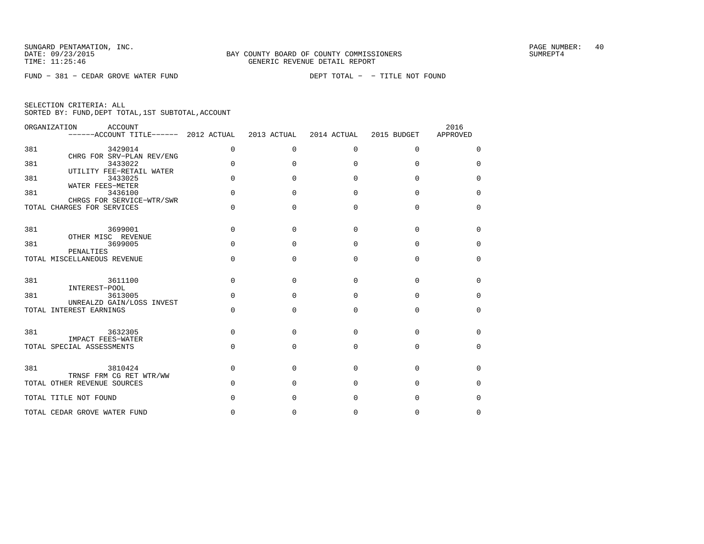FUND − 381 − CEDAR GROVE WATER FUND DEPT TOTAL − − TITLE NOT FOUND

|     | ORGANIZATION<br>ACCOUNT<br>------ACCOUNT TITLE------ 2012 ACTUAL |              | 2013 ACTUAL  | 2014 ACTUAL  | 2015 BUDGET | 2016<br>APPROVED |
|-----|------------------------------------------------------------------|--------------|--------------|--------------|-------------|------------------|
| 381 | 3429014                                                          | $\mathbf 0$  | $\mathbf 0$  | $\mathbf 0$  | $\mathbf 0$ | 0                |
| 381 | CHRG FOR SRV-PLAN REV/ENG<br>3433022<br>UTILITY FEE-RETAIL WATER | $\Omega$     | <sup>0</sup> | $\cap$       | $\Omega$    | $\mathbf 0$      |
| 381 | 3433025<br>WATER FEES-METER                                      | $\Omega$     | U            | U            | U           | $\Omega$         |
| 381 | 3436100<br>CHRGS FOR SERVICE-WTR/SWR                             | $\Omega$     | <sup>0</sup> | $\cap$       | $\Omega$    | $\Omega$         |
|     | TOTAL CHARGES FOR SERVICES                                       | $\Omega$     | $\Omega$     | $\Omega$     | $\Omega$    | $\Omega$         |
| 381 | 3699001                                                          | $\Omega$     | $\Omega$     | $\Omega$     | $\Omega$    | 0                |
| 381 | OTHER MISC REVENUE<br>3699005                                    | <sup>n</sup> | <sup>n</sup> | $\cap$       | $\cap$      | $\Omega$         |
|     | PENALTIES<br>TOTAL MISCELLANEOUS REVENUE                         | <sup>n</sup> | $\Omega$     | $\Omega$     | $\Omega$    | $\Omega$         |
| 381 | 3611100                                                          | $\Omega$     | <sup>0</sup> | U            | $\Omega$    | 0                |
| 381 | INTEREST-POOL<br>3613005                                         | $\Omega$     | U            | $\cap$       | U           | $\Omega$         |
|     | UNREALZD GAIN/LOSS INVEST<br>TOTAL INTEREST EARNINGS             | $\Omega$     | <sup>0</sup> | $\Omega$     | $\Omega$    | $\Omega$         |
| 381 | 3632305                                                          | $\Omega$     | $\Omega$     | $\cap$       | $\Omega$    | $\Omega$         |
|     | IMPACT FEES-WATER<br>TOTAL SPECIAL ASSESSMENTS                   | $\Omega$     | $\Omega$     | $\Omega$     | $\Omega$    | $\mathbf 0$      |
| 381 | 3810424                                                          | $\Omega$     | <sup>0</sup> | <sup>n</sup> | $\cap$      | $\Omega$         |
|     | TRNSF FRM CG RET WTR/WW<br>TOTAL OTHER REVENUE SOURCES           | $\Omega$     | <sup>0</sup> | U            | $\Omega$    | $\Omega$         |
|     | TOTAL TITLE NOT FOUND                                            |              | O            | <sup>0</sup> | O           | 0                |
|     | TOTAL CEDAR GROVE WATER FUND                                     | $\Omega$     | 0            | $\Omega$     | 0           | $\Omega$         |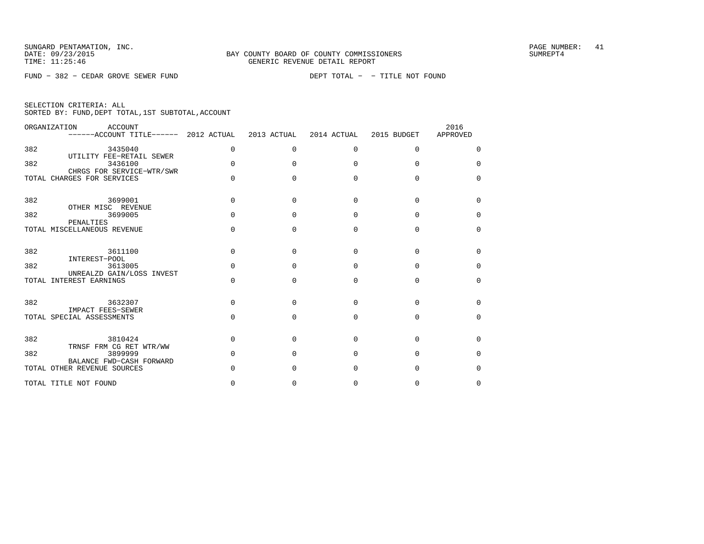FUND − 382 − CEDAR GROVE SEWER FUND DEPT TOTAL − − TITLE NOT FOUND

|  | SELECTION CRITERIA: ALL |                                                    |  |
|--|-------------------------|----------------------------------------------------|--|
|  |                         | SORTED BY: FUND, DEPT TOTAL, 1ST SUBTOTAL, ACCOUNT |  |

|     | ORGANIZATION<br>ACCOUNT<br>------ACCOUNT TITLE------ 2012 ACTUAL |              | 2013 ACTUAL  | 2014 ACTUAL  | 2015 BUDGET | 2016<br>APPROVED |
|-----|------------------------------------------------------------------|--------------|--------------|--------------|-------------|------------------|
| 382 | 3435040<br>UTILITY FEE-RETAIL SEWER                              | $\Omega$     | $\Omega$     | $\Omega$     | $\Omega$    | $\Omega$         |
| 382 | 3436100<br>CHRGS FOR SERVICE-WTR/SWR                             | $\Omega$     | <sup>0</sup> | <sup>n</sup> | U           | $\Omega$         |
|     | TOTAL CHARGES FOR SERVICES                                       |              | U            | U            | $\cap$      | $\Omega$         |
| 382 | 3699001<br>OTHER MISC REVENUE                                    | <sup>n</sup> | U            | <sup>n</sup> | U           | $\Omega$         |
| 382 | 3699005<br>PENALTIES                                             | <sup>n</sup> | U            | U            | $\cap$      | $\Omega$         |
|     | TOTAL MISCELLANEOUS REVENUE                                      | <sup>n</sup> | <sup>0</sup> | $\Omega$     | $\Omega$    | $\Omega$         |
| 382 | 3611100<br>INTEREST-POOL                                         | $\Omega$     | $\Omega$     | $\Omega$     | $\Omega$    | $\Omega$         |
| 382 | 3613005<br>UNREALZD GAIN/LOSS INVEST                             | $\Omega$     | $\Omega$     | $\Omega$     | $\Omega$    | $\Omega$         |
|     | TOTAL INTEREST EARNINGS                                          | $\cap$       | U            | $\cap$       | $\cap$      | $\Omega$         |
| 382 | 3632307                                                          | <sup>n</sup> | U            | U            | $\cap$      | $\Omega$         |
|     | <b>IMPACT FEES-SEWER</b><br>TOTAL SPECIAL ASSESSMENTS            | <sup>n</sup> | <sup>0</sup> | $\cap$       | $\Omega$    | $\Omega$         |
| 382 | 3810424                                                          | $\Omega$     | $\Omega$     | $\cap$       | $\cap$      | $\Omega$         |
| 382 | TRNSF FRM CG RET WTR/WW<br>3899999<br>BALANCE FWD-CASH FORWARD   | $\Omega$     | <sup>0</sup> | U            | $\cap$      | $\Omega$         |
|     | TOTAL OTHER REVENUE SOURCES                                      |              | U            | U            | ∩           | $\Omega$         |
|     | TOTAL TITLE NOT FOUND                                            |              | 0            | 0            | 0           | $\Omega$         |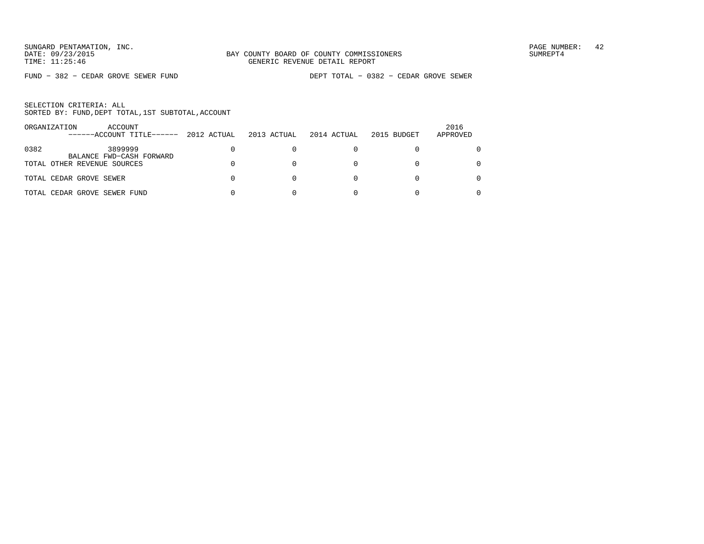FUND − 382 − CEDAR GROVE SEWER FUND DEPT TOTAL − 0382 − CEDAR GROVE SEWER

| ORGANIZATION | ACCOUNT<br>------ACCOUNT TITLE------ | 2012 ACTUAL | 2013 ACTUAL | 2014 ACTUAL | 2015 BUDGET | 2016<br>APPROVED |
|--------------|--------------------------------------|-------------|-------------|-------------|-------------|------------------|
| 0382         | 3899999<br>BALANCE FWD-CASH FORWARD  |             |             |             |             |                  |
|              | TOTAL OTHER REVENUE SOURCES          |             |             |             |             | 0                |
|              | TOTAL CEDAR GROVE SEWER              |             |             |             |             |                  |
|              | TOTAL CEDAR GROVE SEWER FUND         |             |             |             |             |                  |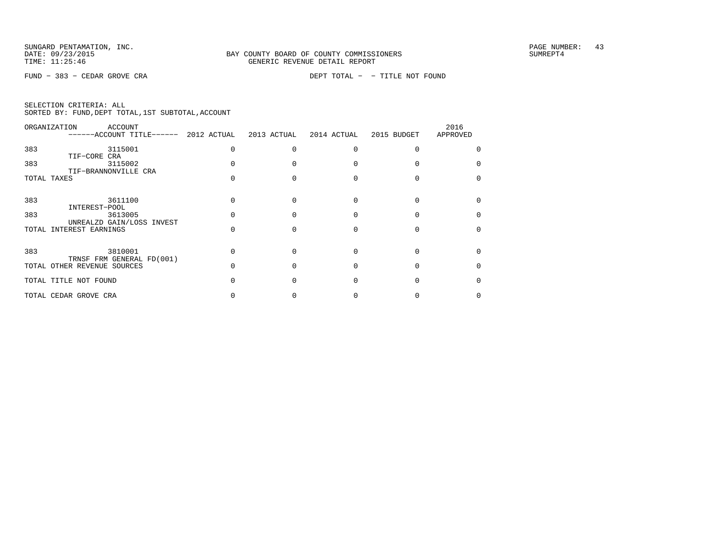FUND − 383 − CEDAR GROVE CRA DEPT TOTAL − − TITLE NOT FOUND

|  | SELECTION CRITERIA: ALL                            |  |  |
|--|----------------------------------------------------|--|--|
|  | SORTED BY: FUND, DEPT TOTAL, 1ST SUBTOTAL, ACCOUNT |  |  |

| ORGANIZATION | ACCOUNT<br>$----ACCOUNT$ TITLE $---2012$ ACTUAL          | 2013 ACTUAL | 2014 ACTUAL | 2015 BUDGET | 2016<br>APPROVED |
|--------------|----------------------------------------------------------|-------------|-------------|-------------|------------------|
| 383          | 3115001                                                  |             |             |             |                  |
| 383          | TIF-CORE CRA<br>3115002                                  |             |             |             |                  |
| TOTAL TAXES  | TIF-BRANNONVILLE CRA                                     |             |             |             |                  |
| 383          | 3611100                                                  |             |             |             |                  |
| 383          | INTEREST-POOL<br>3613005                                 |             |             |             |                  |
|              | UNREALZD GAIN/LOSS INVEST<br>TOTAL INTEREST EARNINGS     |             |             |             |                  |
| 383          | 3810001                                                  |             |             |             |                  |
|              | TRNSF FRM GENERAL FD(001)<br>TOTAL OTHER REVENUE SOURCES |             |             |             |                  |
|              | TOTAL TITLE NOT FOUND                                    |             |             |             |                  |
|              | TOTAL CEDAR GROVE CRA                                    |             |             |             |                  |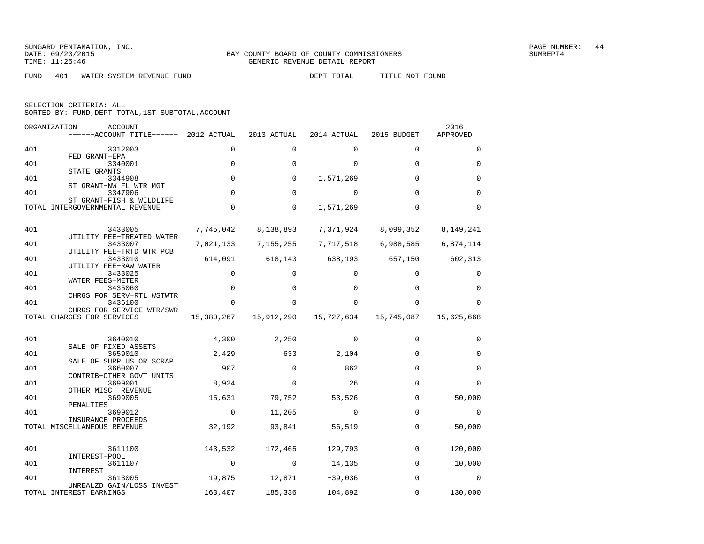SUNGARD PENTAMATION, INC.<br>
BAY COUNTY BOARD OF COUNTY COMMISSIONERS AND SUNREPT4 SUMREPT4

FUND − 401 − WATER SYSTEM REVENUE FUND DEPT TOTAL − − TITLE NOT FOUND

| SELECTION CRITERIA: ALL |  |  |                                                 |  |
|-------------------------|--|--|-------------------------------------------------|--|
|                         |  |  | SORTED BY: FUND,DEPT TOTAL,1ST SUBTOTAL,ACCOUNT |  |

| ORGANIZATION | <b>ACCOUNT</b><br>------ACCOUNT TITLE------ 2012 ACTUAL     |             | 2013 ACTUAL | 2014 ACTUAL | 2015 BUDGET | 2016<br>APPROVED |
|--------------|-------------------------------------------------------------|-------------|-------------|-------------|-------------|------------------|
| 401          | 3312003                                                     | $\Omega$    | $\Omega$    | $\Omega$    | $\Omega$    | $\Omega$         |
| 401          | FED GRANT-EPA<br>3340001                                    | $\mathbf 0$ | $\Omega$    | 0           | $\Omega$    | $\mathbf 0$      |
| 401          | STATE GRANTS<br>3344908                                     | $\mathbf 0$ | 0           | 1,571,269   | 0           | 0                |
| 401          | ST GRANT-NW FL WTR MGT<br>3347906                           | $\Omega$    | $\Omega$    | $\Omega$    | $\Omega$    | $\Omega$         |
|              | ST GRANT-FISH & WILDLIFE<br>TOTAL INTERGOVERNMENTAL REVENUE | $\mathbf 0$ | 0           | 1,571,269   | $\Omega$    | $\Omega$         |
| 401          | 3433005                                                     | 7,745,042   | 8,138,893   | 7,371,924   | 8,099,352   | 8,149,241        |
|              | UTILITY FEE-TREATED WATER                                   |             |             |             |             |                  |
| 401          | 3433007<br>UTILITY FEE-TRTD WTR PCB                         | 7,021,133   | 7, 155, 255 | 7,717,518   | 6,988,585   | 6,874,114        |
| 401          | 3433010<br>UTILITY FEE-RAW WATER                            | 614,091     | 618,143     | 638,193     | 657,150     | 602,313          |
| 401          | 3433025<br>WATER FEES-METER                                 | 0           | $\mathbf 0$ | 0           | 0           | 0                |
| 401          | 3435060                                                     | $\mathbf 0$ | $\mathbf 0$ | 0           | $\Omega$    | 0                |
| 401          | CHRGS FOR SERV-RTL WSTWTR<br>3436100                        | $\Omega$    | $\Omega$    |             | $\Omega$    | $\Omega$         |
|              | CHRGS FOR SERVICE-WTR/SWR<br>TOTAL CHARGES FOR SERVICES     | 15,380,267  | 15,912,290  | 15,727,634  | 15,745,087  | 15,625,668       |
| 401          | 3640010                                                     | 4,300       | 2,250       | $\Omega$    | $\Omega$    | $\Omega$         |
| 401          | SALE OF FIXED ASSETS<br>3659010                             | 2,429       | 633         | 2,104       | $\Omega$    | $\Omega$         |
|              | SALE OF SURPLUS OR SCRAP                                    |             |             |             |             |                  |
| 401          | 3660007<br>CONTRIB-OTHER GOVT UNITS                         | 907         | $\Omega$    | 862         | $\Omega$    | $\Omega$         |
| 401          | 3699001<br>OTHER MISC REVENUE                               | 8,924       | 0           | 26          | $\Omega$    | $\Omega$         |
| 401          | 3699005<br>PENALTIES                                        | 15,631      | 79,752      | 53,526      | $\Omega$    | 50,000           |
| 401          | 3699012                                                     | $\mathbf 0$ | 11,205      | $\mathbf 0$ | $\Omega$    | $\mathbf 0$      |
|              | INSURANCE PROCEEDS<br>TOTAL MISCELLANEOUS REVENUE           | 32,192      | 93,841      | 56,519      | $\mathbf 0$ | 50,000           |
| 401          | 3611100                                                     | 143,532     | 172,465     | 129,793     | $\mathbf 0$ | 120,000          |
| 401          | INTEREST-POOL<br>3611107                                    | $\mathbf 0$ | $\Omega$    | 14,135      | $\Omega$    | 10,000           |
|              | INTEREST                                                    |             |             |             |             |                  |
| 401          | 3613005<br>UNREALZD GAIN/LOSS INVEST                        | 19,875      | 12,871      | $-39,036$   | $\Omega$    | $\Omega$         |
|              | TOTAL INTEREST EARNINGS                                     | 163,407     | 185,336     | 104,892     | $\Omega$    | 130,000          |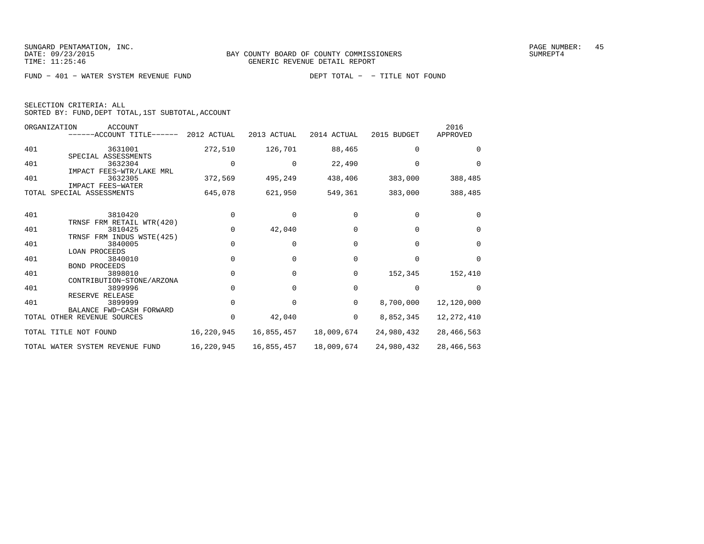FUND − 401 − WATER SYSTEM REVENUE FUND DEPT TOTAL − − TITLE NOT FOUND

| SELECTION CRITERIA: ALL |  |                                                    |  |
|-------------------------|--|----------------------------------------------------|--|
|                         |  | SORTED BY: FUND, DEPT TOTAL, 1ST SUBTOTAL, ACCOUNT |  |

| ORGANIZATION | <b>ACCOUNT</b><br>------ACCOUNT TITLE------ 2012 ACTUAL      |            | 2013 ACTUAL | 2014 ACTUAL | 2015 BUDGET | 2016<br>APPROVED |
|--------------|--------------------------------------------------------------|------------|-------------|-------------|-------------|------------------|
| 401          | 3631001                                                      | 272,510    | 126,701     | 88,465      | $\Omega$    | $\Omega$         |
| 401          | SPECIAL ASSESSMENTS<br>3632304<br>IMPACT FEES-WTR/LAKE MRL   |            | $\Omega$    | 22,490      |             | $\Omega$         |
| 401          | 3632305<br>IMPACT FEES-WATER                                 | 372,569    | 495,249     | 438,406     | 383,000     | 388,485          |
|              | TOTAL SPECIAL ASSESSMENTS                                    | 645,078    | 621,950     | 549,361     | 383,000     | 388,485          |
| 401          | 3810420                                                      | $\Omega$   |             |             |             | $\Omega$         |
| 401          | TRNSF FRM RETAIL WTR(420)<br>3810425                         | $\Omega$   | 42,040      |             | $\Omega$    | $\Omega$         |
| 401          | TRNSF FRM INDUS WSTE(425)<br>3840005                         | 0          | $\Omega$    | 0           | $\Omega$    | $\Omega$         |
| 401          | <b>LOAN PROCEEDS</b><br>3840010                              | $\Omega$   | $\Omega$    | 0           | $\Omega$    | $\Omega$         |
| 401          | <b>BOND PROCEEDS</b><br>3898010<br>CONTRIBUTION-STONE/ARZONA | $\Omega$   | $\Omega$    | 0           | 152,345     | 152,410          |
| 401          | 3899996<br>RESERVE RELEASE                                   |            | U           | 0           | $\Omega$    | $\Omega$         |
| 401          | 3899999<br>BALANCE FWD-CASH FORWARD                          | 0          | $\Omega$    | $\Omega$    | 8,700,000   | 12,120,000       |
|              | TOTAL OTHER REVENUE SOURCES                                  | 0          | 42,040      | 0           | 8,852,345   | 12, 272, 410     |
|              | TOTAL TITLE NOT FOUND                                        | 16,220,945 | 16,855,457  | 18,009,674  | 24,980,432  | 28, 466, 563     |
|              | TOTAL WATER SYSTEM REVENUE FUND                              | 16,220,945 | 16,855,457  | 18,009,674  | 24,980,432  | 28, 466, 563     |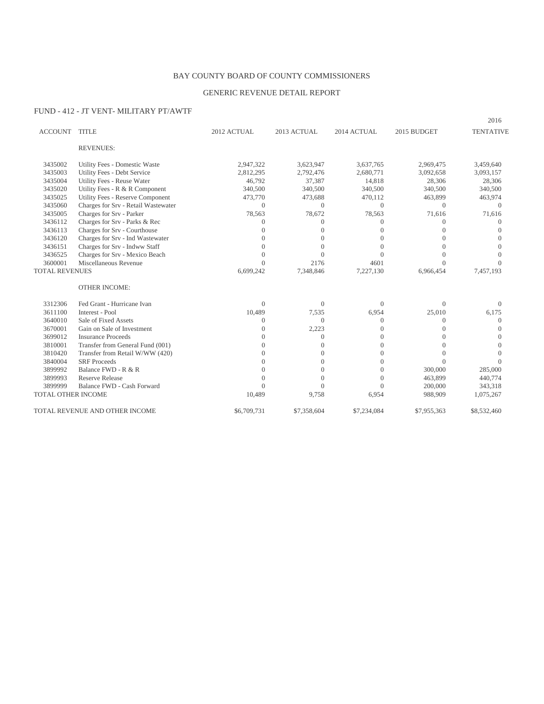## BAY COUNTY BOARD OF COUNTY COMMISSIONERS

## GENERIC REVENUE DETAIL REPORT

## FUND - 412 - JT VENT- MILITARY PT/AWTF

| <b>ACCOUNT</b>        | <b>TITLE</b>                        | 2012 ACTUAL | 2013 ACTUAL  | 2014 ACTUAL | 2015 BUDGET | <b>TENTATIVE</b> |
|-----------------------|-------------------------------------|-------------|--------------|-------------|-------------|------------------|
|                       | <b>REVENUES:</b>                    |             |              |             |             |                  |
| 3435002               | Utility Fees - Domestic Waste       | 2,947,322   | 3,623,947    | 3,637,765   | 2,969,475   | 3,459,640        |
| 3435003               | Utility Fees - Debt Service         | 2,812,295   | 2,792,476    | 2,680,771   | 3,092,658   | 3,093,157        |
| 3435004               | Utility Fees - Reuse Water          | 46,792      | 37,387       | 14,818      | 28,306      | 28,306           |
| 3435020               | Utility Fees - R & R Component      | 340,500     | 340,500      | 340,500     | 340,500     | 340,500          |
| 3435025               | Utility Fees - Reserve Component    | 473,770     | 473,688      | 470,112     | 463,899     | 463,974          |
| 3435060               | Charges for Srv - Retail Wastewater | $\Omega$    | $\Omega$     | $\Omega$    | $\Omega$    | $\Omega$         |
| 3435005               | Charges for Srv - Parker            | 78,563      | 78,672       | 78,563      | 71,616      | 71,616           |
| 3436112               | Charges for Srv - Parks & Rec       | $\Omega$    | $\Omega$     | $\Omega$    | 0           |                  |
| 3436113               | Charges for Srv - Courthouse        |             | $\Omega$     | $\Omega$    | $\left($    |                  |
| 3436120               | Charges for Srv - Ind Wastewater    | 0           | $\Omega$     |             | $\bigcap$   |                  |
| 3436151               | Charges for Srv - Indww Staff       | 0           | $\Omega$     |             | $\Omega$    |                  |
| 3436525               | Charges for Srv - Mexico Beach      | $\Omega$    | $\Omega$     |             | $\Omega$    |                  |
| 3600001               | Miscellaneous Revenue               | $\Omega$    | 2176         | 4601        | $\Omega$    |                  |
| <b>TOTAL REVENUES</b> |                                     | 6,699,242   | 7,348,846    | 7,227,130   | 6,966,454   | 7,457,193        |
|                       | <b>OTHER INCOME:</b>                |             |              |             |             |                  |
| 3312306               | Fed Grant - Hurricane Ivan          | $\Omega$    | $\mathbf{0}$ | $\Omega$    | $\Omega$    | $\Omega$         |
| 3611100               | Interest - Pool                     | 10,489      | 7,535        | 6,954       | 25,010      | 6,175            |
| 3640010               | Sale of Fixed Assets                | $\Omega$    | $\Omega$     | $\Omega$    | $\Omega$    | $\Omega$         |
| 3670001               | Gain on Sale of Investment          | 0           | 2,223        | $\Omega$    | $\Omega$    | $\Omega$         |
| 3699012               | <b>Insurance Proceeds</b>           | $\theta$    | $\Omega$     |             |             |                  |
| 3810001               | Transfer from General Fund (001)    | $\theta$    | $\Omega$     |             | $\Omega$    | $\Omega$         |
| 3810420               | Transfer from Retail W/WW (420)     | $\theta$    | $\Omega$     | 0           | 0           |                  |
| 3840004               | <b>SRF</b> Proceeds                 | 0           | $\Omega$     | $\Omega$    | $\Omega$    | $\Omega$         |
| 3899992               | Balance FWD - R & R                 | 0           | $\Omega$     | $\Omega$    | 300,000     | 285,000          |
| 3899993               | <b>Reserve Release</b>              | 0           | $\Omega$     | $\Omega$    | 463,899     | 440,774          |
| 3899999               | Balance FWD - Cash Forward          | $\Omega$    | $\Omega$     | $\Omega$    | 200,000     | 343,318          |
| TOTAL OTHER INCOME    |                                     | 10,489      | 9,758        | 6,954       | 988,909     | 1,075,267        |
|                       | TOTAL REVENUE AND OTHER INCOME      | \$6,709,731 | \$7,358,604  | \$7,234,084 | \$7,955,363 | \$8,532,460      |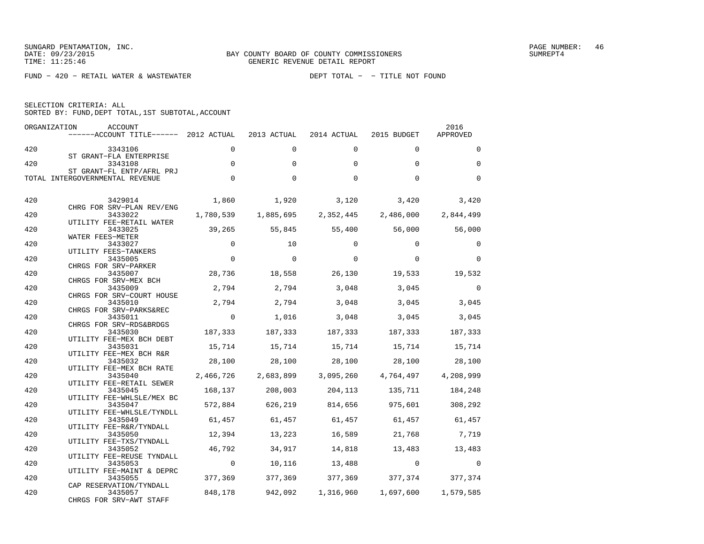FUND − 420 − RETAIL WATER & WASTEWATER DEPT TOTAL − − TITLE NOT FOUND

| SELECTION CRITERIA: ALL |                                                    |  |
|-------------------------|----------------------------------------------------|--|
|                         | SORTED BY: FUND, DEPT TOTAL, 1ST SUBTOTAL, ACCOUNT |  |

|     | ORGANIZATION<br>ACCOUNT<br>------ACCOUNT TITLE------ 2012 ACTUAL 2013 ACTUAL |                |           | 2014 ACTUAL                                           | 2015 BUDGET                   | 2016<br>APPROVED |
|-----|------------------------------------------------------------------------------|----------------|-----------|-------------------------------------------------------|-------------------------------|------------------|
| 420 | 3343106<br>ST GRANT-FLA ENTERPRISE                                           | $\Omega$       | $\Omega$  | $\Omega$                                              | $\Omega$                      | $\Omega$         |
| 420 | 3343108<br>ST GRANT-FL ENTP/AFRL PRJ                                         | $\Omega$       | $\Omega$  | $\Omega$                                              | $\Omega$                      | $\Omega$         |
|     | TOTAL INTERGOVERNMENTAL REVENUE                                              | $\mathbf 0$    | $\Omega$  | $\Omega$                                              | $\Omega$                      | $\Omega$         |
| 420 | 3429014                                                                      | 1,860          | 1,920     |                                                       | $3,120$ $3,420$ $3,420$       |                  |
| 420 | CHRG FOR SRV-PLAN REV/ENG<br>3433022                                         | 1,780,539      | 1,885,695 |                                                       | 2,352,445 2,486,000 2,844,499 |                  |
|     | UTILITY FEE-RETAIL WATER                                                     |                |           |                                                       |                               |                  |
| 420 | 3433025<br>WATER FEES-METER                                                  | 39,265         |           | 55,845 55,400 56,000                                  |                               | 56,000           |
| 420 | 3433027                                                                      | $\overline{0}$ | 10        | $\Omega$                                              | $\Omega$                      | $\Omega$         |
| 420 | UTILITY FEES-TANKERS<br>3435005                                              | $\mathbf 0$    | $\Omega$  | $\Omega$                                              | $\Omega$                      | $\Omega$         |
|     | CHRGS FOR SRV-PARKER                                                         |                |           |                                                       |                               |                  |
| 420 | 3435007                                                                      | 28,736         | 18,558    | 26,130                                                | 19,533                        | 19,532           |
| 420 | CHRGS FOR SRV-MEX BCH<br>3435009                                             | 2,794          | 2,794     | 3,048                                                 | 3,045                         | $\overline{0}$   |
|     | CHRGS FOR SRV-COURT HOUSE                                                    |                |           |                                                       |                               |                  |
| 420 | 3435010<br>CHRGS FOR SRV-PARKS&REC                                           | 2,794          | 2,794     | 3,048                                                 |                               | 3,045 3,045      |
| 420 | 3435011                                                                      | $\overline{0}$ | 1,016     | 3,048                                                 | 3,045                         | 3,045            |
|     | CHRGS FOR SRV-RDS&BRDGS                                                      |                |           |                                                       |                               |                  |
| 420 | 3435030<br>UTILITY FEE-MEX BCH DEBT                                          |                |           | 187,333 187,333 187,333 187,333 187,333               |                               |                  |
| 420 | 3435031                                                                      | 15,714         |           | 15,714   15,714   15,714   15,714                     |                               |                  |
|     | UTILITY FEE-MEX BCH R&R                                                      |                |           |                                                       |                               |                  |
| 420 | 3435032<br>UTILITY FEE-MEX BCH RATE                                          | 28,100         | 28,100    | 28,100                                                | 28,100                        | 28,100           |
| 420 | 3435040                                                                      |                |           | 2,466,726 2,683,899 3,095,260 4,764,497 4,208,999     |                               |                  |
|     | UTILITY FEE-RETAIL SEWER                                                     |                |           |                                                       |                               |                  |
| 420 | 3435045<br>UTILITY FEE-WHLSLE/MEX BC                                         |                |           | 168,137 208,003 204,113 135,711                       |                               | 184,248          |
| 420 | 3435047                                                                      |                |           | 572,884 626,219 814,656                               | 975,601                       | 308,292          |
|     | UTILITY FEE-WHLSLE/TYNDLL                                                    |                |           |                                                       |                               |                  |
| 420 | 3435049<br>UTILITY FEE-R&R/TYNDALL                                           |                |           | $61,457$ $61,457$ $61,457$ $61,457$ $61,457$ $61,457$ |                               |                  |
| 420 | 3435050                                                                      | 12,394         | 13,223    | 16,589                                                |                               | 21,768 7,719     |
|     | UTILITY FEE-TXS/TYNDALL                                                      |                |           |                                                       |                               |                  |
| 420 | 3435052<br>UTILITY FEE-REUSE TYNDALL                                         | 46,792         | 34,917    |                                                       | 14,818 13,483 13,483          |                  |
| 420 | 3435053                                                                      | $\overline{0}$ |           | 10,116 13,488 0                                       |                               | $\Omega$         |
|     | UTILITY FEE-MAINT & DEPRC                                                    |                |           |                                                       |                               |                  |
| 420 | 3435055<br>CAP RESERVATION/TYNDALL                                           | 377,369        |           | 377,369 377,369 377,374 377,374                       |                               |                  |
| 420 | 3435057                                                                      | 848,178        |           | 942,092 1,316,960 1,697,600 1,579,585                 |                               |                  |
|     | CHRGS FOR SRV-AWT STAFF                                                      |                |           |                                                       |                               |                  |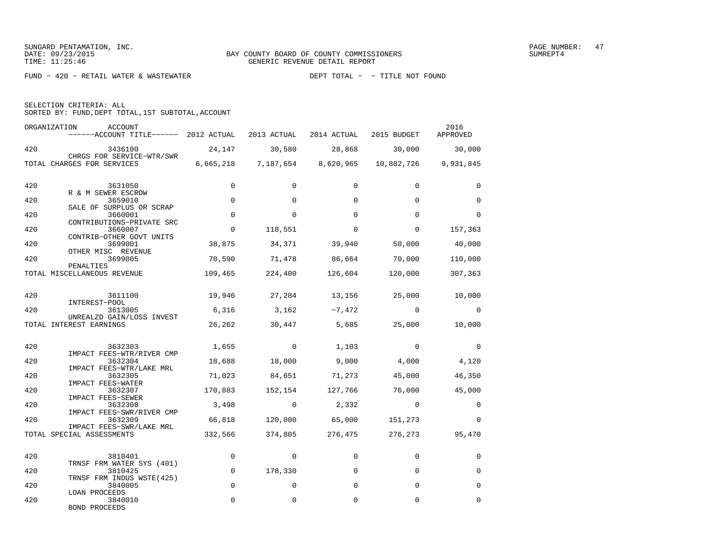FUND − 420 − RETAIL WATER & WASTEWATER DEPT TOTAL − − TITLE NOT FOUND

| SELECTION CRITERIA: ALL |  |  |                                                    |  |
|-------------------------|--|--|----------------------------------------------------|--|
|                         |  |  | SORTED BY: FUND, DEPT TOTAL, 1ST SUBTOTAL, ACCOUNT |  |

| ORGANIZATION | ACCOUNT<br>------ACCOUNT TITLE------ 2012 ACTUAL 2013 ACTUAL 2014 ACTUAL 2015 BUDGET |                |                                                                                                                                                                                                                                                                                                                                    |                               |                                        | 2016<br>APPROVED |
|--------------|--------------------------------------------------------------------------------------|----------------|------------------------------------------------------------------------------------------------------------------------------------------------------------------------------------------------------------------------------------------------------------------------------------------------------------------------------------|-------------------------------|----------------------------------------|------------------|
| 420          | 3436100                                                                              |                |                                                                                                                                                                                                                                                                                                                                    |                               | 24,147 30,580 28,868 30,000 30,000     |                  |
|              | CHRGS FOR SERVICE-WTR/SWR<br>TOTAL CHARGES FOR SERVICES                              |                |                                                                                                                                                                                                                                                                                                                                    | 6,665,218 7,187,654 8,620,965 | 10,882,726 9,931,845                   |                  |
| 420          | 3631050<br>R & M SEWER ESCROW                                                        | $\Omega$       | $\Omega$                                                                                                                                                                                                                                                                                                                           | $\Omega$                      | $\Omega$                               | $\Omega$         |
| 420          | 3659010                                                                              | $\mathbf 0$    | $\Omega$                                                                                                                                                                                                                                                                                                                           | $\Omega$                      | $\Omega$                               | $\mathbf 0$      |
| 420          | SALE OF SURPLUS OR SCRAP<br>3660001<br>CONTRIBUTIONS-PRIVATE SRC                     | $\Omega$       | $\Omega$                                                                                                                                                                                                                                                                                                                           | $\Omega$                      | $\Omega$                               | $\Omega$         |
| 420          | 3660007                                                                              | $\mathbf 0$    | 118,551                                                                                                                                                                                                                                                                                                                            | $\Omega$                      | $\Omega$                               | 157,363          |
| 420          | CONTRIB-OTHER GOVT UNITS<br>3699001<br>OTHER MISC REVENUE                            | 38,875         |                                                                                                                                                                                                                                                                                                                                    | 34,371 39,940                 |                                        | 50,000 40,000    |
| 420          | 3699005                                                                              | 70,590         |                                                                                                                                                                                                                                                                                                                                    |                               | 71,478 86,664 70,000 110,000           |                  |
|              | PENALTIES<br>TOTAL MISCELLANEOUS REVENUE                                             | 109,465        |                                                                                                                                                                                                                                                                                                                                    |                               | 224,400 126,604 120,000                | 307,363          |
| 420          | 3611100                                                                              |                |                                                                                                                                                                                                                                                                                                                                    |                               | 19,946 27,284 13,156 25,000 10,000     |                  |
| 420          | INTEREST-POOL<br>3613005                                                             |                |                                                                                                                                                                                                                                                                                                                                    | $6,316$ $3,162$ $-7,472$      | $\overline{0}$                         | $\overline{0}$   |
|              | UNREALZD GAIN/LOSS INVEST<br>TOTAL INTEREST EARNINGS                                 |                |                                                                                                                                                                                                                                                                                                                                    | 26,262 30,447 5,685           | 25,000                                 | 10,000           |
| 420          | 3632303<br>IMPACT FEES-WTR/RIVER CMP                                                 |                |                                                                                                                                                                                                                                                                                                                                    | $1,655$ 0 1,103               | $\overline{0}$                         | $\Omega$         |
| 420          | 3632304                                                                              | 18,688         | 18,000                                                                                                                                                                                                                                                                                                                             |                               | 9,000 4,000 4,120                      |                  |
| 420          | IMPACT FEES-WTR/LAKE MRL<br>3632305                                                  | 71,023         |                                                                                                                                                                                                                                                                                                                                    | 84,651 71,273                 | 45,000                                 | 46,350           |
| 420          | IMPACT FEES-WATER<br>3632307                                                         | 170,883        | 152,154                                                                                                                                                                                                                                                                                                                            | 127,766                       | 76,000                                 | 45,000           |
| 420          | IMPACT FEES-SEWER<br>3632308                                                         | 3,498          | $\overline{a}$ and $\overline{a}$ and $\overline{a}$ and $\overline{a}$ and $\overline{a}$ and $\overline{a}$ and $\overline{a}$ and $\overline{a}$ and $\overline{a}$ and $\overline{a}$ and $\overline{a}$ and $\overline{a}$ and $\overline{a}$ and $\overline{a}$ and $\overline{a}$ and $\overline{a}$ and $\overline{a}$ and | 2,332                         | $\overline{0}$                         | $\mathbf 0$      |
| 420          | IMPACT FEES-SWR/RIVER CMP<br>3632309                                                 |                |                                                                                                                                                                                                                                                                                                                                    | 66,818 120,000 65,000         | 151,273                                | $\Omega$         |
|              | IMPACT FEES-SWR/LAKE MRL<br>TOTAL SPECIAL ASSESSMENTS                                |                |                                                                                                                                                                                                                                                                                                                                    |                               | 332,566 374,805 276,475 276,273 95,470 |                  |
| 420          | 3810401                                                                              | $\overline{0}$ | $\mathbf 0$                                                                                                                                                                                                                                                                                                                        | $\mathbf 0$                   | $\Omega$                               | 0                |
| 420          | TRNSF FRM WATER SYS (401)<br>3810425                                                 | $\mathbf{0}$   | 178,330                                                                                                                                                                                                                                                                                                                            | $\Omega$                      | $\Omega$                               | 0                |
| 420          | TRNSF FRM INDUS WSTE(425)<br>3840005                                                 | $\Omega$       | $\Omega$                                                                                                                                                                                                                                                                                                                           | $\Omega$                      | $\Omega$                               | $\Omega$         |
| 420          | LOAN PROCEEDS<br>3840010<br>BOND PROCEEDS                                            | $\Omega$       | $\Omega$                                                                                                                                                                                                                                                                                                                           | $\Omega$                      | $\Omega$                               | $\Omega$         |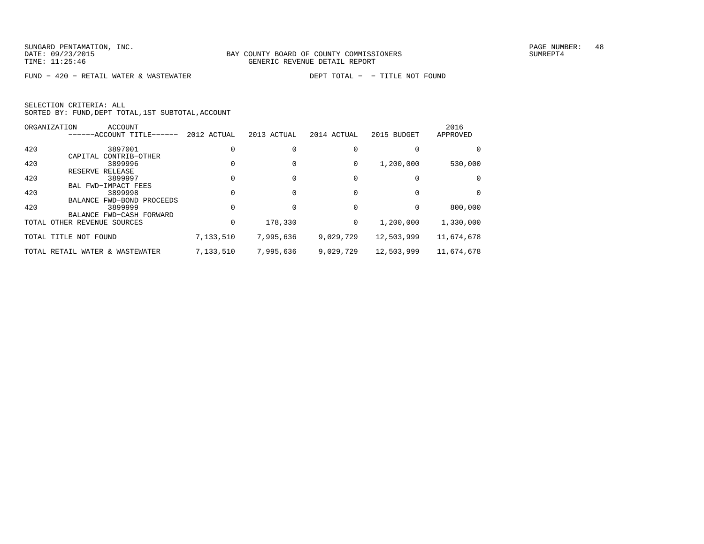FUND − 420 − RETAIL WATER & WASTEWATER DEPT TOTAL − − TITLE NOT FOUND

|     | ORGANIZATION<br><b>ACCOUNT</b>  |             |             |             |             | 2016       |
|-----|---------------------------------|-------------|-------------|-------------|-------------|------------|
|     | ------ACCOUNT TITLE------       | 2012 ACTUAL | 2013 ACTUAL | 2014 ACTUAL | 2015 BUDGET | APPROVED   |
| 420 | 3897001                         |             |             |             |             | $\Omega$   |
|     | CAPITAL CONTRIB-OTHER           |             |             |             |             |            |
| 420 | 3899996                         |             |             | 0           | 1,200,000   | 530,000    |
|     | RESERVE RELEASE                 |             |             |             |             |            |
| 420 | 3899997                         |             |             |             |             |            |
|     | BAL FWD-IMPACT FEES             |             |             |             |             |            |
| 420 | 3899998                         |             |             |             |             | $\Omega$   |
|     | BALANCE FWD-BOND PROCEEDS       |             |             |             |             |            |
| 420 | 3899999                         |             |             |             |             | 800,000    |
|     | BALANCE FWD-CASH FORWARD        |             |             |             |             |            |
|     | TOTAL OTHER REVENUE SOURCES     | 0           | 178,330     | 0           | 1,200,000   | 1,330,000  |
|     | TOTAL TITLE NOT FOUND           | 7,133,510   | 7,995,636   | 9,029,729   | 12,503,999  | 11,674,678 |
|     | TOTAL RETAIL WATER & WASTEWATER | 7,133,510   | 7,995,636   | 9,029,729   | 12,503,999  | 11,674,678 |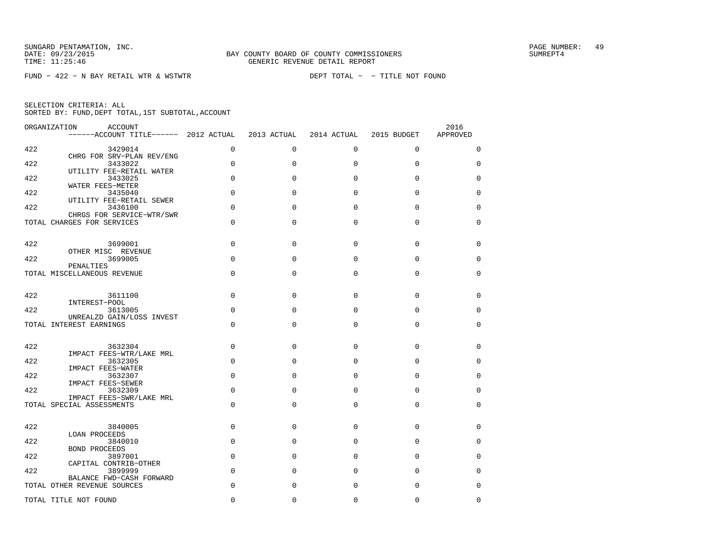FUND − 422 − N BAY RETAIL WTR & WSTWTR DEPT TOTAL − − TITLE NOT FOUND

|  | SELECTION CRITERIA: ALL |                                                    |  |
|--|-------------------------|----------------------------------------------------|--|
|  |                         | SORTED BY: FUND, DEPT TOTAL, 1ST SUBTOTAL, ACCOUNT |  |

| ORGANIZATION | ACCOUNT<br>------ACCOUNT TITLE------ 2012 ACTUAL        |             | 2013 ACTUAL  | 2014 ACTUAL | 2015 BUDGET | 2016<br>APPROVED |
|--------------|---------------------------------------------------------|-------------|--------------|-------------|-------------|------------------|
| 422          | 3429014                                                 | $\mathbf 0$ | $\Omega$     | $\mathbf 0$ | $\Omega$    | 0                |
| 422          | CHRG FOR SRV-PLAN REV/ENG<br>3433022                    | $\Omega$    | $\mathbf{0}$ | $\mathbf 0$ | 0           | $\mathbf 0$      |
| 422          | UTILITY FEE-RETAIL WATER<br>3433025                     | $\Omega$    | $\Omega$     | $\Omega$    | $\Omega$    | 0                |
| 422          | WATER FEES-METER<br>3435040                             | $\Omega$    | $\Omega$     | $\Omega$    | $\Omega$    | $\mathbf 0$      |
| 422          | UTILITY FEE-RETAIL SEWER<br>3436100                     | $\Omega$    | $\Omega$     | $\Omega$    | $\Omega$    | $\Omega$         |
|              | CHRGS FOR SERVICE-WTR/SWR<br>TOTAL CHARGES FOR SERVICES | $\mathbf 0$ | $\Omega$     | $\Omega$    | $\mathbf 0$ | $\mathbf 0$      |
| 422          | 3699001                                                 | $\Omega$    | $\Omega$     | $\Omega$    | $\Omega$    | 0                |
| 422          | OTHER MISC REVENUE<br>3699005                           | $\Omega$    | $\Omega$     | $\Omega$    | $\Omega$    | $\mathbf 0$      |
|              | PENALTIES<br>TOTAL MISCELLANEOUS REVENUE                | $\Omega$    | $\Omega$     | $\Omega$    | $\Omega$    | 0                |
| 422          | 3611100                                                 | $\Omega$    | $\Omega$     | $\Omega$    | $\Omega$    | $\mathbf 0$      |
| 422          | INTEREST-POOL<br>3613005                                | $\Omega$    | $\Omega$     | $\Omega$    | $\Omega$    | 0                |
|              | UNREALZD GAIN/LOSS INVEST<br>TOTAL INTEREST EARNINGS    | $\Omega$    | $\Omega$     | $\Omega$    | $\Omega$    | $\Omega$         |
|              |                                                         |             |              |             |             |                  |
| 422          | 3632304<br>IMPACT FEES-WTR/LAKE MRL                     | $\Omega$    | $\Omega$     | $\Omega$    | $\mathbf 0$ | $\mathbf 0$      |
| 422          | 3632305<br>IMPACT FEES-WATER                            | $\Omega$    | $\Omega$     | $\Omega$    | $\Omega$    | 0                |
| 422          | 3632307<br><b>IMPACT FEES-SEWER</b>                     | $\mathbf 0$ | $\Omega$     | $\Omega$    | $\Omega$    | $\mathbf 0$      |
| 422          | 3632309<br>IMPACT FEES-SWR/LAKE MRL                     | $\Omega$    | $\Omega$     | $\Omega$    | $\Omega$    | 0                |
|              | TOTAL SPECIAL ASSESSMENTS                               | $\Omega$    | $\Omega$     | $\Omega$    | $\mathbf 0$ | 0                |
| 422          | 3840005                                                 | $\mathbf 0$ | $\Omega$     | $\Omega$    | $\Omega$    | 0                |
| 422          | LOAN PROCEEDS<br>3840010                                | $\mathbf 0$ | $\Omega$     | $\Omega$    | $\Omega$    | 0                |
| 422          | <b>BOND PROCEEDS</b><br>3897001                         | $\Omega$    | $\Omega$     | $\Omega$    | $\Omega$    | 0                |
| 422          | CAPITAL CONTRIB-OTHER<br>3899999                        | $\Omega$    | $\Omega$     | $\Omega$    | $\mathbf 0$ | $\mathbf 0$      |
|              | BALANCE FWD-CASH FORWARD<br>TOTAL OTHER REVENUE SOURCES | $\Omega$    | $\Omega$     | $\Omega$    | $\Omega$    | $\Omega$         |
|              | TOTAL TITLE NOT FOUND                                   | $\Omega$    | $\Omega$     | 0           | $\Omega$    | $\mathbf 0$      |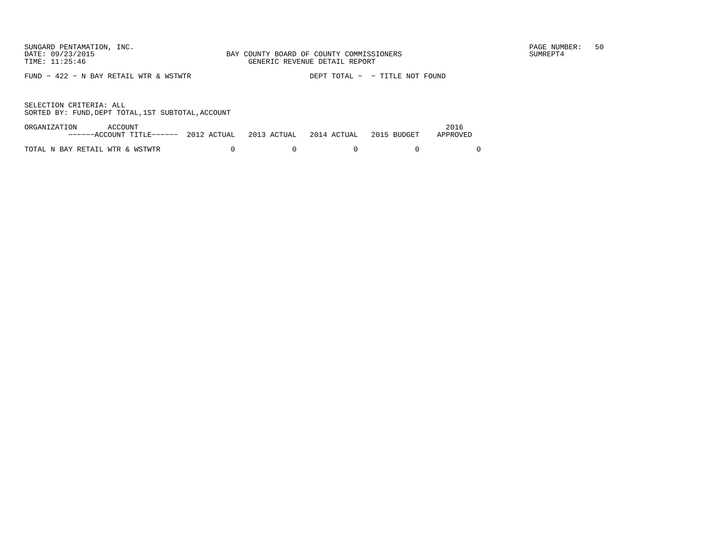FUND − 422 − N BAY RETAIL WTR & WSTWTR DEPT TOTAL − − TITLE NOT FOUND

| ORGANIZATION                    | ACCOUNT                                                                  |  |  | 2016     |
|---------------------------------|--------------------------------------------------------------------------|--|--|----------|
|                                 | $---ACCOUNT$ TITLE $---$ 2012 ACTUAL 2013 ACTUAL 2014 ACTUAL 2015 BUDGET |  |  | APPROVED |
| TOTAL N BAY RETAIL WTR & WSTWTR |                                                                          |  |  |          |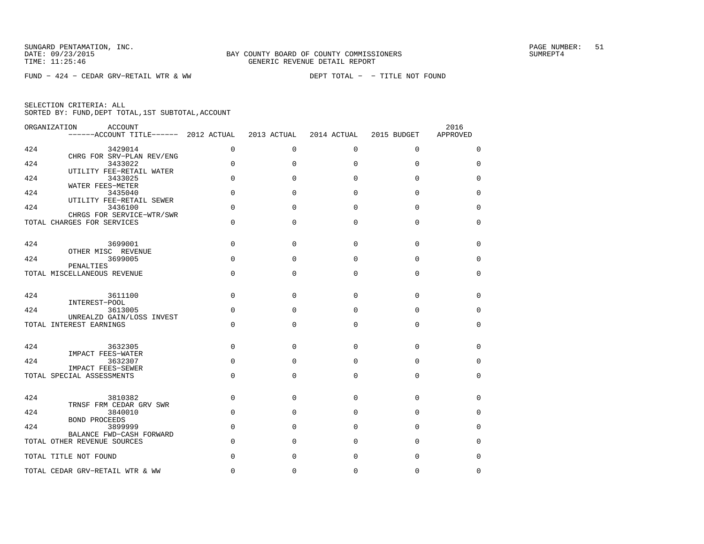FUND − 424 − CEDAR GRV−RETAIL WTR & WW DEPT TOTAL − − TITLE NOT FOUND

| ORGANIZATION<br><b>ACCOUNT</b><br>------ACCOUNT TITLE------ 2012 ACTUAL |             | 2013 ACTUAL | 2014 ACTUAL | 2015 BUDGET | 2016<br>APPROVED |
|-------------------------------------------------------------------------|-------------|-------------|-------------|-------------|------------------|
| 424<br>3429014                                                          | $\mathbf 0$ | $\mathbf 0$ | 0           | $\mathbf 0$ | 0                |
| CHRG FOR SRV-PLAN REV/ENG<br>424<br>3433022                             | $\Omega$    | $\Omega$    | $\Omega$    | $\Omega$    | $\Omega$         |
| UTILITY FEE-RETAIL WATER<br>424<br>3433025                              | 0           | $\Omega$    | $\Omega$    | $\Omega$    | $\mathbf 0$      |
| WATER FEES-METER<br>424<br>3435040                                      | $\mathbf 0$ | $\Omega$    | $\Omega$    | $\Omega$    | 0                |
| UTILITY FEE-RETAIL SEWER<br>424<br>3436100                              | $\Omega$    | $\Omega$    | $\Omega$    | $\Omega$    | $\mathbf 0$      |
| CHRGS FOR SERVICE-WTR/SWR<br>TOTAL CHARGES FOR SERVICES                 | 0           | $\Omega$    | $\Omega$    | $\mathbf 0$ | 0                |
|                                                                         |             |             |             |             |                  |
| 424<br>3699001<br>OTHER MISC REVENUE                                    | $\mathbf 0$ | $\Omega$    | $\Omega$    | $\Omega$    | $\mathbf 0$      |
| 424<br>3699005<br>PENALTIES                                             | 0           | $\Omega$    | $\Omega$    | $\Omega$    | 0                |
| TOTAL MISCELLANEOUS REVENUE                                             | $\Omega$    | $\Omega$    | $\Omega$    | $\Omega$    | 0                |
| 424<br>3611100<br>INTEREST-POOL                                         | $\Omega$    | $\Omega$    | $\Omega$    | $\Omega$    | 0                |
| 424<br>3613005                                                          | $\Omega$    | $\Omega$    | $\Omega$    | $\Omega$    | $\Omega$         |
| UNREALZD GAIN/LOSS INVEST<br>TOTAL INTEREST EARNINGS                    | 0           | $\Omega$    | $\Omega$    | $\Omega$    | 0                |
| 424<br>3632305                                                          | $\Omega$    | $\Omega$    | $\Omega$    | $\Omega$    | $\Omega$         |
| IMPACT FEES-WATER                                                       |             |             |             |             |                  |
| 424<br>3632307<br><b>IMPACT FEES-SEWER</b>                              | 0           | $\Omega$    | $\Omega$    | $\Omega$    | 0                |
| TOTAL SPECIAL ASSESSMENTS                                               | 0           | $\Omega$    | $\Omega$    | $\mathbf 0$ | 0                |
| 424<br>3810382<br>TRNSF FRM CEDAR GRV SWR                               | $\Omega$    | $\Omega$    | $\Omega$    | $\Omega$    | 0                |
| 424<br>3840010                                                          | $\Omega$    | $\Omega$    | $\Omega$    | $\Omega$    | $\Omega$         |
| <b>BOND PROCEEDS</b><br>424<br>3899999                                  | 0           | $\Omega$    | $\Omega$    | $\Omega$    | 0                |
| BALANCE FWD-CASH FORWARD<br>TOTAL OTHER REVENUE SOURCES                 | 0           | $\Omega$    | 0           | 0           | 0                |
| TOTAL TITLE NOT FOUND                                                   | $\Omega$    | $\Omega$    | $\Omega$    | $\mathbf 0$ | $\mathbf 0$      |
| TOTAL CEDAR GRV-RETAIL WTR & WW                                         | $\Omega$    | $\Omega$    | $\Omega$    | $\Omega$    | $\Omega$         |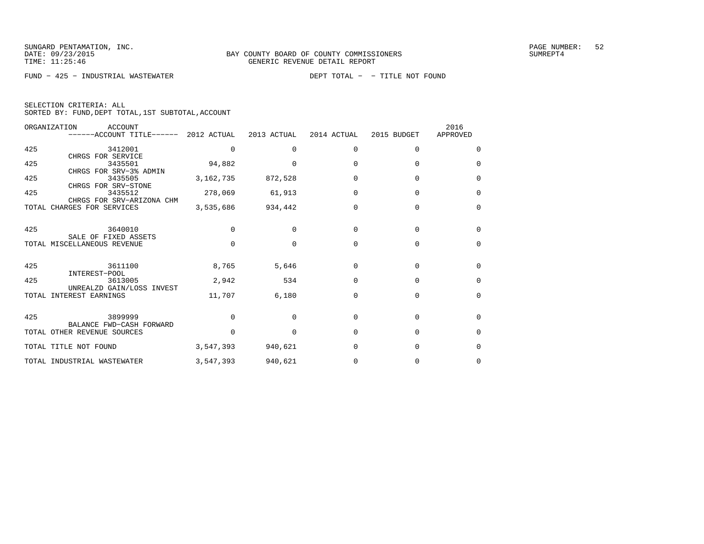FUND − 425 − INDUSTRIAL WASTEWATER DEPT TOTAL − − TITLE NOT FOUND

|  | SELECTION CRITERIA: ALL |                                                    |  |
|--|-------------------------|----------------------------------------------------|--|
|  |                         | SORTED BY: FUND, DEPT TOTAL, 1ST SUBTOTAL, ACCOUNT |  |

|       | ORGANIZATION<br>ACCOUNT<br>------ACCOUNT TITLE------ 2012 ACTUAL |           | 2013 ACTUAL          | 2014 ACTUAL | 2015 BUDGET | 2016<br>APPROVED |
|-------|------------------------------------------------------------------|-----------|----------------------|-------------|-------------|------------------|
| 425   | 3412001                                                          |           | $\Omega$             | $\Omega$    | $\Omega$    | $\Omega$         |
| 425   | CHRGS FOR SERVICE<br>3435501                                     | 94,882    | $\Omega$             | $\Omega$    | $\Omega$    | $\Omega$         |
| 425   | CHRGS FOR SRV-3% ADMIN<br>3435505                                |           | 3, 162, 735 872, 528 | $\Omega$    | $\Omega$    | 0                |
| 425   | CHRGS FOR SRV-STONE<br>3435512                                   | 278,069   | 61,913               | $\Omega$    | $\Omega$    | 0                |
|       | CHRGS FOR SRV-ARIZONA CHM<br>TOTAL CHARGES FOR SERVICES          |           | 3,535,686 934,442    | $\Omega$    | $\Omega$    | $\Omega$         |
|       |                                                                  |           |                      |             |             |                  |
| 425   | 3640010<br>SALE OF FIXED ASSETS                                  | $\Omega$  | $\Omega$             | $\Omega$    | $\Omega$    | $\Omega$         |
|       | TOTAL MISCELLANEOUS REVENUE                                      | $\Omega$  | $\Omega$             | $\Omega$    | $\Omega$    | $\Omega$         |
| 425   | 3611100<br>INTEREST-POOL                                         | 8,765     | 5,646                | $\Omega$    | $\Omega$    | $\Omega$         |
| 425   | 3613005<br>UNREALZD GAIN/LOSS INVEST                             | 2,942     | 534                  | $\Omega$    | $\Omega$    | 0                |
| TOTAL | INTEREST EARNINGS                                                | 11,707    | 6,180                | $\Omega$    | $\Omega$    | $\Omega$         |
| 425   | 3899999                                                          | $\Omega$  | $\Omega$             | $\Omega$    | $\Omega$    | 0                |
|       | BALANCE FWD-CASH FORWARD<br>TOTAL OTHER REVENUE SOURCES          | $\cap$    | $\Omega$             | $\cap$      | $\Omega$    | 0                |
|       | TOTAL TITLE NOT FOUND                                            | 3,547,393 | 940,621              | $\Omega$    | $\Omega$    | $\Omega$         |
|       | TOTAL INDUSTRIAL WASTEWATER                                      | 3,547,393 | 940,621              | 0           | 0           | 0                |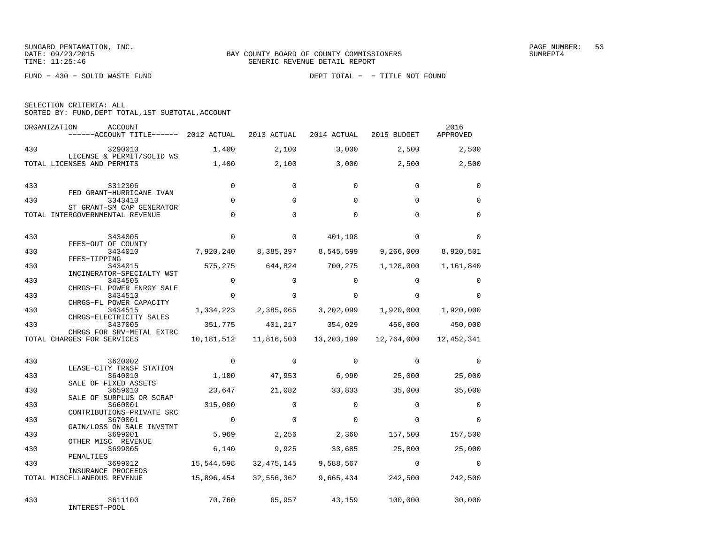FUND − 430 − SOLID WASTE FUND DEPT TOTAL − − TITLE NOT FOUND

| SELECTION CRITERIA: ALL |                                                    |
|-------------------------|----------------------------------------------------|
|                         | SORTED BY: FUND, DEPT TOTAL, 1ST SUBTOTAL, ACCOUNT |
|                         |                                                    |

| ORGANIZATION | ACCOUNT<br>------ACCOUNT TITLE------ 2012 ACTUAL             |             | 2013 ACTUAL | 2014 ACTUAL | 2015 BUDGET | 2016<br>APPROVED |
|--------------|--------------------------------------------------------------|-------------|-------------|-------------|-------------|------------------|
| 430          | 3290010                                                      | 1,400       | 2,100       | 3,000       | 2,500       | 2,500            |
|              | LICENSE & PERMIT/SOLID WS<br>TOTAL LICENSES AND PERMITS      | 1,400       | 2,100       | 3,000       | 2,500       | 2,500            |
| 430          | 3312306<br>FED GRANT-HURRICANE IVAN                          | $\Omega$    | $\Omega$    | $\Omega$    | $\Omega$    | $\Omega$         |
| 430          | 3343410                                                      | $\Omega$    | $\Omega$    | $\Omega$    | $\Omega$    | $\Omega$         |
|              | ST GRANT-SM CAP GENERATOR<br>TOTAL INTERGOVERNMENTAL REVENUE | $\Omega$    | $\Omega$    | $\Omega$    | $\Omega$    | $\Omega$         |
| 430          | 3434005<br>FEES-OUT OF COUNTY                                | $\mathbf 0$ | $\mathbf 0$ | 401,198     | $\Omega$    | $\Omega$         |
| 430          | 3434010                                                      | 7,920,240   | 8,385,397   | 8,545,599   | 9,266,000   | 8,920,501        |
| 430          | FEES-TIPPING<br>3434015                                      | 575,275     | 644,824     | 700,275     | 1,128,000   | 1,161,840        |
| 430          | INCINERATOR-SPECIALTY WST<br>3434505                         | $\Omega$    | $\Omega$    | 0           | $\Omega$    | $\Omega$         |
| 430          | CHRGS-FL POWER ENRGY SALE<br>3434510                         | $\Omega$    | $\Omega$    | $\Omega$    | $\Omega$    | $\Omega$         |
| 430          | CHRGS-FL POWER CAPACITY<br>3434515                           | 1,334,223   | 2,385,065   | 3,202,099   | 1,920,000   | 1,920,000        |
| 430          | CHRGS-ELECTRICITY SALES<br>3437005                           | 351,775     | 401,217     | 354,029     | 450,000     | 450,000          |
|              | CHRGS FOR SRV-METAL EXTRC<br>TOTAL CHARGES FOR SERVICES      | 10,181,512  | 11,816,503  | 13,203,199  | 12,764,000  | 12,452,341       |
| 430          | 3620002                                                      | $\Omega$    | $\Omega$    | $\mathbf 0$ | $\Omega$    | $\Omega$         |
| 430          | LEASE-CITY TRNSF STATION<br>3640010                          | 1,100       | 47,953      | 6,990       | 25,000      | 25,000           |
| 430          | SALE OF FIXED ASSETS<br>3659010                              | 23,647      | 21,082      | 33,833      | 35,000      | 35,000           |
| 430          | SALE OF SURPLUS OR SCRAP<br>3660001                          | 315,000     | $\Omega$    | $\Omega$    | $\Omega$    | $\Omega$         |
| 430          | CONTRIBUTIONS-PRIVATE SRC<br>3670001                         | $\Omega$    | $\Omega$    | $\Omega$    | $\Omega$    | $\Omega$         |
| 430          | GAIN/LOSS ON SALE INVSTMT<br>3699001                         | 5,969       | 2,256       | 2,360       | 157,500     | 157,500          |
| 430          | OTHER MISC REVENUE<br>3699005                                | 6,140       | 9,925       | 33,685      | 25,000      | 25,000           |
| 430          | PENALTIES<br>3699012                                         | 15,544,598  | 32,475,145  | 9,588,567   | $\Omega$    | $\Omega$         |
|              | INSURANCE PROCEEDS<br>TOTAL MISCELLANEOUS REVENUE            | 15,896,454  | 32,556,362  | 9,665,434   | 242,500     | 242,500          |
| 430          | 3611100<br>INTEREST-POOL                                     | 70,760      | 65,957      | 43,159      | 100,000     | 30,000           |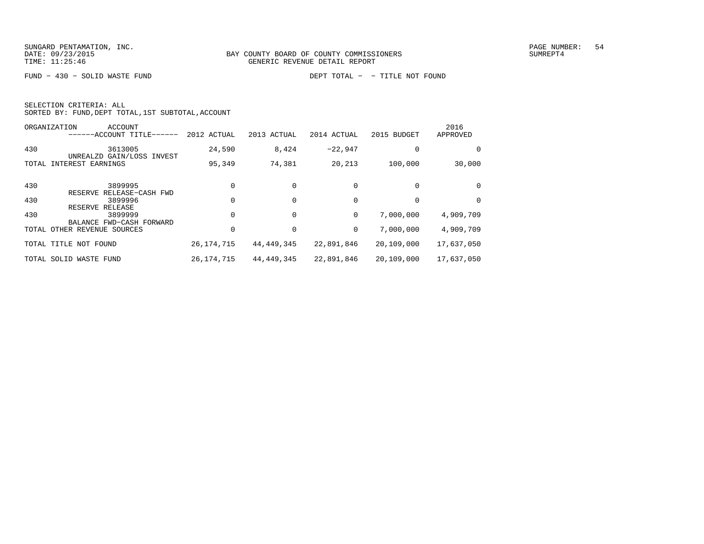FUND − 430 − SOLID WASTE FUND DEPT TOTAL − − TITLE NOT FOUND

| SELECTION CRITERIA: ALL |  |  |                                                    |  |
|-------------------------|--|--|----------------------------------------------------|--|
|                         |  |  | SORTED BY: FUND, DEPT TOTAL, 1ST SUBTOTAL, ACCOUNT |  |

|     | ORGANIZATION<br>ACCOUNT<br>------ACCOUNT TITLE------   | 2012 ACTUAL  | 2013 ACTUAL  | 2014 ACTUAL | 2015 BUDGET | 2016<br>APPROVED |
|-----|--------------------------------------------------------|--------------|--------------|-------------|-------------|------------------|
| 430 | 3613005                                                | 24,590       | 8,424        | $-22.947$   |             | 0                |
|     | UNREALZD GAIN/LOSS INVEST<br>TOTAL INTEREST EARNINGS   | 95,349       | 74,381       | 20,213      | 100,000     | 30,000           |
| 430 | 3899995<br>RESERVE RELEASE-CASH FWD                    |              |              |             |             | 0                |
| 430 | 3899996                                                |              |              |             |             | 0                |
| 430 | RESERVE RELEASE<br>3899999<br>BALANCE FWD-CASH FORWARD |              |              | 0           | 7,000,000   | 4,909,709        |
|     | TOTAL OTHER REVENUE SOURCES                            |              |              | 0           | 7,000,000   | 4,909,709        |
|     | TOTAL TITLE<br>NOT FOUND                               | 26, 174, 715 | 44,449,345   | 22,891,846  | 20,109,000  | 17,637,050       |
|     | TOTAL SOLID WASTE FUND                                 | 26, 174, 715 | 44, 449, 345 | 22,891,846  | 20,109,000  | 17,637,050       |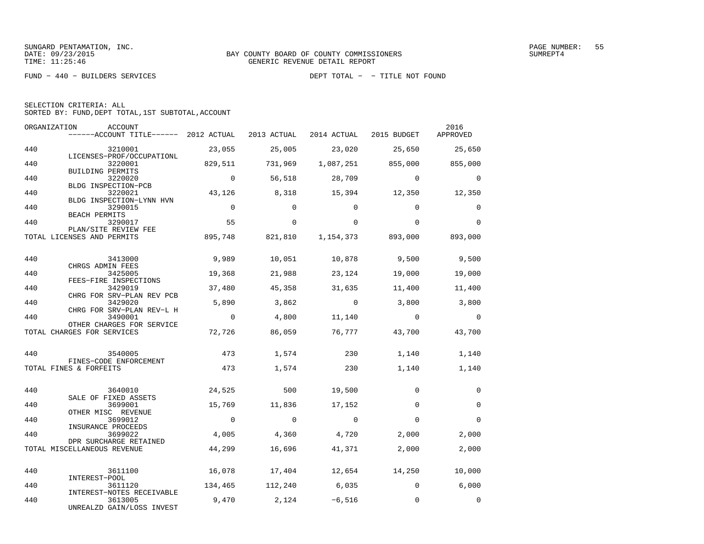|  | SELECTION CRITERIA: ALL |                                                    |  |
|--|-------------------------|----------------------------------------------------|--|
|  |                         | SORTED BY: FUND, DEPT TOTAL, 1ST SUBTOTAL, ACCOUNT |  |

|     | ORGANIZATION<br>ACCOUNT<br>------ACCOUNT TITLE------ 2012 ACTUAL |                | 2013 ACTUAL    | 2014 ACTUAL 2015 BUDGET |                      | 2016<br>APPROVED |
|-----|------------------------------------------------------------------|----------------|----------------|-------------------------|----------------------|------------------|
| 440 | 3210001                                                          | 23,055         | 25,005         | 23,020                  | 25,650               | 25,650           |
| 440 | LICENSES-PROF/OCCUPATIONL<br>3220001<br>BUILDING PERMITS         | 829,511        | 731,969        | 1,087,251               | 855,000              | 855,000          |
| 440 | 3220020<br>BLDG INSPECTION-PCB                                   | $\Omega$       | 56,518         | 28,709                  | $\Omega$             | $\Omega$         |
| 440 | 3220021<br>BLDG INSPECTION-LYNN HVN                              | 43,126         | 8,318          | 15,394                  | 12,350               | 12,350           |
| 440 | 3290015<br>BEACH PERMITS                                         | $\overline{0}$ | $\Omega$       | $\Omega$                | $\Omega$             | $\Omega$         |
| 440 | 3290017<br>PLAN/SITE REVIEW FEE                                  | 55             | $\Omega$       | $\Omega$                | $\Omega$             | $\Omega$         |
|     | TOTAL LICENSES AND PERMITS                                       | 895,748        | 821,810        |                         | 1, 154, 373 893, 000 | 893,000          |
| 440 | 3413000<br>CHRGS ADMIN FEES                                      | 9,989          | 10,051         | 10,878                  | 9,500                | 9,500            |
| 440 | 3425005<br>FEES-FIRE INSPECTIONS                                 | 19,368         | 21,988         | 23,124                  | 19,000               | 19,000           |
| 440 | 3429019<br>CHRG FOR SRV-PLAN REV PCB                             | 37,480         | 45,358         | 31,635                  | 11,400               | 11,400           |
| 440 | 3429020<br>CHRG FOR SRV-PLAN REV-L H                             | 5,890          | 3,862          | $\overline{0}$          | 3,800                | 3,800            |
| 440 | 3490001<br>OTHER CHARGES FOR SERVICE                             | $\overline{0}$ | 4,800          | 11,140                  | $\overline{0}$       | $\Omega$         |
|     | TOTAL CHARGES FOR SERVICES                                       | 72,726         | 86,059         | 76,777                  | 43,700               | 43,700           |
| 440 | 3540005<br>FINES-CODE ENFORCEMENT                                | 473            | 1,574          | 230                     | 1,140                | 1,140            |
|     | TOTAL FINES & FORFEITS                                           | 473            | 1,574          | 230                     | 1,140                | 1,140            |
| 440 | 3640010<br>SALE OF FIXED ASSETS                                  | 24,525         | 500            | 19,500                  | $\Omega$             | $\mathbf 0$      |
| 440 | 3699001<br>OTHER MISC REVENUE                                    | 15,769         | 11,836         | 17,152                  | $\Omega$             | $\Omega$         |
| 440 | 3699012<br>INSURANCE PROCEEDS                                    | $\overline{0}$ | $\bigcirc$     | $\overline{0}$          | $\Omega$             | $\Omega$         |
| 440 | 3699022<br>DPR SURCHARGE RETAINED                                | 4,005          | 4,360          | 4,720                   | 2,000                | 2,000            |
|     | TOTAL MISCELLANEOUS REVENUE                                      | 44,299         | 16,696         | 41,371                  | 2,000                | 2,000            |
| 440 | 3611100<br>INTEREST-POOL                                         | 16,078         | 17,404         | 12,654                  | 14,250               | 10,000           |
| 440 | 3611120<br>INTEREST-NOTES RECEIVABLE                             | 134,465        |                | 112,240 6,035           | $\overline{0}$       | 6,000            |
| 440 | 3613005<br>UNREALZD GAIN/LOSS INVEST                             | 9,470          | $2,124 -6,516$ |                         | $\Omega$             | $\Omega$         |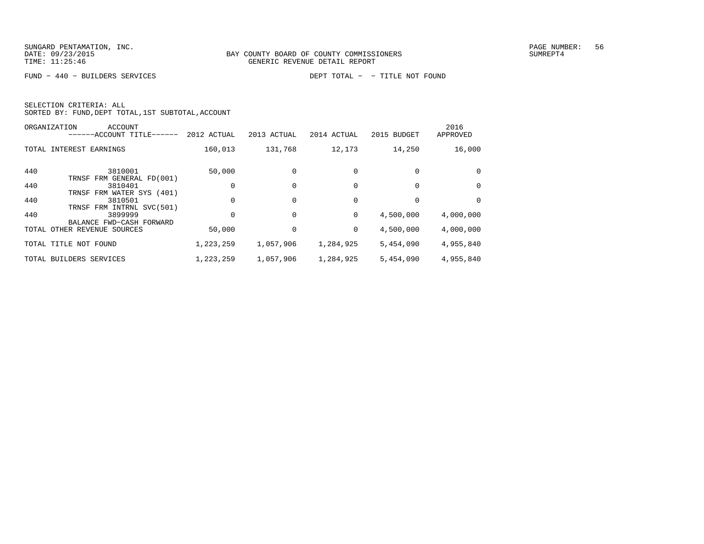FUND − 440 − BUILDERS SERVICES DEPT TOTAL − − TITLE NOT FOUND

|     | <b>ACCOUNT</b><br>ORGANIZATION<br>$-$ ACCOUNT TITLE------ | 2012 ACTUAL | 2013 ACTUAL | 2014 ACTUAL | 2015 BUDGET | 2016<br>APPROVED |
|-----|-----------------------------------------------------------|-------------|-------------|-------------|-------------|------------------|
|     | TOTAL INTEREST EARNINGS                                   | 160,013     | 131,768     | 12,173      | 14,250      | 16,000           |
| 440 | 3810001<br>TRNSF FRM GENERAL FD(001)                      | 50,000      |             |             |             | 0                |
| 440 | 3810401<br>TRNSF FRM WATER SYS (401)                      |             |             |             |             | $\Omega$         |
| 440 | 3810501<br>TRNSF FRM INTRNL SVC(501)                      | 0           |             |             |             | $\Omega$         |
| 440 | 3899999<br>BALANCE FWD-CASH FORWARD                       |             | 0           | 0           | 4,500,000   | 4,000,000        |
|     | TOTAL OTHER REVENUE SOURCES                               | 50,000      |             | 0           | 4,500,000   | 4,000,000        |
|     | TOTAL TITLE NOT FOUND                                     | 1,223,259   | 1,057,906   | 1,284,925   | 5,454,090   | 4,955,840        |
|     | TOTAL BUILDERS SERVICES                                   | 1,223,259   | 1,057,906   | 1,284,925   | 5,454,090   | 4,955,840        |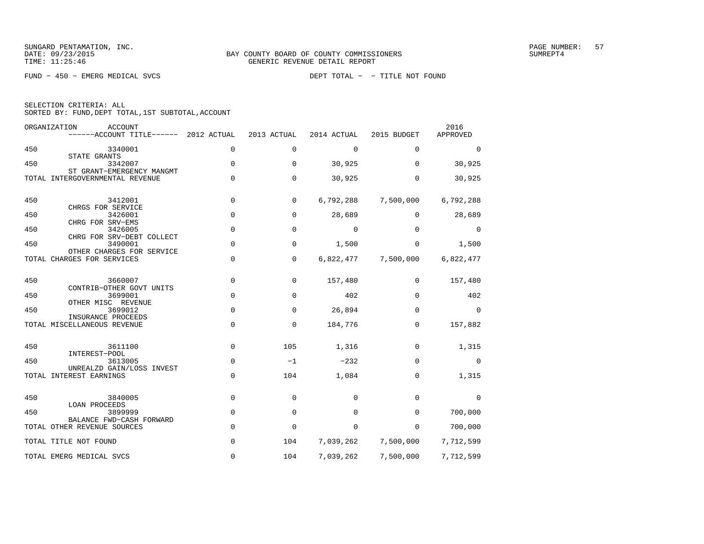FUND − 450 − EMERG MEDICAL SVCS DEPT TOTAL − − TITLE NOT FOUND

| SELECTION CRITERIA: ALL |                                                    |
|-------------------------|----------------------------------------------------|
|                         | SORTED BY: FUND, DEPT TOTAL, 1ST SUBTOTAL, ACCOUNT |

|     | ORGANIZATION<br>ACCOUNT<br>------ACCOUNT TITLE------         | 2012 ACTUAL | 2013 ACTUAL | 2014 ACTUAL | 2015 BUDGET | 2016<br>APPROVED |
|-----|--------------------------------------------------------------|-------------|-------------|-------------|-------------|------------------|
| 450 | 3340001                                                      | $\mathbf 0$ | 0           | $\mathbf 0$ | 0           | $\mathbf 0$      |
| 450 | STATE GRANTS<br>3342007                                      | $\Omega$    | $\Omega$    | 30,925      | $\Omega$    | 30,925           |
|     | ST GRANT-EMERGENCY MANGMT<br>TOTAL INTERGOVERNMENTAL REVENUE | $\mathbf 0$ | 0           | 30,925      | 0           | 30,925           |
| 450 | 3412001<br>CHRGS FOR SERVICE                                 | $\mathbf 0$ | 0           | 6,792,288   | 7,500,000   | 6,792,288        |
| 450 | 3426001<br>CHRG FOR SRV-EMS                                  | $\mathbf 0$ | 0           | 28,689      | $\mathbf 0$ | 28,689           |
| 450 | 3426005<br>CHRG FOR SRV-DEBT COLLECT                         | $\mathbf 0$ | $\mathbf 0$ | $\mathbf 0$ | 0           | $\Omega$         |
| 450 | 3490001<br>OTHER CHARGES FOR SERVICE                         | $\Omega$    | $\Omega$    | 1,500       | $\Omega$    | 1,500            |
|     | TOTAL CHARGES FOR SERVICES                                   | $\mathbf 0$ | 0           | 6,822,477   | 7,500,000   | 6,822,477        |
| 450 | 3660007<br>CONTRIB-OTHER GOVT UNITS                          | $\mathbf 0$ | 0           | 157,480     | 0           | 157,480          |
| 450 | 3699001<br>OTHER MISC REVENUE                                | $\mathbf 0$ | 0           | 402         | $\mathbf 0$ | 402              |
| 450 | 3699012                                                      | $\mathbf 0$ | 0           | 26,894      | 0           | $\Omega$         |
|     | INSURANCE PROCEEDS<br>TOTAL MISCELLANEOUS REVENUE            | $\mathbf 0$ | $\mathbf 0$ | 184,776     | 0           | 157,882          |
| 450 | 3611100<br>INTEREST-POOL                                     | $\mathbf 0$ | 105         | 1,316       | $\Omega$    | 1,315            |
| 450 | 3613005                                                      | $\mathbf 0$ | $-1$        | $-232$      | 0           | $\mathbf 0$      |
|     | UNREALZD GAIN/LOSS INVEST<br>TOTAL INTEREST EARNINGS         | $\mathbf 0$ | 104         | 1,084       | 0           | 1,315            |
| 450 | 3840005<br><b>LOAN PROCEEDS</b>                              | $\mathbf 0$ | 0           | 0           | $\Omega$    | $\Omega$         |
| 450 | 3899999<br>BALANCE FWD-CASH FORWARD                          | $\mathbf 0$ | 0           | 0           | $\mathbf 0$ | 700,000          |
|     | TOTAL OTHER REVENUE SOURCES                                  | $\mathbf 0$ | $\mathbf 0$ | 0           | $\mathbf 0$ | 700,000          |
|     | TOTAL TITLE NOT FOUND                                        | $\mathbf 0$ | 104         | 7,039,262   | 7,500,000   | 7,712,599        |
|     | TOTAL EMERG MEDICAL SVCS                                     | 0           | 104         | 7,039,262   | 7,500,000   | 7,712,599        |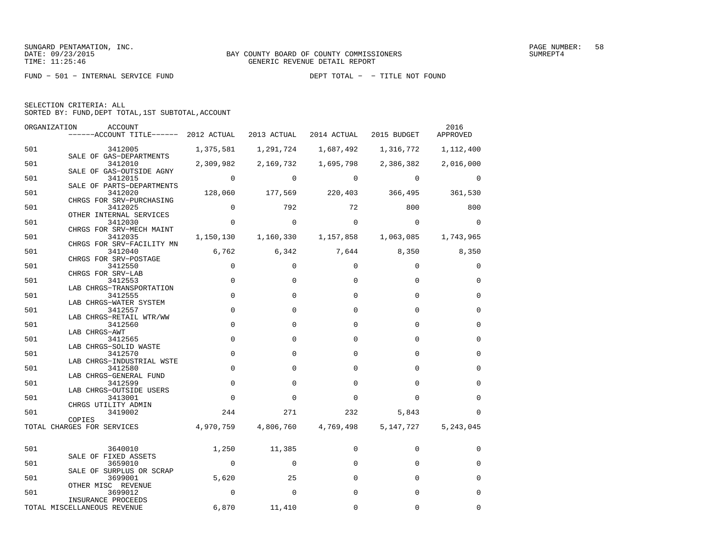FUND − 501 − INTERNAL SERVICE FUND DEPT TOTAL − − TITLE NOT FOUND

| SELECTION CRITERIA: ALL |  |                                                    |  |
|-------------------------|--|----------------------------------------------------|--|
|                         |  | SORTED BY: FUND, DEPT TOTAL, 1ST SUBTOTAL, ACCOUNT |  |

| ORGANIZATION | ACCOUNT<br>$----ACCOUNT$ TITLE $--- 2012$ ACTUAL 2013 ACTUAL 2014 ACTUAL 2015 BUDGET |                |             |                                     |                                 | 2016<br>APPROVED |
|--------------|--------------------------------------------------------------------------------------|----------------|-------------|-------------------------------------|---------------------------------|------------------|
| 501          | 3412005                                                                              | 1,375,581      | 1,291,724   | 1,687,492                           | 1,316,772                       | 1,112,400        |
| 501          | SALE OF GAS-DEPARTMENTS<br>3412010                                                   | 2,309,982      | 2,169,732   |                                     | 1,695,798 2,386,382             | 2,016,000        |
| 501          | SALE OF GAS-OUTSIDE AGNY<br>3412015<br>SALE OF PARTS-DEPARTMENTS                     | $\Omega$       | $\Omega$    | $\Omega$                            | $\Omega$                        | $\Omega$         |
| 501          | 3412020<br>CHRGS FOR SRV-PURCHASING                                                  | 128,060        |             |                                     | 177,569 220,403 366,495 361,530 |                  |
| 501          | 3412025<br>OTHER INTERNAL SERVICES                                                   | $\sim$ 0       | 792         | 72                                  | 800                             | 800              |
| 501          | 3412030<br>CHRGS FOR SRV-MECH MAINT                                                  | $\mathbf 0$    | $\mathbf 0$ | $\mathbf 0$                         | $\mathbf 0$                     | $\Omega$         |
| 501          | 3412035<br>CHRGS FOR SRV-FACILITY MN                                                 |                |             | 1,150,130    1,160,330    1,157,858 | 1,063,085                       | 1,743,965        |
| 501          | 3412040<br>CHRGS FOR SRV-POSTAGE                                                     |                | 6,762 6,342 |                                     | 7,644 8,350 8,350               |                  |
| 501          | 3412550<br>CHRGS FOR SRV-LAB                                                         | $\mathbf 0$    | $\Omega$    | $\Omega$                            | $\Omega$                        | $\mathbf 0$      |
| 501          | 3412553<br>LAB CHRGS-TRANSPORTATION                                                  | $\mathbf 0$    | $\Omega$    | $\Omega$                            | $\Omega$                        | $\Omega$         |
| 501          | 3412555<br>LAB CHRGS-WATER SYSTEM                                                    | $\mathbf 0$    | $\mathbf 0$ | $\Omega$                            | $\Omega$                        | $\mathbf 0$      |
| 501          | 3412557<br>LAB CHRGS-RETAIL WTR/WW                                                   | $\Omega$       | $\Omega$    | $\Omega$                            | $\Omega$                        | $\mathbf 0$      |
| 501          | 3412560<br>LAB CHRGS-AWT                                                             | $\Omega$       | $\Omega$    | $\Omega$                            | $\Omega$                        | $\Omega$         |
| 501          | 3412565<br>LAB CHRGS-SOLID WASTE                                                     | $\mathbf 0$    | $\mathbf 0$ | $\Omega$                            | $\Omega$                        | $\mathbf 0$      |
| 501          | 3412570<br>LAB CHRGS-INDUSTRIAL WSTE                                                 | $\mathbf 0$    | $\Omega$    | $\Omega$                            | $\Omega$                        | $\Omega$         |
| 501          | 3412580<br>LAB CHRGS-GENERAL FUND                                                    | $\mathbf 0$    | $\Omega$    | $\Omega$                            | $\Omega$                        | $\mathbf 0$      |
| 501          | 3412599<br>LAB CHRGS-OUTSIDE USERS                                                   | $\mathbf 0$    | $\Omega$    | $\Omega$                            | $\Omega$                        | $\Omega$         |
| 501          | 3413001<br>CHRGS UTILITY ADMIN                                                       | $\mathbf 0$    | $\Omega$    | $\Omega$                            | $\Omega$                        | $\mathbf 0$      |
| 501          | 3419002<br>COPIES                                                                    | 244            | 271         | 232                                 | 5,843                           | $\Omega$         |
|              | TOTAL CHARGES FOR SERVICES                                                           | 4,970,759      | 4,806,760   | 4,769,498                           | 5,147,727                       | 5,243,045        |
| 501          | 3640010                                                                              | 1,250          | 11,385      | $\mathbf 0$                         | $\mathbf 0$                     | 0                |
| 501          | SALE OF FIXED ASSETS<br>3659010                                                      | $\overline{0}$ | $\Omega$    | $\Omega$                            | $\Omega$                        | $\Omega$         |
| 501          | SALE OF SURPLUS OR SCRAP<br>3699001                                                  | 5,620          | 25          | $\Omega$                            | $\Omega$                        | $\mathbf 0$      |
| 501          | OTHER MISC REVENUE<br>3699012                                                        | $\mathbf 0$    | $\Omega$    | $\Omega$                            | $\Omega$                        | $\mathbf 0$      |
|              | INSURANCE PROCEEDS<br>TOTAL MISCELLANEOUS REVENUE                                    | 6,870          | 11,410      | $\Omega$                            | $\Omega$                        | $\Omega$         |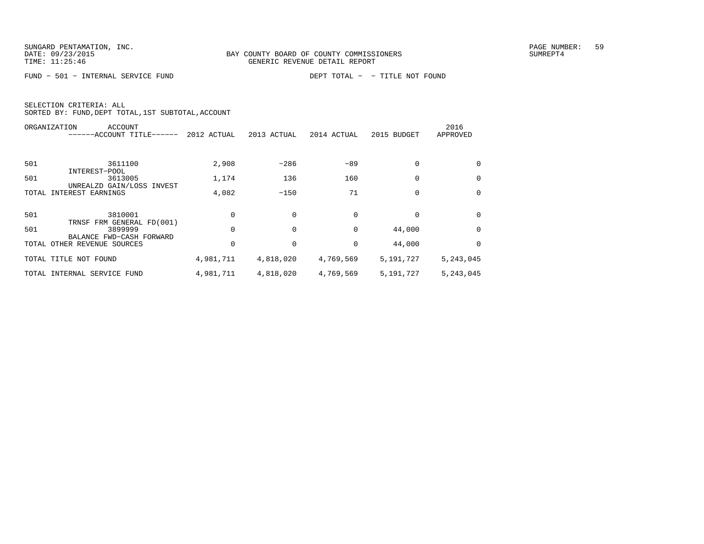FUND − 501 − INTERNAL SERVICE FUND DEPT TOTAL − − TITLE NOT FOUND

|       | ACCOUNT<br>ORGANIZATION                                 |             |             |             |             | 2016      |
|-------|---------------------------------------------------------|-------------|-------------|-------------|-------------|-----------|
|       | ----ACCOUNT TITLE-<br>$------$                          | 2012 ACTUAL | 2013 ACTUAL | 2014 ACTUAL | 2015 BUDGET | APPROVED  |
|       |                                                         |             |             |             |             |           |
| 501   | 3611100                                                 | 2,908       | $-286$      | $-89$       | $\Omega$    | 0         |
| 501   | INTEREST-POOL<br>3613005                                | 1,174       | 136         | 160         | $\Omega$    | $\Omega$  |
| TOTAL | UNREALZD GAIN/LOSS INVEST<br>INTEREST EARNINGS          | 4,082       | $-150$      | 71          | $\Omega$    | $\Omega$  |
| 501   | 3810001                                                 |             |             |             |             | 0         |
| 501   | TRNSF FRM GENERAL FD(001)<br>3899999                    |             |             | $\Omega$    | 44,000      | 0         |
|       | BALANCE FWD-CASH FORWARD<br>TOTAL OTHER REVENUE SOURCES |             |             |             | 44,000      | $\Omega$  |
|       | TOTAL TITLE NOT FOUND                                   | 4,981,711   | 4,818,020   | 4,769,569   | 5,191,727   | 5,243,045 |
|       | TOTAL INTERNAL SERVICE FUND                             | 4,981,711   | 4,818,020   | 4,769,569   | 5,191,727   | 5,243,045 |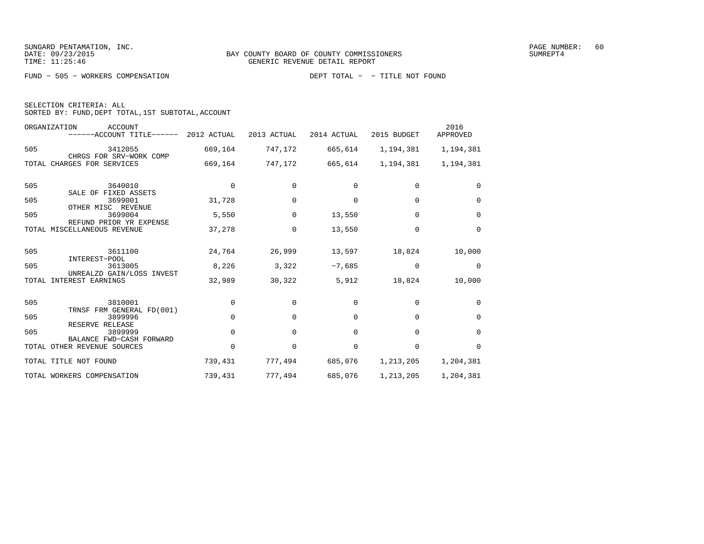FUND − 505 − WORKERS COMPENSATION DEPT TOTAL − − TITLE NOT FOUND

| SELECTION CRITERIA: ALL |                                                    |
|-------------------------|----------------------------------------------------|
|                         | SORTED BY: FUND, DEPT TOTAL, 1ST SUBTOTAL, ACCOUNT |

|     | ORGANIZATION<br><b>ACCOUNT</b><br>$----ACCOUNT$ TITLE $----2012$ ACTUAL |             | 2013 ACTUAL  | 2014 ACTUAL  | 2015 BUDGET | 2016<br>APPROVED |
|-----|-------------------------------------------------------------------------|-------------|--------------|--------------|-------------|------------------|
| 505 | 3412055<br>CHRGS FOR SRV-WORK COMP                                      | 669,164     | 747,172      | 665,614      | 1,194,381   | 1,194,381        |
|     | TOTAL CHARGES FOR SERVICES                                              | 669,164     | 747,172      | 665,614      | 1,194,381   | 1,194,381        |
| 505 | 3640010<br>SALE OF FIXED ASSETS                                         | $\mathbf 0$ | 0            | 0            | $\Omega$    | $\Omega$         |
| 505 | 3699001<br>OTHER MISC REVENUE                                           | 31,728      | $\Omega$     | <sup>0</sup> | $\Omega$    | $\Omega$         |
| 505 | 3699004<br>REFUND PRIOR YR EXPENSE                                      | 5,550       | $\Omega$     | 13,550       | $\Omega$    | $\Omega$         |
|     | TOTAL MISCELLANEOUS REVENUE                                             | 37,278      | $\Omega$     | 13,550       | $\Omega$    | $\Omega$         |
| 505 | 3611100<br>INTEREST-POOL                                                | 24,764      | 26,999       | 13,597       | 18,824      | 10,000           |
| 505 | 3613005<br>UNREALZD GAIN/LOSS INVEST                                    | 8,226       | 3,322        | $-7,685$     | $\Omega$    | $\Omega$         |
|     | TOTAL INTEREST EARNINGS                                                 | 32,989      | 30,322       | 5,912        | 18,824      | 10,000           |
| 505 | 3810001<br>TRNSF FRM GENERAL FD(001)                                    | $\Omega$    | $\Omega$     | $\Omega$     | $\Omega$    | $\Omega$         |
| 505 | 3899996                                                                 | $\Omega$    | $\Omega$     | $\Omega$     | $\Omega$    | $\Omega$         |
| 505 | RESERVE RELEASE<br>3899999                                              | $\Omega$    | $\Omega$     | $\Omega$     | $\Omega$    | $\Omega$         |
|     | BALANCE FWD-CASH FORWARD<br>TOTAL OTHER REVENUE SOURCES                 | $\Omega$    | <sup>0</sup> | $\Omega$     | $\Omega$    | $\Omega$         |
|     | TOTAL TITLE NOT FOUND                                                   | 739,431     | 777,494      | 685,076      | 1,213,205   | 1,204,381        |
|     | TOTAL WORKERS COMPENSATION                                              | 739,431     | 777,494      | 685,076      | 1,213,205   | 1,204,381        |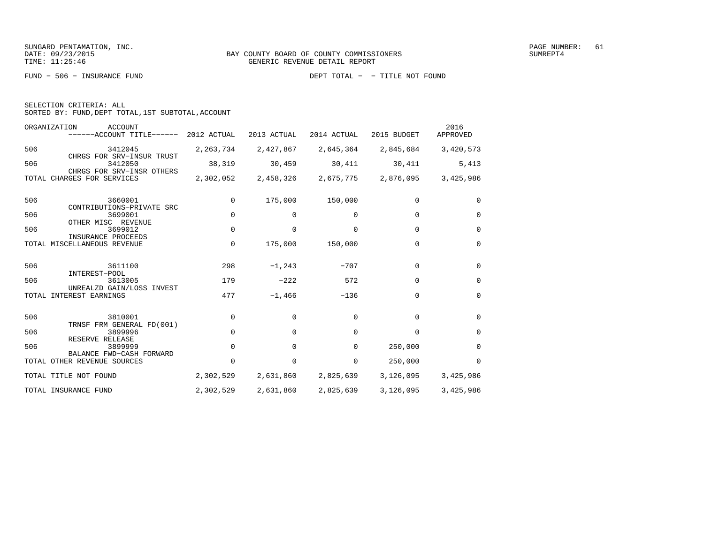FUND − 506 − INSURANCE FUND DEPT TOTAL − − TITLE NOT FOUND

| SELECTION CRITERIA: ALL |                                                    |
|-------------------------|----------------------------------------------------|
|                         | SORTED BY: FUND, DEPT TOTAL, 1ST SUBTOTAL, ACCOUNT |

|     | ORGANIZATION<br><b>ACCOUNT</b><br>------ACCOUNT TITLE------                           | 2012 ACTUAL | 2013 ACTUAL | 2014 ACTUAL | 2015 BUDGET | 2016<br>APPROVED |
|-----|---------------------------------------------------------------------------------------|-------------|-------------|-------------|-------------|------------------|
| 506 | 3412045                                                                               | 2, 263, 734 | 2,427,867   | 2,645,364   | 2,845,684   | 3,420,573        |
| 506 | CHRGS FOR SRV-INSUR TRUST<br>3412050<br>CHRGS FOR SRV-INSR OTHERS                     | 38,319      | 30,459      | 30,411      | 30,411      | 5,413            |
|     | TOTAL CHARGES FOR SERVICES                                                            | 2,302,052   | 2,458,326   | 2,675,775   | 2,876,095   | 3,425,986        |
| 506 | 3660001                                                                               | 0           | 175,000     | 150,000     | $\Omega$    | $\Omega$         |
| 506 | CONTRIBUTIONS-PRIVATE SRC<br>3699001                                                  | $\Omega$    | $\Omega$    | $\Omega$    | $\Omega$    | $\Omega$         |
| 506 | OTHER MISC REVENUE<br>3699012<br>INSURANCE PROCEEDS                                   | $\Omega$    | $\Omega$    | $\Omega$    | $\Omega$    | $\Omega$         |
|     | TOTAL MISCELLANEOUS REVENUE                                                           | $\Omega$    | 175,000     | 150,000     | $\Omega$    | $\Omega$         |
| 506 | 3611100                                                                               | 298         | $-1, 243$   | $-707$      | $\Omega$    | $\Omega$         |
| 506 | INTEREST-POOL<br>3613005                                                              | 179         | $-222$      | 572         | $\Omega$    | $\Omega$         |
|     | UNREALZD GAIN/LOSS INVEST<br>TOTAL INTEREST EARNINGS                                  | 477         | $-1,466$    | $-136$      | $\Omega$    | $\Omega$         |
| 506 | 3810001                                                                               | $\mathbf 0$ | 0           | $\Omega$    | $\Omega$    | $\Omega$         |
| 506 | TRNSF FRM GENERAL FD(001)<br>3899996                                                  | 0           | $\Omega$    | $\Omega$    | $\Omega$    | $\Omega$         |
| 506 | RESERVE RELEASE<br>3899999<br>BALANCE FWD-CASH FORWARD<br>TOTAL OTHER REVENUE SOURCES | $\Omega$    | 0           | 0           | 250,000     | $\Omega$         |
|     |                                                                                       | 0           | 0           | 0           | 250,000     | $\Omega$         |
|     | TOTAL TITLE NOT FOUND                                                                 | 2,302,529   | 2,631,860   | 2,825,639   | 3,126,095   | 3,425,986        |
|     | TOTAL INSURANCE FUND                                                                  | 2,302,529   | 2,631,860   | 2,825,639   | 3,126,095   | 3,425,986        |